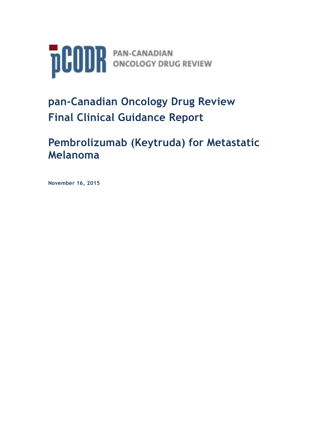

# **pan-Canadian Oncology Drug Review Final Clinical Guidance Report**

# **Pembrolizumab (Keytruda) for Metastatic Melanoma**

**November 16, 2015**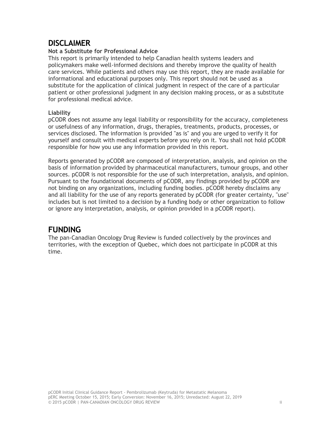# <span id="page-1-0"></span>**DISCLAIMER**

## **Not a Substitute for Professional Advice**

This report is primarily intended to help Canadian health systems leaders and policymakers make well-informed decisions and thereby improve the quality of health care services. While patients and others may use this report, they are made available for informational and educational purposes only. This report should not be used as a substitute for the application of clinical judgment in respect of the care of a particular patient or other professional judgment in any decision making process, or as a substitute for professional medical advice.

## **Liability**

pCODR does not assume any legal liability or responsibility for the accuracy, completeness or usefulness of any information, drugs, therapies, treatments, products, processes, or services disclosed. The information is provided "as is" and you are urged to verify it for yourself and consult with medical experts before you rely on it. You shall not hold pCODR responsible for how you use any information provided in this report.

Reports generated by pCODR are composed of interpretation, analysis, and opinion on the basis of information provided by pharmaceutical manufacturers, tumour groups, and other sources. pCODR is not responsible for the use of such interpretation, analysis, and opinion. Pursuant to the foundational documents of pCODR, any findings provided by pCODR are not binding on any organizations, including funding bodies. pCODR hereby disclaims any and all liability for the use of any reports generated by pCODR (for greater certainty, "use" includes but is not limited to a decision by a funding body or other organization to follow or ignore any interpretation, analysis, or opinion provided in a pCODR report).

# **FUNDING**

<span id="page-1-1"></span>The pan-Canadian Oncology Drug Review is funded collectively by the provinces and territories, with the exception of Quebec, which does not participate in pCODR at this time.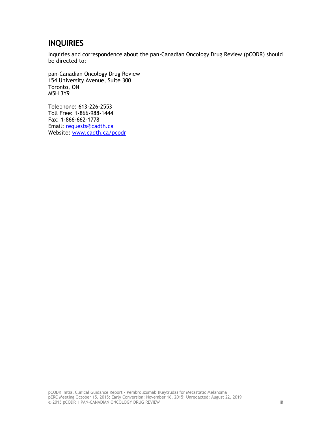# **INQUIRIES**

Inquiries and correspondence about the pan-Canadian Oncology Drug Review (pCODR) should be directed to:

pan-Canadian Oncology Drug Review 154 University Avenue, Suite 300 Toronto, ON M5H 3Y9

Telephone: 613-226-2553 Toll Free: 1-866-988-1444 Fax: 1-866-662-1778 Email: [requests@cadth.ca](mailto:requests@cadth.ca) Website: [www.cadth.ca/pcodr](http://www.cadth.ca/pcodr)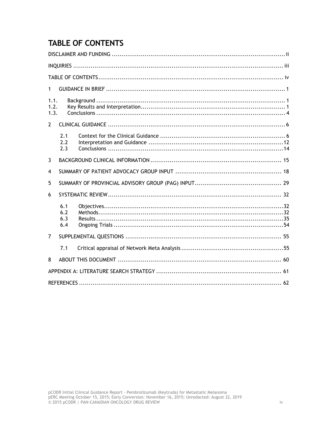# <span id="page-3-0"></span>**TABLE OF CONTENTS**

| 1                    |                          |  |  |  |
|----------------------|--------------------------|--|--|--|
| 1.1.<br>1.2.<br>1.3. |                          |  |  |  |
| $\overline{2}$       |                          |  |  |  |
|                      | 2.1<br>2.2<br>2.3        |  |  |  |
| 3                    |                          |  |  |  |
| 4                    |                          |  |  |  |
| 5                    |                          |  |  |  |
| 6                    |                          |  |  |  |
|                      | 6.1<br>6.2<br>6.3<br>6.4 |  |  |  |
| 7                    |                          |  |  |  |
|                      | 7.1                      |  |  |  |
| 8                    |                          |  |  |  |
|                      |                          |  |  |  |
|                      |                          |  |  |  |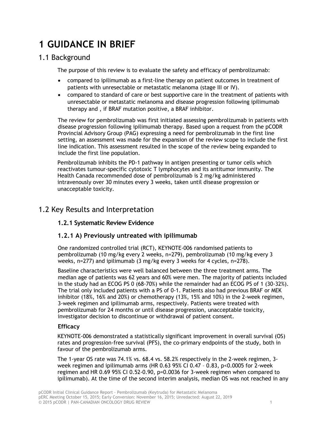# <span id="page-4-0"></span>**1 GUIDANCE IN BRIEF**

# 1.1 Background

The purpose of this review is to evaluate the safety and efficacy of pembrolizumab:

- compared to ipilimumab as a first-line therapy on patient outcomes in treatment of patients with unresectable or metastatic melanoma (stage III or IV).
- compared to standard of care or best supportive care in the treatment of patients with unresectable or metastatic melanoma and disease progression following ipilimumab therapy and , if BRAF mutation positive, a BRAF inhibitor.

The review for pembrolizumab was first initiated assessing pembrolizumab in patients with disease progression following ipilimumab therapy. Based upon a request from the pCODR Provincial Advisory Group (PAG) expressing a need for pembrolizumab in the first line setting, an assessment was made for the expansion of the review scope to include the first line indication. This assessment resulted in the scope of the review being expanded to include the first line population.

Pembrolizumab inhibits the PD-1 pathway in antigen presenting or tumor cells which reactivates tumour-specific cytotoxic T lymphocytes and its antitumor immunity. The Health Canada recommended dose of pembrolizumab is 2 mg/kg administered intravenously over 30 minutes every 3 weeks, taken until disease progression or unacceptable toxicity.

# 1.2 Key Results and Interpretation

# **1.2.1 Systematic Review Evidence**

# **1.2.1 A) Previously untreated with ipilimumab**

One randomized controlled trial (RCT), KEYNOTE-006 randomised patients to pembrolizumab (10 mg/kg every 2 weeks, n=279), pembrolizumab (10 mg/kg every 3 weeks, n=277) and ipilimumab (3 mg/kg every 3 weeks for 4 cycles, n=278).

Baseline characteristics were well balanced between the three treatment arms. The median age of patients was 62 years and 60% were men. The majority of patients included in the study had an ECOG PS 0 (68-70%) while the remainder had an ECOG PS of 1 (30-32%). The trial only included patients with a PS of 0-1. Patients also had previous BRAF or MEK inhibitor (18%, 16% and 20%) or chemotherapy (13%, 15% and 10%) in the 2-week regimen, 3-week regimen and ipilimumab arms, respectively. Patients were treated with pembrolizumab for 24 months or until disease progression, unacceptable toxicity, investigator decision to discontinue or withdrawal of patient consent.

# **Efficacy**

KEYNOTE-006 demonstrated a statistically significant improvement in overall survival (OS) rates and progression-free survival (PFS), the co-primary endpoints of the study, both in favour of the pembrolizumab arms.

The 1-year OS rate was 74.1% vs. 68.4 vs. 58.2% respectively in the 2-week regimen, 3 week regimen and ipilimumab arms (HR 0.63 95% CI 0.47 – 0.83, p<0.0005 for 2-week regimen and HR 0.69 95% CI 0.52-0.90, p=0.0036 for 3-week regimen when compared to ipilimumab). At the time of the second interim analysis, median OS was not reached in any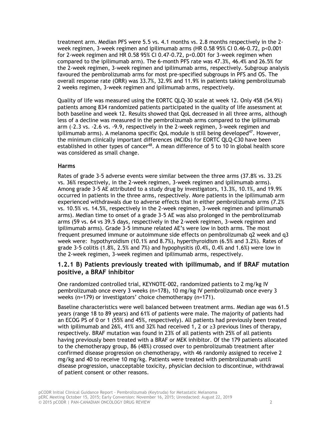treatment arm. Median PFS were 5.5 vs. 4.1 months vs. 2.8 months respectively in the 2 week regimen, 3-week regimen and ipilimumab arms (HR 0.58 95% CI 0.46-0.72, p<0.001 for 2-week regimen and HR 0.58 95% CI 0.47-0.72, p<0.001 for 3-week regimen when compared to the ipilimumab arm). The 6-month PFS rate was 47.3%, 46.4% and 26.5% for the 2-week regimen, 3-week regimen and ipilimumab arms, respectively. Subgroup analysis favoured the pembrolizumab arms for most pre-specified subgroups in PFS and OS. The overall response rate (ORR) was 33.7%, 32.9% and 11.9% in patients taking pembrolizumab 2 weeks regimen, 3-week regimen and ipilimumab arms, respectively.

Quality of life was measured using the EORTC QLQ-30 scale at week 12. Only 458 (54.9%) patients among 834 randomized patients participated in the quality of life assessment at both baseline and week 12. Results showed that QoL decreased in all three arms, although less of a decline was measured in the pembrolizumab arms compared to the ipilimumab arm (–2.3 vs. -2.6 vs. -9.9, respectively in the 2-week regimen, 3-week regimen and ipilimumab arms). A melanoma specific QoL module is still being developed<sup>47</sup>. However, the minimum clinically important differences (MCIDs) for EORTC QLQ-C30 have been established in other types of cancer<sup>48</sup>. A mean difference of 5 to 10 in global health score was considered as small change.

#### **Harms**

Rates of grade 3-5 adverse events were similar between the three arms (37.8% vs. 33.2% vs. 36% respectively, in the 2-week regimen, 3-week regimen and ipilimumab arms). Among grade 3-5 AE attributed to a study drug by investigators, 13.3%, 10.1%, and 19.9% occurred in patients in the three arms, respectively. More patients in the ipilimumab arm experienced withdrawals due to adverse effects that in either pembrolizumab arms (7.2% vs. 10.5% vs. 14.5%, respectively in the 2-week regimen, 3-week regimen and ipilimumab arms). Median time to onset of a grade 3-5 AE was also prolonged in the pembrolizumab arms (59 vs. 64 vs 39.5 days, respectively in the 2-week regimen, 3-week regimen and ipilimumab arms). Grade 3-5 immune related AE's were low in both arms. The most frequent presumed immune or autoimmune side effects on pembrolizumab q2 week and q3 week were: hypothyroidism (10.1% and 8.7%), hyperthyroidism (6.5% and 3.2%). Rates of grade 3-5 colitis  $(1.8\%, 2.5\%$  and  $7\%)$  and hypophysitis  $(0.4\%, 0.4\%$  and  $1.6\%)$  were low in the 2-week regimen, 3-week regimen and ipilimumab arms, respectively.

# **1.2.1 B) Patients previously treated with ipilimumab, and if BRAF mutation positive, a BRAF inhibitor**

One randomized controlled trial, KEYNOTE-002, randomized patients to 2 mg/kg IV pembrolizumab once every 3 weeks (n=178), 10 mg/kg IV pembrolizumab once every 3 weeks (n=179) or investigators' choice chemotherapy (n=171).

Baseline characteristics were well balanced between treatment arms. Median age was 61.5 years (range 18 to 89 years) and 61% of patients were male. The majority of patients had an ECOG PS of 0 or 1 (55% and 45%, respectively). All patients had previously been treated with ipilimumab and 26%, 41% and 32% had received 1, 2 or  $\geq$ 3 previous lines of therapy, respectively. BRAF mutation was found in 23% of all patients with 25% of all patients having previously been treated with a BRAF or MEK inhibitor. Of the 179 patients allocated to the chemotherapy group, 86 (48%) crossed over to pembrolizumab treatment after confirmed disease progression on chemotherapy, with 46 randomly assigned to receive 2 mg/kg and 40 to receive 10 mg/kg. Patients were treated with pembrolizumab until disease progression, unacceptable toxicity, physician decision to discontinue, withdrawal of patient consent or other reasons.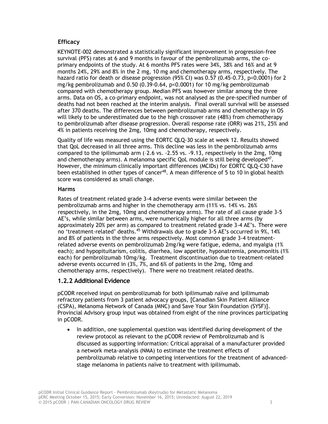## **Efficacy**

KEYNOTE-002 demonstrated a statistically significant improvement in progression-free survival (PFS) rates at 6 and 9 months in favour of the pembrolizumab arms, the coprimary endpoints of the study. At 6 months PFS rates were 34%, 38% and 16% and at 9 months 24%, 29% and 8% in the 2 mg, 10 mg and chemotherapy arms, respectively. The hazard ratio for death or disease progression (95% CI) was 0.57 (0.45-0.73, p<0.0001) for 2 mg/kg pembrolizumab and 0.50 (0.39-0.64, p<0.0001) for 10 mg/kg pembrolizumab compared with chemotherapy group. Median PFS was however similar among the three arms. Data on OS, a co-primary endpoint, was not analysed as the pre-specified number of deaths had not been reached at the interim analysis. Final overall survival will be assessed after 370 deaths. The differences between pembrolizumab arms and chemotherapy in OS will likely to be underestimated due to the high crossover rate (48%) from chemotherapy to pembrolizumab after disease progression. Overall response rate (ORR) was 21%, 25% and 4% in patients receiving the 2mg, 10mg and chemotherapy, respectively.

Quality of life was measured using the EORTC QLQ-30 scale at week 12. Results showed that QoL decreased in all three arms. This decline was less in the pembrolizumab arms compared to the ipilimumab arm (–2.6 vs. -2.55 vs. -9.13, respectively in the 2mg, 10mg and chemotherapy arms). A melanoma specific QoL module is still being developed<sup>47</sup>. However, the minimum clinically important differences (MCIDs) for EORTC QLQ-C30 have been established in other types of cancer<sup>48</sup>. A mean difference of 5 to 10 in global health score was considered as small change.

#### **Harms**

Rates of treatment related grade 3-4 adverse events were similar between the pembrolizumab arms and higher in the chemotherapy arm (11% vs. 14% vs. 26% respectively, in the 2mg, 10mg and chemotherapy arms). The rate of all cause grade 3-5 AE's, while similar between arms, were numerically higher for all three arms (by approximately 20% per arm) as compared to treatment related grade 3-4 AE's. There were no 'treatment-related' deaths.<sup>45</sup> Withdrawals due to grade 3-5 AE's occurred in 9%, 14% and 8% of patients in the three arms respectively. Most common grade 3-4 treatmentrelated adverse events on pembrolizumab 2mg/kg were fatigue, edema, and myalgia (1% each); and hypopituitarism, colitis, diarrhea, low appetite, hyponatremia, pneumonitis (1% each) for pembrolizumab 10mg/kg. Treatment discontinuation due to treatment-related adverse events occurred in (3%, 7%, and 6% of patients in the 2mg, 10mg and chemotherapy arms, respectively). There were no treatment related deaths.

# **1.2.2 Additional Evidence**

pCODR received input on pembrolizumab for both ipilimumab naïve and ipilimumab refractory patients from 3 patient advocacy groups, [Canadian Skin Patient Alliance (CSPA), Melanoma Network of Canada (MNC) and Save Your Skin Foundation (SYSF)]. Provincial Advisory group input was obtained from eight of the nine provinces participating in pCODR.

• In addition, one supplemental question was identified during development of the review protocol as relevant to the pCODR review of Pembrolizumab and is discussed as supporting information: Critical appraisal of a manufacturer provided a network meta-analysis (NMA) to estimate the treatment effects of pembrolizumab relative to competing interventions for the treatment of advancedstage melanoma in patients naïve to treatment with ipilimumab.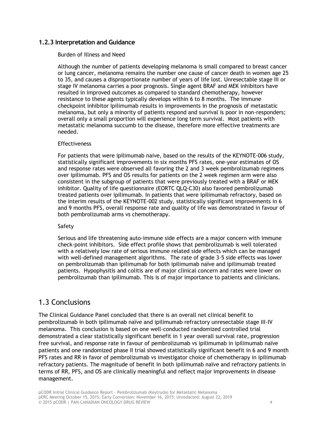## **1.2.3 Interpretation and Guidance**

#### Burden of Illness and Need

Although the number of patients developing melanoma is small compared to breast cancer or lung cancer, melanoma remains the number one cause of cancer death in women age 25 to 35, and causes a disproportionate number of years of life lost. Unresectable stage III or stage IV melanoma carries a poor prognosis. Single agent BRAF and MEK inhibitors have resulted in improved outcomes as compared to standard chemotherapy, however resistance to these agents typically develops within 6 to 8 months. The immune checkpoint inhibitor Ipilimumab results in improvements in the prognosis of metastatic melanoma, but only a minority of patients respond and survival is poor in non-responders; overall only a small proportion will experience long term survival. Most patients with metastatic melanoma succumb to the disease, therefore more effective treatments are needed.

#### **Effectiveness**

For patients that were ipilimumab naive, based on the results of the KEYNOTE-006 study, statistically significant improvements in six months PFS rates, one-year estimates of OS and response rates were observed all favoring the 2 and 3 week pembrolizumab regimens over ipilimumab. PFS and OS results for patients on the 2 week regimen arm were also consistent in the subgroup of patients that were previously treated with a BRAF or MEK inhibitor. Quality of life questionnaire (EORTC QLQ-C30) also favored pembrolizumab treated patients over ipilimumab. In patients that were ipilimumab refractory, based on the interim results of the KEYNOTE-002 study, statistically significant improvements in 6 and 9 months PFS, overall response rate and quality of life was demonstrated in favour of both pembrolizumab arms vs chemotherapy.

#### Safety

Serious and life threatening auto-immune side effects are a major concern with immune check-point inhibitors. Side effect profile shows that pembrolizumab is well tolerated with a relatively low rate of serious immune related side effects which can be managed with well-defined management algorithms. The rate of grade 3-5 side effects was lower on pembrolizumab than ipilimumab for both ipilimumab naïve and ipilimumab treated patients. Hypophysitis and colitis are of major clinical concern and rates were lower on pembrolizumab than ipilimumab. This is of major importance to patients and clinicians.

# 1.3 Conclusions

The Clinical Guidance Panel concluded that there is an overall net clinical benefit to pembrolizumab in both ipilimumab naïve and ipilimumab refractory unresectable stage III-IV melanoma. This conclusion is based on one well-conducted randomized controlled trial demonstrated a clear statistically significant benefit in 1 year overall survival rate, progression free survival, and response rate in favour of pembrolizumab vs ipilimumab in ipilimumab naïve patients and one randomized phase II trial showed statistically significant benefit in 6 and 9 month PFS rates and RR in favor of pembrolizumab vs investigator choice of chemotherapy in ipilimumab refractory patients. The magnitude of benefit in both ipilimumab naïve and refractory patients in terms of RR, PFS, and OS are clinically meaningful and reflect major improvements in disease management.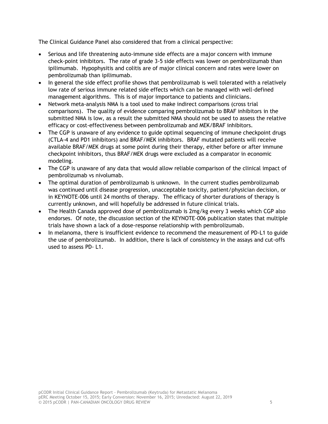The Clinical Guidance Panel also considered that from a clinical perspective:

- Serious and life threatening auto-immune side effects are a major concern with immune check-point inhibitors. The rate of grade 3-5 side effects was lower on pembrolizumab than ipilimumab. Hypophysitis and colitis are of major clinical concern and rates were lower on pembrolizumab than ipilimumab.
- In general the side effect profile shows that pembrolizumab is well tolerated with a relatively low rate of serious immune related side effects which can be managed with well-defined management algorithms. This is of major importance to patients and clinicians.
- Network meta-analysis NMA is a tool used to make indirect comparisons (cross trial comparisons). The quality of evidence comparing pembrolizumab to BRAF inhibitors in the submitted NMA is low, as a result the submitted NMA should not be used to assess the relative efficacy or cost-effectiveness between pembrolizumab and MEK/BRAF inhibitors.
- The CGP is unaware of any evidence to guide optimal sequencing of immune checkpoint drugs (CTLA-4 and PD1 inhibitors) and BRAF/MEK inhibitors. BRAF mutated patients will receive available BRAF/MEK drugs at some point during their therapy, either before or after immune checkpoint inhibitors, thus BRAF/MEK drugs were excluded as a comparator in economic modeling.
- The CGP is unaware of any data that would allow reliable comparison of the clinical impact of pembrolizumab vs nivolumab.
- The optimal duration of pembrolizumab is unknown. In the current studies pembrolizumab was continued until disease progression, unacceptable toxicity, patient/physician decision, or in KEYNOTE-006 until 24 months of therapy. The efficacy of shorter durations of therapy is currently unknown, and will hopefully be addressed in future clinical trials.
- The Health Canada approved dose of pembrolizumab is 2mg/kg every 3 weeks which CGP also endorses. Of note, the discussion section of the KEYNOTE-006 publication states that multiple trials have shown a lack of a dose-response relationship with pembrolizumab.
- In melanoma, there is insufficient evidence to recommend the measurement of PD-L1 to guide the use of pembrolizumab. In addition, there is lack of consistency in the assays and cut-offs used to assess PD- L1.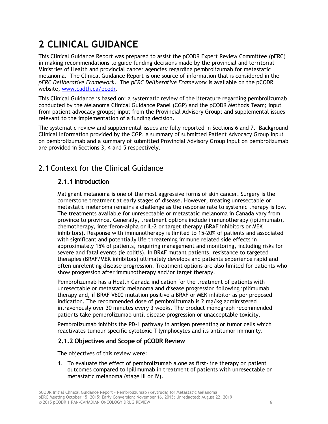# <span id="page-9-0"></span>**2 CLINICAL GUIDANCE**

This Clinical Guidance Report was prepared to assist the pCODR Expert Review Committee (pERC) in making recommendations to guide funding decisions made by the provincial and territorial Ministries of Health and provincial cancer agencies regarding pembrolizumab for metastatic melanoma. The Clinical Guidance Report is one source of information that is considered in the *pERC Deliberative Framework*. The *pERC Deliberative Framework* is available on the pCODR website, [www.cadth.ca/pcodr.](http://www.cadth.ca/pcodr)

This Clinical Guidance is based on: a systematic review of the literature regarding pembrolizumab conducted by the Melanoma Clinical Guidance Panel (CGP) and the pCODR Methods Team; input from patient advocacy groups; input from the Provincial Advisory Group; and supplemental issues relevant to the implementation of a funding decision.

The systematic review and supplemental issues are fully reported in Sections 6 and 7. Background Clinical Information provided by the CGP, a summary of submitted Patient Advocacy Group Input on pembrolizumab and a summary of submitted Provincial Advisory Group Input on pembrolizumab are provided in Sections 3, 4 and 5 respectively.

# <span id="page-9-1"></span>2.1 Context for the Clinical Guidance

# **2.1.1 Introduction**

Malignant melanoma is one of the most aggressive forms of skin cancer. Surgery is the cornerstone treatment at early stages of disease. However, treating unresectable or metastatic melanoma remains a challenge as the response rate to systemic therapy is low. The treatments available for unresectable or metastatic melanoma in Canada vary from province to province. Generally, treatment options include immunotherapy (ipilimumab), chemotherapy, interferon-alpha or IL-2 or target therapy (BRAF inhibitors or MEK inhibitors). Response with immunotherapy is limited to 15-20% of patients and associated with significant and potentially life threatening immune related side effects in approximately 15% of patients, requiring management and monitoring, including risks for severe and fatal events (ie colitis). In BRAF mutant patients, resistance to targeted therapies (BRAF/MEK inhibitors) ultimately develops and patients experience rapid and often unrelenting disease progression. Treatment options are also limited for patients who show progression after immunotherapy and/or target therapy.

Pembrolizumab has a Health Canada indication for the treatment of patients with unresectable or metastatic melanoma and disease progression following ipilimumab therapy and, if BRAF V600 mutation positive a BRAF or MEK inhibitor as per proposed indication. The recommended dose of pembrolizumab is 2 mg/kg administered intravenously over 30 minutes every 3 weeks. The product monograph recommended patients take pembrolizumab until disease progression or unacceptable toxicity.

Pembrolizumab inhibits the PD-1 pathway in antigen presenting or tumor cells which reactivates tumour-specific cytotoxic T lymphocytes and its antitumor immunity.

# **2.1.2 Objectives and Scope of pCODR Review**

The objectives of this review were:

1. To evaluate the effect of pembrolizumab alone as first-line therapy on patient outcomes compared to ipilimumab in treatment of patients with unresectable or metastatic melanoma (stage III or IV).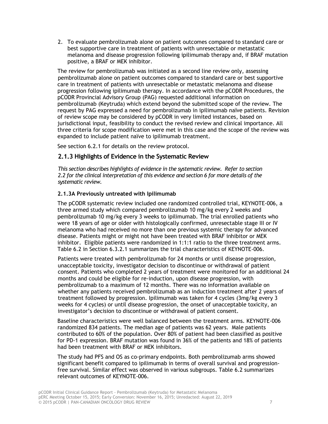2. To evaluate pembrolizumab alone on patient outcomes compared to standard care or best supportive care in treatment of patients with unresectable or metastatic melanoma and disease progression following ipilimumab therapy and, if BRAF mutation positive, a BRAF or MEK inhibitor.

The review for pembrolizumab was initiated as a second line review only, assessing pembrolizumab alone on patient outcomes compared to standard care or best supportive care in treatment of patients with unresectable or metastatic melanoma and disease progression following ipilimumab therapy. In accordance with the pCODR Procedures, the pCODR Provincial Advisory Group (PAG) requested additional information on pembrolizumab (Keytruda) which extend beyond the submitted scope of the review. The request by PAG expressed a need for pembrolizumab in ipilimumab naïve patients. Revision of review scope may be considered by pCODR in very limited instances, based on jurisdictional input, feasibility to conduct the revised review and clinical importance. All three criteria for scope modification were met in this case and the scope of the review was expanded to include patient naïve to ipilimumab treatment.

See section 6.2.1 for details on the review protocol.

## **2.1.3 Highlights of Evidence in the Systematic Review**

*This section describes highlights of evidence in the systematic review. Refer to section 2.2 for the clinical interpretation of this evidence and section 6 for more details of the systematic review.* 

#### **2.1.3A Previously untreated with Ipilimumab**

The pCODR systematic review included one randomized controlled trial, KEYNOTE-006, a three armed study which compared pembrolizumab 10 mg/kg every 2 weeks and pembrolizumab 10 mg/kg every 3 weeks to ipilimumab. The trial enrolled patients who were 18 years of age or older with histologically confirmed, unresectable stage III or IV melanoma who had received no more than one previous systemic therapy for advanced disease. Patients might or might not have been treated with BRAF inhibitor or MEK inhibitor. Eligible patients were randomized in 1:1:1 ratio to the three treatment arms. Table 6.2 in Section 6.3.2.1 summarizes the trial characteristics of KEYNOTE-006.

Patients were treated with pembrolizumab for 24 months or until disease progression, unacceptable toxicity, investigator decision to discontinue or withdrawal of patient consent. Patients who completed 2 years of treatment were monitored for an additional 24 months and could be eligible for re-induction, upon disease progression, with pembrolizumab to a maximum of 12 months. There was no information available on whether any patients received pembrolizumab as an induction treatment after 2 years of treatment followed by progression. Ipilimumab was taken for 4 cycles (3mg/kg every 3 weeks for 4 cycles) or until disease progression, the onset of unacceptable toxicity, an investigator's decision to discontinue or withdrawal of patient consent.

Baseline characteristics were well balanced between the treatment arms. KEYNOTE-006 randomized 834 patients. The median age of patients was 62 years. Male patients contributed to 60% of the population. Over 80% of patient had been classified as positive for PD-1 expression. BRAF mutation was found in 36% of the patients and 18% of patients had been treatment with BRAF or MEK inhibitors.

The study had PFS and OS as co-primary endpoints. Both pembrolizumab arms showed significant benefit compared to ipilimumab in terms of overall survival and progressionfree survival. Similar effect was observed in various subgroups. Table 6.2 summarizes relevant outcomes of KEYNOTE-006.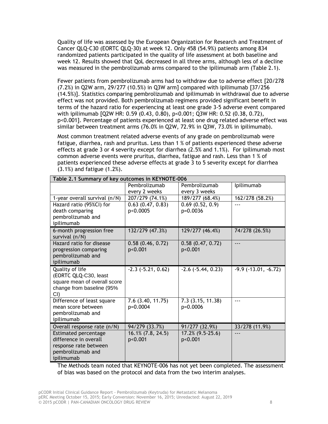Quality of life was assessed by the European Organization for Research and Treatment of Cancer QLQ-C30 (EORTC QLQ-30) at week 12. Only 458 (54.9%) patients among 834 randomized patients participated in the quality of life assessment at both baseline and week 12. Results showed that QoL decreased in all three arms, although less of a decline was measured in the pembrolizumab arms compared to the ipilimumab arm (Table 2.1).

Fewer patients from pembrolizumab arms had to withdraw due to adverse effect [20/278 (7.2%) in Q2W arm, 29/277 (10.5%) in Q3W arm] compared with ipilimumab [37/256 (14.5%)]. Statistics comparing pembrolizumab and ipilimumab in withdrawal due to adverse effect was not provided. Both pembrolizumab regimens provided significant benefit in terms of the hazard ratio for experiencing at least one grade 3-5 adverse event compared with ipilimumab [Q2W HR: 0.59 (0.43, 0.80), p<0.001; Q3W HR: 0.52 (0.38, 0.72), p<0.001]. Percentage of patients experienced at least one drug related adverse effect was similar between treatment arms (76.0% in Q2W, 72.9% in Q3W, 73.0% in ipilimumab).

Most common treatment related adverse events of any grade on pembrolizumab were fatigue, diarrhea, rash and pruritus. Less than 1 % of patients experienced these adverse effects at grade 3 or 4 severity except for diarrhea (2.5% and 1.1%). For ipilimumab most common adverse events were pruritus, diarrhea, fatigue and rash. Less than 1 % of patients experienced these adverse effects at grade 3 to 5 severity except for diarrhea (3.1%) and fatigue (1.2%).

| Table 2.1 Summary of key outcomes in KEYNOTE-006          |                        |                        |                               |
|-----------------------------------------------------------|------------------------|------------------------|-------------------------------|
|                                                           | Pembrolizumab          | Pembrolizumab          | Ipilimumab                    |
|                                                           | every 2 weeks          | every 3 weeks          |                               |
| 1-year overall survival (n/N)                             | 207/279 (74.1%)        | 189/277 (68.4%)        | 162/278 (58.2%)               |
| Hazard ratio (95%CI) for                                  | 0.63(0.47, 0.83)       | 0.69(0.52, 0.9)        | $- - -$                       |
| death comparing                                           | p<0.0005               | p=0.0036               |                               |
| pembrolizumab and                                         |                        |                        |                               |
| ipilimumab                                                |                        |                        |                               |
| 6-month progression free<br>survival (n/N)                | 132/279 (47.3%)        | 129/277 (46.4%)        | 74/278 (26.5%)                |
| Hazard ratio for disease                                  | 0.58(0.46, 0.72)       | 0.58(0.47, 0.72)       | $---$                         |
| progression comparing                                     | p<0.001                | p<0.001                |                               |
| pembrolizumab and                                         |                        |                        |                               |
| ipilimumab                                                |                        |                        |                               |
| Quality of life                                           | $-2.3$ $(-5.21, 0.62)$ | $-2.6$ $(-5.44, 0.23)$ | $-9.9$ ( $-13.01$ , $-6.72$ ) |
| (EORTC QLQ-C30, least                                     |                        |                        |                               |
| square mean of overall score<br>change from baseline (95% |                        |                        |                               |
| $CI$ )                                                    |                        |                        |                               |
| Difference of least square                                | $7.6$ $(3.40, 11.75)$  | 7.3(3.15, 11.38)       | $- - -$                       |
| mean score between                                        | p=0.0004               | p=0.0006               |                               |
| pembrolizumab and                                         |                        |                        |                               |
| ipilimumab                                                |                        |                        |                               |
| Overall response rate (n/N)                               | 94/279 (33.7%)         | 91/277 (32.9%)         | 33/278 (11.9%)                |
| Estimated percentage                                      | $16.1\%$ $(7.8, 24.5)$ | $17.2\%$ (9.5-25.6)    | ---                           |
| difference in overall                                     | p<0.001                | p<0.001                |                               |
| response rate between                                     |                        |                        |                               |
| pembrolizumab and                                         |                        |                        |                               |
| ipilimumab                                                |                        |                        |                               |

The Methods team noted that KEYNOTE-006 has not yet been completed. The assessment of bias was based on the protocol and data from the two interim analyses.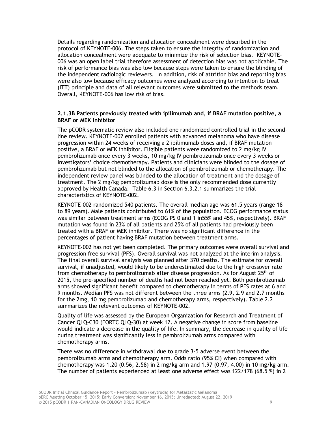Details regarding randomization and allocation concealment were described in the protocol of KEYNOTE-006. The steps taken to ensure the integrity of randomization and allocation concealment were adequate to minimize the risk of selection bias. KEYNOTE-006 was an open label trial therefore assessment of detection bias was not applicable. The risk of performance bias was also low because steps were taken to ensure the blinding of the independent radiologic reviewers. In addition, risk of attrition bias and reporting bias were also low because efficacy outcomes were analyzed according to intention to treat (ITT) principle and data of all relevant outcomes were submitted to the methods team. Overall, KEYNOTE-006 has low risk of bias.

#### **2.1.3B Patients previously treated with ipilimumab and, if BRAF mutation positive, a BRAF or MEK inhibitor**

The pCODR systematic review also included one randomized controlled trial in the secondline review. KEYNOTE-002 enrolled patients with advanced melanoma who have disease progression within 24 weeks of receiving  $\geq 2$  ipilimumab doses and, if BRAF mutation positive, a BRAF or MEK inhibitor. Eligible patients were randomized to 2 mg/kg IV pembrolizumab once every 3 weeks, 10 mg/kg IV pembrolizumab once every 3 weeks or investigators' choice chemotherapy. Patients and clinicians were blinded to the dosage of pembrolizumab but not blinded to the allocation of pembrolizumab or chemotherapy. The independent review panel was blinded to the allocation of treatment and the dosage of treatment. The 2 mg/kg pembrolizumab dose is the only recommended dose currently approved by Health Canada. Table 6.3 in Section 6.3.2.1 summarizes the trial characteristics of KEYNOTE-002.

KEYNOTE-002 randomized 540 patients. The overall median age was 61.5 years (range 18 to 89 years). Male patients contributed to 61% of the population. ECOG performance status was similar between treatment arms (ECOG PS 0 and 1 in55% and 45%, respectively). BRAF mutation was found in 23% of all patients and 25% of all patients had previously been treated with a BRAF or MEK inhibitor. There was no significant difference in the percentages of patient having BRAF mutation between treatment arms.

KEYNOTE-002 has not yet been completed. The primary outcomes were overall survival and progression free survival (PFS). Overall survival was not analyzed at the interim analysis. The final overall survival analysis was planned after 370 deaths. The estimate for overall survival, if unadjusted, would likely to be underestimated due to the high crossover rate from chemotherapy to pembrolizumab after disease progression. As for August 25th of 2015, the pre-specified number of deaths had not been reached yet. Both pembrolizumab arms showed significant benefit compared to chemotherapy in terms of PFS rates at 6 and 9 months. Median PFS was not different between the three arms (2.9, 2.9 and 2.7 months for the 2mg, 10 mg pembrolizumab and chemotherapy arms, respectively). Table 2.2 summarizes the relevant outcomes of KEYNOTE-002.

Quality of life was assessed by the European Organization for Research and Treatment of Cancer QLQ-C30 (EORTC QLQ-30) at week 12. A negative change in score from baseline would indicate a decrease in the quality of life. In summary, the decrease in quality of life during treatment was significantly less in pembrolizumab arms compared with chemotherapy arms.

There was no difference in withdrawal due to grade 3-5 adverse event between the pembrolizumab arms and chemotherapy arm. Odds ratio (95% CI) when compared with chemotherapy was 1.20 (0.56, 2.58) in 2 mg/kg arm and 1.97 (0.97, 4.00) in 10 mg/kg arm. The number of patients experienced at least one adverse effect was 122/178 (68.5 %) in 2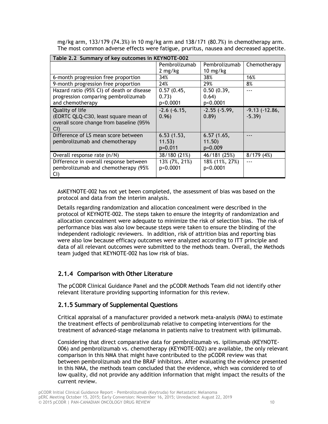| Table 2.2 Summary of key outcomes in KEYNOTE-002 |                  |                   |                 |  |
|--------------------------------------------------|------------------|-------------------|-----------------|--|
|                                                  | Pembrolizumab    | Pembrolizumab     | Chemotherapy    |  |
|                                                  | 2 mg/kg          | 10 mg/kg          |                 |  |
| 6-month progression free proportion              | 34%              | 38%               | 16%             |  |
| 9-month progression free proportion              | 24%              | 29%               | 8%              |  |
| Hazard ratio (95% CI) of death or disease        | 0.57(0.45,       | 0.50(0.39,        |                 |  |
| progression comparing pembrolizumab              | 0.73)            | 0.64)             |                 |  |
| and chemotherapy                                 | p<0.0001         | p<0.0001          |                 |  |
| Quality of life                                  | $-2.6$ $(-6.15,$ | $-2.55$ $(-5.99,$ | $-9.13(-12.86,$ |  |
| (EORTC QLQ-C30, least square mean of             | 0.96)            | (0.89)            | $-5.39$         |  |
| overall score change from baseline (95%          |                  |                   |                 |  |
| CI)                                              |                  |                   |                 |  |
| Difference of LS mean score between              | 6.53(1.53,       | 6.57(1.65,        |                 |  |
| pembrolizumab and chemotherapy                   | 11.53)           | 11.50)            |                 |  |
|                                                  | $p=0.011$        | $p=0.009$         |                 |  |
| Overall response rate (n/N)                      | 38/180 (21%)     | 46/181 (25%)      | 8/179(4%)       |  |
| Difference in overall response between           | 13% (7%, 21%)    | 18% (11%, 27%)    |                 |  |
| pembrolizumab and chemotherapy (95%              | p<0.0001         | p<0.0001          |                 |  |
| CI)                                              |                  |                   |                 |  |

mg/kg arm, 133/179 (74.3%) in 10 mg/kg arm and 138/171 (80.7%) in chemotherapy arm. The most common adverse effects were fatigue, pruritus, nausea and decreased appetite.

AsKEYNOTE-002 has not yet been completed, the assessment of bias was based on the protocol and data from the interim analysis.

Details regarding randomization and allocation concealment were described in the protocol of KEYNOTE-002. The steps taken to ensure the integrity of randomization and allocation concealment were adequate to minimize the risk of selection bias. The risk of performance bias was also low because steps were taken to ensure the blinding of the independent radiologic reviewers. In addition, risk of attrition bias and reporting bias were also low because efficacy outcomes were analyzed according to ITT principle and data of all relevant outcomes were submitted to the methods team. Overall, the Methods team judged that KEYNOTE-002 has low risk of bias.

# **2.1.4 Comparison with Other Literature**

The pCODR Clinical Guidance Panel and the pCODR Methods Team did not identify other relevant literature providing supporting information for this review.

# **2.1.5 Summary of Supplemental Questions**

Critical appraisal of a manufacturer provided a network meta-analysis (NMA) to estimate the treatment effects of pembrolizumab relative to competing interventions for the treatment of advanced-stage melanoma in patients naïve to treatment with ipilimumab.

Considering that direct comparative data for pembrolizumab vs. ipilimumab (KEYNOTE-006) and pembrolizumab vs. chemotherapy (KEYNOTE-002) are available, the only relevant comparison in this NMA that might have contributed to the pCODR review was that between pembrolizumab and the BRAF inhibitors. After evaluating the evidence presented in this NMA, the methods team concluded that the evidence, which was considered to of low quality, did not provide any addition information that might impact the results of the current review.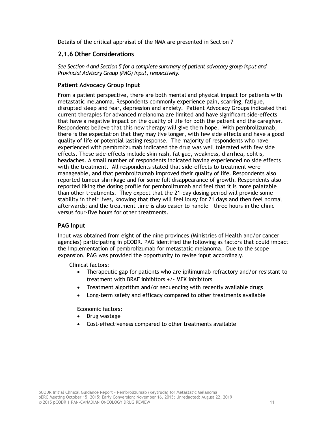Details of the critical appraisal of the NMA are presented in Section 7

## **2.1.6 Other Considerations**

*See Section 4 and Section 5 for a complete summary of patient advocacy group input and Provincial Advisory Group (PAG) Input, respectively.* 

#### **Patient Advocacy Group Input**

From a patient perspective, there are both mental and physical impact for patients with metastatic melanoma. Respondents commonly experience pain, scarring, fatigue, disrupted sleep and fear, depression and anxiety. Patient Advocacy Groups indicated that current therapies for advanced melanoma are limited and have significant side-effects that have a negative impact on the quality of life for both the patient and the caregiver. Respondents believe that this new therapy will give them hope. With pembrolizumab, there is the expectation that they may live longer, with few side effects and have a good quality of life or potential lasting response. The majority of respondents who have experienced with pembrolizumab indicated the drug was well tolerated with few side effects. These side-effects include skin rash, fatigue, weakness, diarrhea, colitis, headaches. A small number of respondents indicated having experienced no side effects with the treatment. All respondents stated that side-effects to treatment were manageable, and that pembrolizumab improved their quality of life. Respondents also reported tumour shrinkage and for some full disappearance of growth. Respondents also reported liking the dosing profile for pembrolizumab and feel that it is more palatable than other treatments. They expect that the 21-day dosing period will provide some stability in their lives, knowing that they will feel lousy for 21 days and then feel normal afterwards; and the treatment time is also easier to handle – three hours in the clinic versus four-five hours for other treatments.

#### **PAG Input**

Input was obtained from eight of the nine provinces (Ministries of Health and/or cancer agencies) participating in pCODR. PAG identified the following as factors that could impact the implementation of pembrolizumab for metastatic melanoma. Due to the scope expansion, PAG was provided the opportunity to revise input accordingly.

Clinical factors:

- Therapeutic gap for patients who are ipilimumab refractory and/or resistant to treatment with BRAF inhibitors +/- MEK inhibitors
- Treatment algorithm and/or sequencing with recently available drugs
- Long-term safety and efficacy compared to other treatments available

Economic factors:

- Drug wastage
- <span id="page-14-0"></span>• Cost-effectiveness compared to other treatments available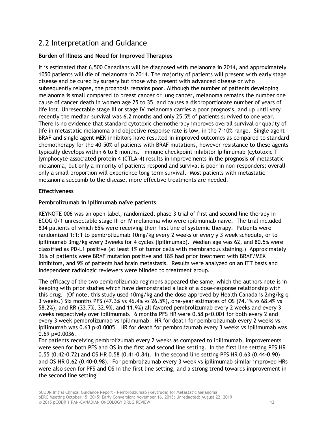# 2.2 Interpretation and Guidance

## **Burden of Illness and Need for Improved Therapies**

It is estimated that 6,500 Canadians will be diagnosed with melanoma in 2014, and approximately 1050 patients will die of melanoma in 2014. The majority of patients will present with early stage disease and be cured by surgery but those who present with advanced disease or who subsequently relapse, the prognosis remains poor. Although the number of patients developing melanoma is small compared to breast cancer or lung cancer, melanoma remains the number one cause of cancer death in women age 25 to 35, and causes a disproportionate number of years of life lost. Unresectable stage III or stage IV melanoma carries a poor prognosis, and up until very recently the median survival was 6.2 months and only 25.5% of patients survived to one year. There is no evidence that standard cytotoxic chemotherapy improves overall survival or quality of life in metastatic melanoma and objective response rate is low, in the 7-10% range. Single agent BRAF and single agent MEK inhibitors have resulted in improved outcomes as compared to standard chemotherapy for the 40-50% of patients with BRAF mutations, however resistance to these agents typically develops within 6 to 8 months. Immune checkpoint inhibitor Ipilimumab (cytotoxic Tlymphocyte-associated protein 4 (CTLA-4) results in improvements in the prognosis of metastatic melanoma, but only a minority of patients respond and survival is poor in non-responders; overall only a small proportion will experience long term survival. Most patients with metastatic melanoma succumb to the disease, more effective treatments are needed.

## **Effectiveness**

## **Pembrolizumab in ipilimumab naïve patients**

KEYNOTE-006 was an open-label, randomized, phase 3 trial of first and second line therapy in ECOG 0/1 unresectable stage III or IV melanoma who were ipilimumab naive. The trial included 834 patients of which 65% were receiving their first line of systemic therapy. Patients were randomized 1:1:1 to pembrolizumab 10mg/kg every 2 weeks or every y 3 week schedule, or to ipilimumab 3mg/kg every 3weeks for 4 cycles (Ipilimumab). Median age was 62, and 80.5% were classified as PD-L1 positive (at least 1% of tumor cells with membranous staining.) Approximately 36% of patients were BRAF mutation positive and 18% had prior treatment with BRAF/MEK inhibitors, and 9% of patients had brain metastasis. Results were analyzed on an ITT basis and independent radiologic reviewers were blinded to treatment group.

The efficacy of the two pembrolizumab regimens appeared the same, which the authors note is in keeping with prior studies which have demonstrated a lack of a dose-response relationship with this drug. (Of note, this study used 10mg/kg and the dose approved by Health Canada is 2mg/kg q 3 weeks.) Six months PFS (47.3% vs 46.4% vs 26.5%), one-year estimates of OS (74.1% vs 68.4% vs 58.2%), and RR (33.7%, 32.9%, and 11.9%) all favored pembrolizumab every 2 weeks and every 3 weeks respectively over ipilimumab. 6 months PFS HR were 0.58 p<0.001 for both every 2 and every 3 week pembrolizumab vs ipilimumab. HR for death for pembrolizumab every 2 weeks vs ipilimumab was 0.63 p<0.0005. HR for death for pembrolizumab every 3 weeks vs ipilimumab was 0.69 p=0.0036.

For patients receiving pembrolizumab every 2 weeks as compared to ipilimumab, improvements were seen for both PFS and OS in the first and second line setting. In the first line setting PFS HR 0.55 (0.42-0.72) and OS HR 0.58 (0.41-0.84). In the second line setting PFS HR 0.63 (0.44-0.90) and OS HR 0.62 (0.40-0.98). For pembrolizumab every 3 week vs ipilimumab similar improved HRs were also seen for PFS and OS in the first line setting, and a strong trend towards improvement in the second line setting.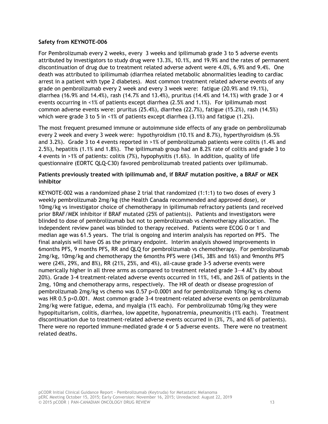#### **Safety from KEYNOTE-006**

For Pembrolizumab every 2 weeks, every 3 weeks and ipilimumab grade 3 to 5 adverse events attributed by investigators to study drug were 13.3%, 10.1%, and 19.9% and the rates of permanent discontinuation of drug due to treatment related adverse advent were 4.0%, 6.9% and 9.4%. One death was attributed to ipilimumab (diarrhea related metabolic abnormalities leading to cardiac arrest in a patient with type 2 diabetes). Most common treatment related adverse events of any grade on pembrolizumab every 2 week and every 3 week were: fatigue (20.9% and 19.1%), diarrhea (16.9% and 14.4%), rash (14.7% and 13.4%), pruritus (14.4% and 14.1%) with grade 3 or 4 events occurring in <1% of patients except diarrhea (2.5% and 1.1%). For ipilimumab most common adverse events were: pruritus (25.4%), diarrhea (22.7%), fatigue (15.2%), rash (14.5%) which were grade 3 to 5 in <1% of patients except diarrhea (3.1%) and fatigue (1.2%).

The most frequent presumed immune or autoimmune side effects of any grade on pembrolizumab every 2 week and every 3 week were: hypothyroidism (10.1% and 8.7%), hyperthyroidism (6.5% and 3.2%). Grade 3 to 4 events reported in >1% of pembrolizumab patients were colitis (1.4% and 2.5%), hepatitis (1.1% and 1.8%). The ipilimumab group had an 8.2% rate of colitis and grade 3 to 4 events in >1% of patients: colitis (7%), hypophysitis (1.6%). In addition, quality of life questionnaire (EORTC QLQ-C30) favored pembrolizumab treated patients over ipilimumab.

#### **Patients previously treated with ipilimumab and, if BRAF mutation positive, a BRAF or MEK inhibitor**

<span id="page-16-0"></span>KEYNOTE-002 was a randomized phase 2 trial that randomized (1:1:1) to two doses of every 3 weekly pembrolizumab 2mg/kg (the Health Canada recommended and approved dose), or 10mg/kg vs investigator choice of chemotherapy in ipilimumab refractory patients (and received prior BRAF/MEK inhibitor if BRAF mutated (25% of patients)). Patients and investigators were blinded to dose of pembrolizumab but not to pembrolizumab vs chemotherapy allocation. The independent review panel was blinded to therapy received. Patients were ECOG 0 or 1 and median age was 61.5 years. The trial is ongoing and interim analysis has reported on PFS. The final analysis will have OS as the primary endpoint. Interim analysis showed improvements in 6months PFS, 9 months PFS, RR and QLQ for pembrolizumab vs chemotherapy. For pembrolizumab 2mg/kg, 10mg/kg and chemotherapy the 6months PFS were (34%, 38% and 16%) and 9months PFS were (24%, 29%, and 8%), RR (21%, 25%, and 4%), all-cause grade 3-5 adverse events were numerically higher in all three arms as compared to treatment related grade 3—4 AE's (by about 20%). Grade 3-4 treatment-related adverse events occurred in 11%, 14%, and 26% of patients in the 2mg, 10mg and chemotherapy arms, respectively. The HR of death or disease progression of pembrolizumab 2mg/kg vs chemo was 0.57 p<0.0001 and for pembrolizumab 10mg/kg vs chemo was HR 0.5 p<0.001. Most common grade 3-4 treatment-related adverse events on pembrolizumab 2mg/kg were fatigue, edema, and myalgia (1% each). For pembrolizumab 10mg/kg they were hypopituitarism, colitis, diarrhea, low appetite, hyponatremia, pneumonitis (1% each). Treatment discontinuation due to treatment-related adverse events occurred in (3%, 7%, and 6% of patients). There were no reported immune-mediated grade 4 or 5 adverse events. There were no treatment related deaths.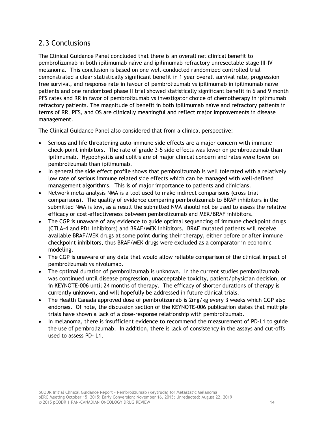# 2.3 Conclusions

The Clinical Guidance Panel concluded that there is an overall net clinical benefit to pembrolizumab in both ipilimumab naïve and ipilimumab refractory unresectable stage III-IV melanoma. This conclusion is based on one well-conducted randomized controlled trial demonstrated a clear statistically significant benefit in 1 year overall survival rate, progression free survival, and response rate in favour of pembrolizumab vs ipilimumab in ipilimumab naïve patients and one randomized phase II trial showed statistically significant benefit in 6 and 9 month PFS rates and RR in favor of pembrolizumab vs investigator choice of chemotherapy in ipilimumab refractory patients. The magnitude of benefit in both ipilimumab naïve and refractory patients in terms of RR, PFS, and OS are clinically meaningful and reflect major improvements in disease management.

The Clinical Guidance Panel also considered that from a clinical perspective:

- Serious and life threatening auto-immune side effects are a major concern with immune check-point inhibitors. The rate of grade 3-5 side effects was lower on pembrolizumab than ipilimumab. Hypophysitis and colitis are of major clinical concern and rates were lower on pembrolizumab than ipilimumab.
- In general the side effect profile shows that pembrolizumab is well tolerated with a relatively low rate of serious immune related side effects which can be managed with well-defined management algorithms. This is of major importance to patients and clinicians.
- Network meta-analysis NMA is a tool used to make indirect comparisons (cross trial comparisons). The quality of evidence comparing pembrolizumab to BRAF inhibitors in the submitted NMA is low, as a result the submitted NMA should not be used to assess the relative efficacy or cost-effectiveness between pembrolizumab and MEK/BRAF inhibitors.
- The CGP is unaware of any evidence to guide optimal sequencing of immune checkpoint drugs (CTLA-4 and PD1 inhibitors) and BRAF/MEK inhibitors. BRAF mutated patients will receive available BRAF/MEK drugs at some point during their therapy, either before or after immune checkpoint inhibitors, thus BRAF/MEK drugs were excluded as a comparator in economic modeling.
- The CGP is unaware of any data that would allow reliable comparison of the clinical impact of pembrolizumab vs nivolumab.
- The optimal duration of pembrolizumab is unknown. In the current studies pembrolizumab was continued until disease progression, unacceptable toxicity, patient/physician decision, or in KEYNOTE-006 until 24 months of therapy. The efficacy of shorter durations of therapy is currently unknown, and will hopefully be addressed in future clinical trials.
- The Health Canada approved dose of pembrolizumab is 2mg/kg every 3 weeks which CGP also endorses. Of note, the discussion section of the KEYNOTE-006 publication states that multiple trials have shown a lack of a dose-response relationship with pembrolizumab.
- In melanoma, there is insufficient evidence to recommend the measurement of PD-L1 to guide the use of pembrolizumab. In addition, there is lack of consistency in the assays and cut-offs used to assess PD- L1.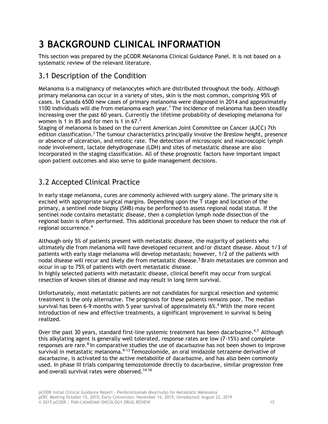# <span id="page-18-0"></span>**3 BACKGROUND CLINICAL INFORMATION**

This section was prepared by the pCODR Melanoma Clinical Guidance Panel. It is not based on a systematic review of the relevant literature.

# 3.1 Description of the Condition

Melanoma is a malignancy of melanocytes which are distributed throughout the body. Although primary melanoma can occur in a variety of sites, skin is the most common, comprising 95% of cases. In Canada 6500 new cases of primary melanoma were diagnosed in 2014 and approximately 1100 individuals will die from melanoma each year.<sup>1</sup> The incidence of melanoma has been steadily increasing over the past 60 years. Currently the lifetime probability of developing melanoma for women is 1 in 85 and for men is 1 in 67.<sup>2</sup>

Staging of melanoma is based on the current American Joint Committee on Cancer (AJCC) 7th edition classification.<sup>3</sup> The tumour characteristics principally involve the Breslow height, presence or absence of ulceration, and mitotic rate. The detection of microscopic and macroscopic lymph node involvement, lactate dehydrogenase (LDH) and sites of metastatic disease are also incorporated in the staging classification. All of these prognostic factors have important impact upon patient outcomes and also serve to guide management decisions.

# 3.2 Accepted Clinical Practice

In early stage melanoma, cures are commonly achieved with surgery alone. The primary site is excised with appropriate surgical margins. Depending upon the T stage and location of the primary, a sentinel node biopsy (SNB) may be performed to assess regional nodal status. If the sentinel node contains metastatic disease, then a completion lymph node dissection of the regional basin is often performed. This additional procedure has been shown to reduce the risk of regional occurrence.<sup>4</sup>

Although only 5% of patients present with metastatic disease, the majority of patients who ultimately die from melanoma will have developed recurrent and/or distant disease. About 1/3 of patients with early stage melanoma will develop metastasis; however, 1/2 of the patients with nodal disease will recur and likely die from metastatic disease.<sup>5</sup> Brain metastases are common and occur in up to 75% of patients with overt metastatic disease.

In highly selected patients with metastatic disease, clinical benefit may occur from surgical resection of known sites of disease and may result in long term survival.

Unfortunately, most metastatic patients are not candidates for surgical resection and systemic treatment is the only alternative. The prognosis for these patients remains poor. The median survival has been 6-9 months with 5 year survival of approximately  $6\%$ .<sup>6</sup> With the more recent introduction of new and effective treatments, a significant improvement in survival is being realized.

Over the past 30 years, standard first-line systemic treatment has been dacarbazine.<sup>4,7</sup> Although this alkylating agent is generally well tolerated, response rates are low (7-15%) and complete responses are rare. $8$  In comparative studies the use of dacarbazine has not been shown to improve survival in metastatic melanoma.<sup>9-13</sup> Temozolomide, an oral imidazole tetrazene derivative of dacarbazine, is activated to the active metabolite of dacarbazine, and has also been commonly used. In phase III trials comparing temozolomide directly to dacarbazine, similar progression free and overall survival rates were observed.<sup>14-16</sup>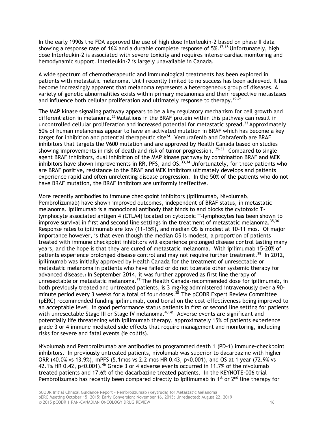In the early 1990s the FDA approved the use of high dose Interleukin-2 based on phase II data showing a response rate of 16% and a durable complete response of  $5\%$ .<sup>17,18</sup> Unfortunately, high dose Interleukin-2 is associated with severe toxicity and requires intense cardiac monitoring and hemodynamic support. Interleukin-2 is largely unavailable in Canada.

A wide spectrum of chemotherapeutic and immunological treatments has been explored in patients with metastatic melanoma. Until recently limited to no success has been achieved. It has become increasingly apparent that melanoma represents a heterogeneous group of diseases. A variety of genetic abnormalities exists within primary melanomas and their respective metastases and influence both cellular proliferation and ultimately response to therapy.<sup>19-21</sup>

The MAP kinase signaling pathway appears to be a key regulatory mechanism for cell growth and differentiation in melanoma.<sup>22</sup> Mutations in the BRAF protein within this pathway can result in uncontrolled cellular proliferation and increased potential for metastatic spread.<sup>23</sup> Approximately 50% of human melanomas appear to have an activated mutation in BRAF which has become a key target for inhibition and potential therapeutic site<sup>24</sup>. Vemurafenib and Dabrafenib are BRAF inhibitors that targets the V600 mutation and are approved by Health Canada based on studies showing improvements in risk of death and risk of tumor progression.  $25-32$  Compared to single agent BRAF inhibitors, dual inhibition of the MAP kinase pathway by combination BRAF and MEK inhibitors have shown improvements in RR, PFS, and  $OS.^{33,34}$  Unfortunately, for those patients who are BRAF positive, resistance to the BRAF and MEK inhibitors ultimately develops and patients experience rapid and often unrelenting disease progression. In the 50% of the patients who do not have BRAF mutation, the BRAF inhibitors are uniformly ineffective.

More recently antibodies to immune checkpoint inhibitors (Ipilimumab, Nivolumab, Pembrolizumab) have shown improved outcomes, independent of BRAF status, in metastatic melanoma. Ipilimumab is a monoclonal antibody that binds to and blocks the cytotoxic Tlymphocyte associated antigen 4 (CTLA4) located on cytotoxic T-lymphocytes has been shown to improve survival in first and second line settings in the treatment of metastatic melanoma.<sup>35,36</sup> Response rates to ipilimumab are low (11-15%), and median OS is modest at 10-11 mos. Of major importance however, is that even though the median OS is modest, a proportion of patients treated with immune checkpoint inhibitors will experience prolonged disease control lasting many years, and the hope is that they are cured of metastatic melanoma. With ipilimumab 15-20% of patients experience prolonged disease control and may not require further treatment.<sup>35</sup> In 2012, ipilimumab was initially approved by Health Canada for the treatment of unresectable or metastatic melanoma in patients who have failed or do not tolerate other systemic therapy for advanced disease.1 In September 2014, it was further approved as first line therapy of unresectable or metastatic melanoma.<sup>37</sup> The Health Canada-recommended dose for ipilimumab, in both previously treated and untreated patients, is 3 mg/kg administered intravenously over a 90 minute period every 3 weeks for a total of four doses.<sup>38</sup> The pCODR Expert Review Committee (pERC) recommended funding ipilimumab, conditional on the cost-effectiveness being improved to an acceptable level, in good performance status patients in first or second line setting for patients with unresectable Stage III or Stage IV melanoma.<sup>40,41</sup> Adverse events are significant and potentially life threatening with ipilimumab therapy, approximately 15% of patients experience grade 3 or 4 immune mediated side effects that require management and monitoring, including risks for severe and fatal events (ie colitis).

Nivolumab and Pembrolizumab are antibodies to programmed death 1 (PD-1) immune-checkpoint inhibitors. In previously untreated patients, nivolumab was superior to dacarbazine with higher ORR (40.0% vs 13.9%), mPFS (5.1mos vs 2.2 mos HR 0.43, p<0.001), and OS at 1 year (72.9% vs 42.1% HR 0.42, p<0.001).<sup>46</sup> Grade 3 or 4 adverse events occurred in 11.7% of the nivolumab treated patients and 17.6% of the dacarbazine treated patients. In the KEYNOTE-006 trial Pembrolizumab has recently been compared directly to Ipilimumab in 1<sup>st</sup> or  $2^{nd}$  line therapy for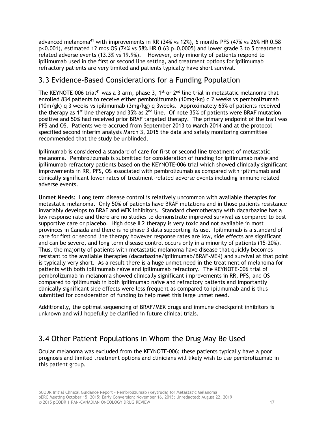advanced melanoma<sup>41</sup> with improvements in RR (34% vs 12%), 6 months PFS (47% vs 26% HR 0.58 p<0.001), estimated 12 mos OS (74% vs 58% HR 0.63 p=0.0005) and lower grade 3 to 5 treatment related adverse events (13.3% vs 19.9%). However, only minority of patients respond to ipilimumab used in the first or second line setting, and treatment options for ipilimumab refractory patients are very limited and patients typically have short survival.

# 3.3 Evidence-Based Considerations for a Funding Population

The KEYNOTE-006 trial<sup>41</sup> was a 3 arm, phase 3, 1<sup>st</sup> or 2<sup>nd</sup> line trial in metastatic melanoma that enrolled 834 patients to receive either pembrolizumab (10mg/kg) q 2 weeks vs pembrolizumab (10m/gk) q 3 weeks vs ipilimumab (3mg/kg) q 3weeks. Approximately 65% of patients received the therapy as 1<sup>st</sup> line therapy and  $35\%$  as  $2^{nd}$  line. Of note 35% of patients were BRAF mutation positive and 50% had received prior BRAF targeted therapy. The primary endpoint of the trail was PFS and OS. Patients were accrued from September 2013 to March 2014 and at the protocol specified second interim analysis March 3, 2015 the data and safety monitoring committee recommended that the study be unblinded.

Ipilimumab is considered a standard of care for first or second line treatment of metastatic melanoma. Pembrolizumab is submitted for consideration of funding for ipilimumab naïve and ipilimumab refractory patients based on the KEYNOTE-006 trial which showed clinically significant improvements in RR, PFS, OS associated with pembrolizumab as compared with ipilimumab and clinically significant lower rates of treatment-related adverse events including immune related adverse events.

**Unmet Needs**: Long term disease control is relatively uncommon with available therapies for metastatic melanoma. Only 50% of patients have BRAF mutations and in those patients resistance invariably develops to BRAF and MEK inhibitors. Standard chemotherapy with dacarbazine has a low response rate and there are no studies to demonstrate improved survival as compared to best supportive care or placebo. High dose IL2 therapy is very toxic and not available in most provinces in Canada and there is no phase 3 data supporting its use. Ipilimumab is a standard of care for first or second line therapy however response rates are low, side effects are significant and can be severe, and long term disease control occurs only in a minority of patients (15-20%). Thus, the majority of patients with metastatic melanoma have disease that quickly becomes resistant to the available therapies (dacarbazine/ipilimumab/BRAF-MEK) and survival at that point is typically very short. As a result there is a huge unmet need in the treatment of melanoma for patients with both ipilimumab naïve and ipilimumab refractory. The KEYNOTE-006 trial of pembrolizumab in melanoma showed clinically significant improvements in RR, PFS, and OS compared to ipilimumab in both ipilimumab naïve and refractory patients and importantly clinically significant side effects were less frequent as compared to ipilimumab and is thus submitted for consideration of funding to help meet this large unmet need.

Additionally, the optimal sequencing of BRAF/MEK drugs and immune checkpoint inhibitors is unknown and will hopefully be clarified in future clinical trials.

# 3.4 Other Patient Populations in Whom the Drug May Be Used

Ocular melanoma was excluded from the KEYNOTE-006; these patients typically have a poor prognosis and limited treatment options and clinicians will likely wish to use pembrolizumab in this patient group.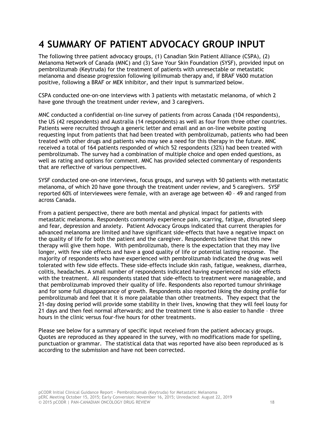# <span id="page-21-0"></span>**4 SUMMARY OF PATIENT ADVOCACY GROUP INPUT**

The following three patient advocacy groups, (1) Canadian Skin Patient Alliance (CSPA), (2) Melanoma Network of Canada (MNC) and (3) Save Your Skin Foundation (SYSF), provided input on pembrolizumab (Keytruda) for the treatment of patients with unresectable or metastatic melanoma and disease progression following ipilimumab therapy and, if BRAF V600 mutation positive, following a BRAF or MEK inhibitor, and their input is summarized below.

CSPA conducted one-on-one interviews with 3 patients with metastatic melanoma, of which 2 have gone through the treatment under review, and 3 caregivers.

MNC conducted a confidential on-line survey of patients from across Canada (104 respondents), the US (42 respondents) and Australia (14 respondents) as well as four from three other countries. Patients were recruited through a generic letter and email and an on-line website posting requesting input from patients that had been treated with pembrolizumab, patients who had been treated with other drugs and patients who may see a need for this therapy in the future. MNC received a total of 164 patients responded of which 52 respondents (32%) had been treated with pembrolizumab. The survey had a combination of multiple choice and open ended questions, as well as rating and options for comment. MNC has provided selected commentary of respondents that are reflective of various perspectives.

SYSF conducted one-on-one interviews, focus groups, and surveys with 50 patients with metastatic melanoma, of which 20 have gone through the treatment under review, and 5 caregivers. SYSF reported 60% of interviewees were female, with an average age between 40 – 49 and ranged from across Canada.

From a patient perspective, there are both mental and physical impact for patients with metastatic melanoma. Respondents commonly experience pain, scarring, fatigue, disrupted sleep and fear, depression and anxiety. Patient Advocacy Groups indicated that current therapies for advanced melanoma are limited and have significant side-effects that have a negative impact on the quality of life for both the patient and the caregiver. Respondents believe that this new therapy will give them hope. With pembrolizumab, there is the expectation that they may live longer, with few side effects and have a good quality of life or potential lasting response. The majority of respondents who have experienced with pembrolizumab indicated the drug was well tolerated with few side effects. These side-effects include skin rash, fatigue, weakness, diarrhea, colitis, headaches. A small number of respondents indicated having experienced no side effects with the treatment. All respondents stated that side-effects to treatment were manageable, and that pembrolizumab improved their quality of life. Respondents also reported tumour shrinkage and for some full disappearance of growth. Respondents also reported liking the dosing profile for pembrolizumab and feel that it is more palatable than other treatments. They expect that the 21-day dosing period will provide some stability in their lives, knowing that they will feel lousy for 21 days and then feel normal afterwards; and the treatment time is also easier to handle – three hours in the clinic versus four-five hours for other treatments.

Please see below for a summary of specific input received from the patient advocacy groups. Quotes are reproduced as they appeared in the survey, with no modifications made for spelling, punctuation or grammar. The statistical data that was reported have also been reproduced as is according to the submission and have not been corrected.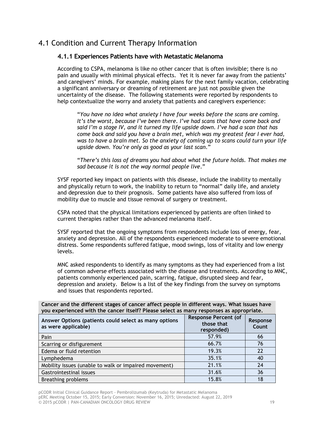# 4.1 Condition and Current Therapy Information

## **4.1.1 Experiences Patients have with Metastatic Melanoma**

According to CSPA, melanoma is like no other cancer that is often invisible; there is no pain and usually with minimal physical effects. Yet it is never far away from the patients' and caregivers' minds. For example, making plans for the next family vacation, celebrating a significant anniversary or dreaming of retirement are just not possible given the uncertainty of the disease. The following statements were reported by respondents to help contextualize the worry and anxiety that patients and caregivers experience:

"*You have no idea what anxiety I have four weeks before the scans are coming.*  It's the worst, because I've been there. I've had scans that have come back and *said I'm a stage IV, and it turned my life upside down. I've had a scan that has come back and said you have a brain met, which was my greatest fear I ever had, was to have a brain met. So the anxiety of coming up to scans could turn your life upside down. You're only as good as your last scan*."

"*There's this loss of dreams you had about what the future holds. That makes me sad because it is not the way normal people live*."

SYSF reported key impact on patients with this disease, include the inability to mentally and physically return to work, the inability to return to "normal" daily life, and anxiety and depression due to their prognosis. Some patients have also suffered from loss of mobility due to muscle and tissue removal of surgery or treatment.

CSPA noted that the physical limitations experienced by patients are often linked to current therapies rather than the advanced melanoma itself.

SYSF reported that the ongoing symptoms from respondents include loss of energy, fear, anxiety and depression. All of the respondents experienced moderate to severe emotional distress. Some respondents suffered fatigue, mood swings, loss of vitality and low energy levels.

MNC asked respondents to identify as many symptoms as they had experienced from a list of common adverse effects associated with the disease and treatments. According to MNC, patients commonly experienced pain, scarring, fatigue, disrupted sleep and fear, depression and anxiety. Below is a list of the key findings from the survey on symptoms and issues that respondents reported.

**Cancer and the different stages of cancer affect people in different ways. What issues have you experienced with the cancer itself? Please select as many responses as appropriate.**

| Answer Options (patients could select as many options<br>as were applicable) | <b>Response Percent (of</b><br>those that<br>responded) | Response<br>Count |
|------------------------------------------------------------------------------|---------------------------------------------------------|-------------------|
| Pain                                                                         | 57.9%                                                   | 66                |
| Scarring or disfigurement                                                    | 66.7%                                                   | 76                |
| Edema or fluid retention                                                     | 19.3%                                                   | 22                |
| Lymphedema                                                                   | 35.1%                                                   | 40                |
| Mobility issues (unable to walk or impaired movement)                        | 21.1%                                                   | 24                |
| Gastrointestinal issues                                                      | 31.6%                                                   | 36                |
| <b>Breathing problems</b>                                                    | 15.8%                                                   | 18                |

pCODR Initial Clinical Guidance Report - Pembrolizumab (Keytruda) for Metastatic Melanoma pERC Meeting October 15, 2015; Early Conversion: November 16, 2015; Unredacted: August 22, 2019 © 2015 pCODR | PAN-CANADIAN ONCOLOGY DRUG REVIEW 19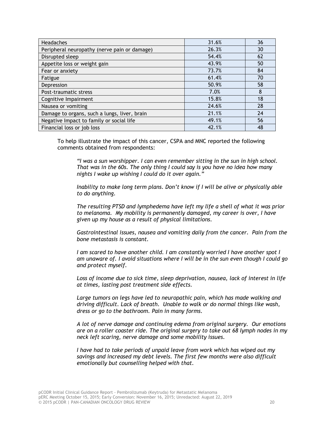| <b>Headaches</b>                             | 31.6% | 36 |
|----------------------------------------------|-------|----|
| Peripheral neuropathy (nerve pain or damage) | 26.3% | 30 |
| Disrupted sleep                              | 54.4% | 62 |
| Appetite loss or weight gain                 | 43.9% | 50 |
| Fear or anxiety                              | 73.7% | 84 |
| Fatigue                                      | 61.4% | 70 |
| Depression                                   | 50.9% | 58 |
| Post-traumatic stress                        | 7.0%  | 8  |
| Cognitive Impairment                         | 15.8% | 18 |
| Nausea or vomiting                           | 24.6% | 28 |
| Damage to organs, such a lungs, liver, brain | 21.1% | 24 |
| Negative Impact to family or social life     | 49.1% | 56 |
| Financial loss or job loss                   | 42.1% | 48 |

To help illustrate the impact of this cancer, CSPA and MNC reported the following comments obtained from respondents:

*"I was a sun worshipper. I can even remember sitting in the sun in high school. That was in the 60s. The only thing I could say is you have no idea how many nights I wake up wishing I could do it over again."*

*Inability to make long term plans. Don't know if I will be alive or physically able to do anything.*

*The resulting PTSD and lymphedema have left my life a shell of what it was prior to melanoma. My mobility is permanently damaged, my career is over, I have given up my house as a result of physical limitations.*

*Gastrointestinal issues, nausea and vomiting daily from the cancer. Pain from the bone metastasis is constant.*

*I am scared to have another child. I am constantly worried I have another spot I am unaware of. I avoid situations where I will be in the sun even though I could go and protect myself.*

*Loss of income due to sick time, sleep deprivation, nausea, lack of interest in life at times, lasting post treatment side effects.*

*Large tumors on legs have led to neuropathic pain, which has made walking and driving difficult. Lack of breath. Unable to walk or do normal things like wash, dress or go to the bathroom. Pain in many forms.*

*A lot of nerve damage and continuing edema from original surgery. Our emotions are on a roller coaster ride. The original surgery to take out 68 lymph nodes in my neck left scaring, nerve damage and some mobility issues.*

*I have had to take periods of unpaid leave from work which has wiped out my savings and increased my debt levels. The first few months were also difficult emotionally but counselling helped with that.*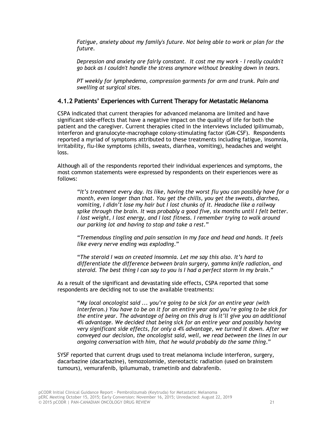*Fatigue, anxiety about my family's future. Not being able to work or plan for the future.*

*Depression and anxiety are fairly constant. It cost me my work - I really couldn't go back as I couldn't handle the stress anymore without breaking down in tears.*

*PT weekly for lymphedema, compression garments for arm and trunk. Pain and swelling at surgical sites.*

## **4.1.2 Patients' Experiences with Current Therapy for Metastatic Melanoma**

CSPA indicated that current therapies for advanced melanoma are limited and have significant side-effects that have a negative impact on the quality of life for both the patient and the caregiver. Current therapies cited in the interviews included ipilimumab, interferon and granulocyte-macrophage colony-stimulating factor (GM-CSF). Respondents reported a myriad of symptoms attributed to these treatments including fatigue, insomnia, irritability, flu-like symptoms (chills, sweats, diarrhea, vomiting), headaches and weight loss.

Although all of the respondents reported their individual experiences and symptoms, the most common statements were expressed by respondents on their experiences were as follows:

"*It's treatment every day. Its like, having the worst flu you can possibly have for a month, even longer than that. You get the chills, you get the sweats, diarrhea, vomiting, I didn't lose my hair but I lost chunks of it. Headache like a railway spike through the brain. It was probably a good five, six months until I felt better. I lost weight, I lost energy, and I lost fitness. I remember trying to walk around our parking lot and having to stop and take a rest.*"

"*Tremendous tingling and pain sensation in my face and head and hands. It feels like every nerve ending was exploding*."

"*The steroid I was on created insomnia. Let me say this also. It's hard to differentiate the difference between brain surgery, gamma knife radiation, and steroid. The best thing I can say to you is I had a perfect storm in my brain*."

As a result of the significant and devastating side effects, CSPA reported that some respondents are deciding not to use the available treatments:

"*My local oncologist said ... you're going to be sick for an entire year (with interferon.) You have to be on it for an entire year and you're going to be sick for the entire year. The advantage of being on this drug is it'll give you an additional 4% advantage. We decided that being sick for an entire year and possibly having very significant side effects, for only a 4% advantage, we turned it down. After we conveyed our decision, the oncologist said, well, we read between the lines in our ongoing conversation with him, that he would probably do the same thing*."

SYSF reported that current drugs used to treat melanoma include interferon, surgery, dacarbazine (dacarbazine), temozolomide, stereotactic radiation (used on brainstem tumours), vemurafenib, ipilumumab, trametinib and dabrafenib.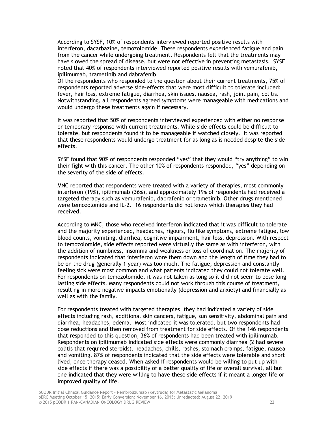According to SYSF, 10% of respondents interviewed reported positive results with interferon, dacarbazine, temozolomide. These respondents experienced fatigue and pain from the cancer while undergoing treatment. Respondents felt that the treatments may have slowed the spread of disease, but were not effective in preventing metastasis. SYSF noted that 40% of respondents interviewed reported positive results with vemurafenib, ipilimumab, trametinib and dabrafenib.

Of the respondents who responded to the question about their current treatments, 75% of respondents reported adverse side-effects that were most difficult to tolerate included: fever, hair loss, extreme fatigue, diarrhea, skin issues, nausea, rash, joint pain, colitis. Notwithstanding, all respondents agreed symptoms were manageable with medications and would undergo these treatments again if necessary.

It was reported that 50% of respondents interviewed experienced with either no response or temporary response with current treatments. While side effects could be difficult to tolerate, but respondents found it to be manageable if watched closely. It was reported that these respondents would undergo treatment for as long as is needed despite the side effects.

SYSF found that 90% of respondents responded "yes" that they would "try anything" to win their fight with this cancer. The other 10% of respondents responded, "yes" depending on the severity of the side of effects.

MNC reported that respondents were treated with a variety of therapies, most commonly interferon (19%), ipilimumab (36%), and approximately 19% of respondents had received a targeted therapy such as vemurafenib, dabrafenib or trametinib. Other drugs mentioned were temozolomide and IL-2. 16 respondents did not know which therapies they had received.

According to MNC, those who received interferon indicated that it was difficult to tolerate and the majority experienced, headaches, rigours, flu like symptoms, extreme fatigue, low blood counts, vomiting, diarrhea, cognitive impairment, hair loss, depression. With respect to temozolomide, side effects reported were virtually the same as with interferon, with the addition of numbness, insomnia and weakness or loss of coordination. The majority of respondents indicated that interferon wore them down and the length of time they had to be on the drug (generally 1 year) was too much. The fatigue, depression and constantly feeling sick were most common and what patients indicated they could not tolerate well. For respondents on temozolomide, it was not taken as long so it did not seem to pose long lasting side effects. Many respondents could not work through this course of treatment, resulting in more negative impacts emotionally (depression and anxiety) and financially as well as with the family.

For respondents treated with targeted therapies, they had indicated a variety of side effects including rash, additional skin cancers, fatigue, sun sensitivity, abdominal pain and diarrhea, headaches, edema. Most indicated it was tolerated, but two respondents had dose reductions and then removed from treatment for side effects. Of the 146 respondents that responded to this question, 36% of respondents had been treated with ipilimumab. Respondents on ipilimumab indicated side effects were commonly diarrhea (2 had severe colitis that required steroids), headaches, chills, rashes, stomach cramps, fatigue, nausea and vomiting. 87% of respondents indicated that the side effects were tolerable and short lived, once therapy ceased. When asked if respondents would be willing to put up with side effects if there was a possibility of a better quality of life or overall survival, all but one indicated that they were willing to have these side effects if it meant a longer life or improved quality of life.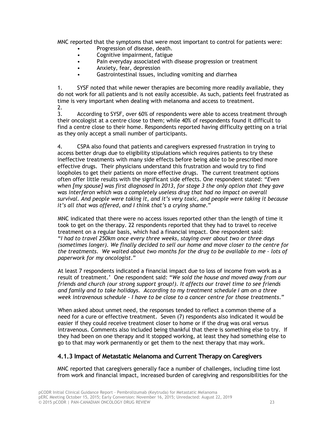MNC reported that the symptoms that were most important to control for patients were:

- Progression of disease, death.
- Cognitive impairment, fatigue
- Pain everyday associated with disease progression or treatment
- Anxiety, fear, depression
- Gastrointestinal issues, including vomiting and diarrhea

1. SYSF noted that while newer therapies are becoming more readily available, they do not work for all patients and is not easily accessible. As such, patients feel frustrated as time is very important when dealing with melanoma and access to treatment. 2.

3. According to SYSF, over 60% of respondents were able to access treatment through their oncologist at a centre close to them; while 40% of respondents found it difficult to find a centre close to their home. Respondents reported having difficulty getting on a trial as they only accept a small number of participants.

4. CSPA also found that patients and caregivers expressed frustration in trying to access better drugs due to eligibility stipulations which requires patients to try these ineffective treatments with many side effects before being able to be prescribed more effective drugs. Their physicians understand this frustration and would try to find loopholes to get their patients on more effective drugs. The current treatment options often offer little results with the significant side effects. One respondent stated: "*Even when [my spouse] was first diagnosed in 2013, for stage 3 the only option that they gave was interferon which was a completely useless drug that had no impact on overall survival. And people were taking it, and it's very toxic, and people were taking it because it's all that was offered, and I think that's a crying shame*."

MNC indicated that there were no access issues reported other than the length of time it took to get on the therapy. 22 respondents reported that they had to travel to receive treatment on a regular basis, which had a financial impact. One respondent said: "*I had to travel 250km once every three weeks, staying over about two or three days (sometimes longer). We finally decided to sell our home and move closer to the centre for the treatments. We waited about two months for the drug to be available to me - lots of paperwork for my oncologist*."

At least 7 respondents indicated a financial impact due to loss of income from work as a result of treatment.' One respondent said: "*We sold the house and moved away from our friends and church (our strong support group!). It affects our travel time to see friends and family and to take holidays. According to my treatment schedule I am on a three week intravenous schedule - I have to be close to a cancer centre for those treatments*."

When asked about unmet need, the responses tended to reflect a common theme of a need for a cure or effective treatment. Seven (7) respondents also indicated it would be easier if they could receive treatment closer to home or if the drug was oral versus intravenous. Comments also included being thankful that there is something else to try. If they had been on one therapy and it stopped working, at least they had something else to go to that may work permanently or get them to the next therapy that may work.

# **4.1.3 Impact of Metastatic Melanoma and Current Therapy on Caregivers**

MNC reported that caregivers generally face a number of challenges, including time lost from work and financial impact, increased burden of caregiving and responsibilities for the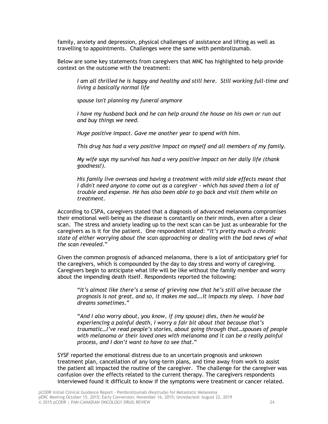family, anxiety and depression, physical challenges of assistance and lifting as well as travelling to appointments. Challenges were the same with pembrolizumab.

Below are some key statements from caregivers that MNC has highlighted to help provide context on the outcome with the treatment:

*I am all thrilled he is happy and healthy and still here. Still working full-time and living a basically normal life*

*spouse isn't planning my funeral anymore*

*I have my husband back and he can help around the house on his own or run out and buy things we need.*

*Huge positive impact. Gave me another year to spend with him.*

*This drug has had a very positive impact on myself and all members of my family.*

*My wife says my survival has had a very positive impact on her daily life (thank goodness!).*

*His family live overseas and having a treatment with mild side effects meant that I didn't need anyone to come out as a caregiver - which has saved them a lot of trouble and expense. He has also been able to go back and visit them while on treatment*.

According to CSPA, caregivers stated that a diagnosis of advanced melanoma compromises their emotional well-being as the disease is constantly on their minds, even after a clear scan. The stress and anxiety leading up to the next scan can be just as unbearable for the caregivers as is it for the patient. One respondent stated: "*It's pretty much a chronic state of either worrying about the scan approaching or dealing with the bad news of what the scan revealed*."

Given the common prognosis of advanced melanoma, there is a lot of anticipatory grief for the caregivers, which is compounded by the day to day stress and worry of caregiving. Caregivers begin to anticipate what life will be like without the family member and worry about the impending death itself. Respondents reported the following:

"*It's almost like there's a sense of grieving now that he's still alive because the prognosis is not great, and so, it makes me sad….It impacts my sleep. I have bad dreams sometimes*."

"*And I also worry about, you know, if (my spouse) dies, then he would be experiencing a painful death, I worry a fair bit about that because that's traumatic…I've read people's stories, about going through that…spouses of people with melanoma or their loved ones with melanoma and it can be a really painful process, and I don't want to have to see that*."

SYSF reported the emotional distress due to an uncertain prognosis and unknown treatment plan, cancellation of any long-term plans, and time away from work to assist the patient all impacted the routine of the caregiver. The challenge for the caregiver was confusion over the effects related to the current therapy. The caregivers respondents interviewed found it difficult to know if the symptoms were treatment or cancer related.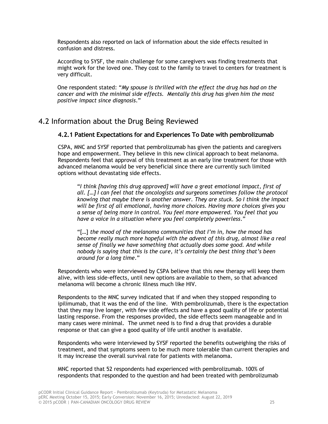Respondents also reported on lack of information about the side effects resulted in confusion and distress.

According to SYSF, the main challenge for some caregivers was finding treatments that might work for the loved one. They cost to the family to travel to centers for treatment is very difficult.

One respondent stated: "*My spouse is thrilled with the effect the drug has had on the cancer and with the minimal side effects. Mentally this drug has given him the most positive impact since diagnosis*."

# 4.2 Information about the Drug Being Reviewed

# **4.2.1 Patient Expectations for and Experiences To Date with pembrolizumab**

CSPA, MNC and SYSF reported that pembrolizumab has given the patients and caregivers hope and empowerment. They believe in this new clinical approach to beat melanoma. Respondents feel that approval of this treatment as an early line treatment for those with advanced melanoma would be very beneficial since there are currently such limited options without devastating side effects.

"*I think [having this drug approved] will have a great emotional impact, first of all. […] I can feel that the oncologists and surgeons sometimes follow the protocol knowing that maybe there is another answer. They are stuck. So I think the impact will be first of all emotional, having more choices. Having more choices gives you a sense of being more in control. You feel more empowered. You feel that you have a voice in a situation where you feel completely powerless*."

"[…] *the mood of the melanoma communities that I'm in, how the mood has become really much more hopeful with the advent of this drug, almost like a real sense of finally we have something that actually does some good. And while nobody is saying that this is the cure, it's certainly the best thing that's been around for a long time*."

Respondents who were interviewed by CSPA believe that this new therapy will keep them alive, with less side-effects, until new options are available to them, so that advanced melanoma will become a chronic illness much like HIV.

Respondents to the MNC survey indicated that if and when they stopped responding to ipilimumab, that it was the end of the line. With pembrolizumab, there is the expectation that they may live longer, with few side effects and have a good quality of life or potential lasting response. From the responses provided, the side effects seem manageable and in many cases were minimal. The unmet need is to find a drug that provides a durable response or that can give a good quality of life until another is available.

Respondents who were interviewed by SYSF reported the benefits outweighing the risks of treatment, and that symptoms seem to be much more tolerable than current therapies and it may increase the overall survival rate for patients with melanoma.

MNC reported that 52 respondents had experienced with pembrolizumab. 100% of respondents that responded to the question and had been treated with pembrolizumab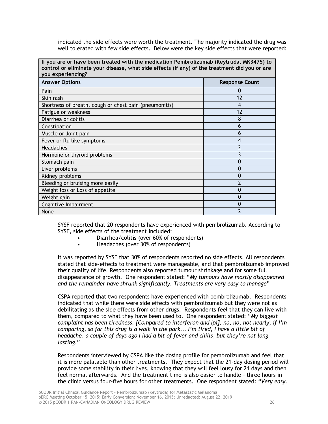indicated the side effects were worth the treatment. The majority indicated the drug was well tolerated with few side effects. Below were the key side effects that were reported:

| If you are or have been treated with the medication Pembrolizumab (Keytruda, MK3475) to<br>control or eliminate your disease, what side effects (if any) of the treatment did you or are<br>you experiencing? |                          |  |
|---------------------------------------------------------------------------------------------------------------------------------------------------------------------------------------------------------------|--------------------------|--|
| <b>Answer Options</b>                                                                                                                                                                                         | <b>Response Count</b>    |  |
| Pain                                                                                                                                                                                                          |                          |  |
| Skin rash                                                                                                                                                                                                     | 12                       |  |
| Shortness of breath, cough or chest pain (pneumonitis)                                                                                                                                                        | 4                        |  |
| Fatigue or weakness                                                                                                                                                                                           | 12                       |  |
| Diarrhea or colitis                                                                                                                                                                                           | 8                        |  |
| Constipation                                                                                                                                                                                                  | 6                        |  |
| Muscle or Joint pain                                                                                                                                                                                          | 6                        |  |
| Fever or flu like symptoms                                                                                                                                                                                    | 4                        |  |
| Headaches                                                                                                                                                                                                     |                          |  |
| Hormone or thyroid problems                                                                                                                                                                                   |                          |  |
| Stomach pain                                                                                                                                                                                                  |                          |  |
| Liver problems                                                                                                                                                                                                | 0                        |  |
| Kidney problems                                                                                                                                                                                               | 0                        |  |
| Bleeding or bruising more easily                                                                                                                                                                              | $\overline{\phantom{a}}$ |  |
| Weight loss or Loss of appetite                                                                                                                                                                               | N                        |  |
| Weight gain                                                                                                                                                                                                   | 0                        |  |
| Cognitive Impairment                                                                                                                                                                                          | 0                        |  |
| None                                                                                                                                                                                                          |                          |  |

SYSF reported that 20 respondents have experienced with pembrolizumab. According to SYSF, side effects of the treatment included:

- Diarrhea/colitis (over 60% of respondents)
- Headaches (over 30% of respondents)

It was reported by SYSF that 30% of respondents reported no side effects. All respondents stated that side-effects to treatment were manageable, and that pembrolizumab improved their quality of life. Respondents also reported tumour shrinkage and for some full disappearance of growth. One respondent stated: "*My tumours have mostly disappeared and the remainder have shrunk significantly. Treatments are very easy to manage*"

CSPA reported that two respondents have experienced with pembrolizumab. Respondents indicated that while there were side effects with pembrolizumab but they were not as debilitating as the side effects from other drugs. Respondents feel that they can live with them, compared to what they have been used to. One respondent stated: "*My biggest complaint has been tiredness. [Compared to interferon and Ipi], no, no, not nearly, if I'm comparing, so far this drug is a walk in the park... I'm tired, I have a little bit of headache, a couple of days ago I had a bit of fever and chills, but they're not long lasting*."

Respondents interviewed by CSPA like the dosing profile for pembrolizumab and feel that it is more palatable than other treatments. They expect that the 21-day dosing period will provide some stability in their lives, knowing that they will feel lousy for 21 days and then feel normal afterwards. And the treatment time is also easier to handle – three hours in the clinic versus four-five hours for other treatments. One respondent stated: "*Very easy.*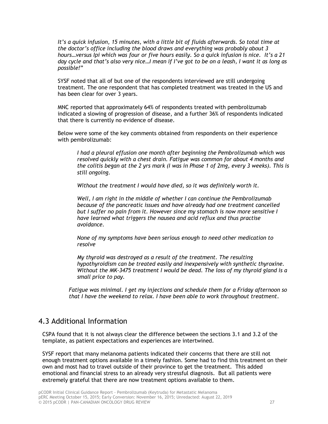*It's a quick infusion, 15 minutes, with a little bit of fluids afterwards. So total time at the doctor's office including the blood draws and everything was probably about 3 hours…versus Ipi which was four or five hours easily. So a quick infusion is nice. It's a 21 day cycle and that's also very nice…I mean if I've got to be on a leash, I want it as long as possible!*"

SYSF noted that all of but one of the respondents interviewed are still undergoing treatment. The one respondent that has completed treatment was treated in the US and has been clear for over 3 years.

MNC reported that approximately 64% of respondents treated with pembrolizumab indicated a slowing of progression of disease, and a further 36% of respondents indicated that there is currently no evidence of disease.

Below were some of the key comments obtained from respondents on their experience with pembrolizumab:

*I had a pleural effusion one month after beginning the Pembrolizumab which was resolved quickly with a chest drain. Fatigue was common for about 4 months and the colitis began at the 2 yrs mark (I was in Phase 1 of 2mg, every 3 weeks). This is still ongoing.*

*Without the treatment I would have died, so it was definitely worth it.*

*Well, I am right in the middle of whether I can continue the Pembrolizumab because of the pancreatic issues and have already had one treatment cancelled but I suffer no pain from it. However since my stomach is now more sensitive I have learned what triggers the nausea and acid reflux and thus practise avoidance.*

*None of my symptoms have been serious enough to need other medication to resolve*

*My thyroid was destroyed as a result of the treatment. The resulting hypothyroidism can be treated easily and inexpensively with synthetic thyroxine. Without the MK-3475 treatment I would be dead. The loss of my thyroid gland is a small price to pay.*

*Fatigue was minimal. I get my injections and schedule them for a Friday afternoon so that I have the weekend to relax. I have been able to work throughout treatment*.

# 4.3 Additional Information

CSPA found that it is not always clear the difference between the sections 3.1 and 3.2 of the template, as patient expectations and experiences are intertwined.

SYSF report that many melanoma patients indicated their concerns that there are still not enough treatment options available in a timely fashion. Some had to find this treatment on their own and most had to travel outside of their province to get the treatment. This added emotional and financial stress to an already very stressful diagnosis. But all patients were extremely grateful that there are now treatment options available to them.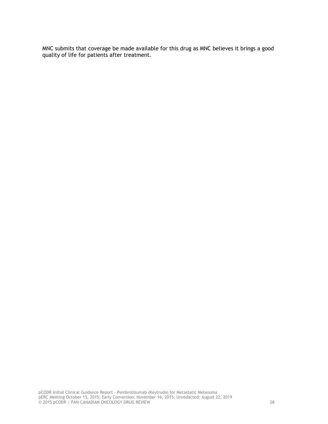MNC submits that coverage be made available for this drug as MNC believes it brings a good quality of life for patients after treatment.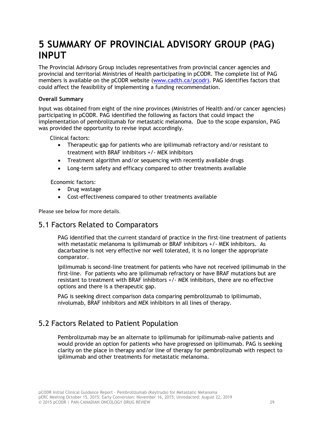# <span id="page-32-0"></span>**5 SUMMARY OF PROVINCIAL ADVISORY GROUP (PAG) INPUT**

The Provincial Advisory Group includes representatives from provincial cancer agencies and provincial and territorial Ministries of Health participating in pCODR. The complete list of PAG members is available on the pCODR website [\(www.cadth.ca/pcodr\)](http://www.cadth.ca/pcodr). PAG identifies factors that could affect the feasibility of implementing a funding recommendation.

## **Overall Summary**

Input was obtained from eight of the nine provinces (Ministries of Health and/or cancer agencies) participating in pCODR. PAG identified the following as factors that could impact the implementation of pembrolizumab for metastatic melanoma. Due to the scope expansion, PAG was provided the opportunity to revise input accordingly.

Clinical factors:

- Therapeutic gap for patients who are ipilimumab refractory and/or resistant to treatment with BRAF inhibitors +/- MEK inhibitors
- Treatment algorithm and/or sequencing with recently available drugs
- Long-term safety and efficacy compared to other treatments available

Economic factors:

- Drug wastage
- Cost-effectiveness compared to other treatments available

Please see below for more details.

# 5.1 Factors Related to Comparators

PAG identified that the current standard of practice in the first-line treatment of patients with metastatic melanoma is ipilimumab or BRAF inhibitors +/- MEK inhibitors. As dacarbazine is not very effective nor well tolerated, it is no longer the appropriate comparator.

Ipilimumab is second-line treatment for patients who have not received ipilimumab in the first-line. For patients who are ipilimumab refractory or have BRAF mutations but are resistant to treatment with BRAF inhibitors +/- MEK inhibitors, there are no effective options and there is a therapeutic gap.

PAG is seeking direct comparison data comparing pembrolizumab to ipilimumab, nivolumab, BRAF inhibitors and MEK inhibitors in all lines of therapy.

# 5.2 Factors Related to Patient Population

Pembrolizumab may be an alternate to ipilimumab for ipilimumab-naïve patients and would provide an option for patients who have progressed on ipilimumab. PAG is seeking clarity on the place in therapy and/or line of therapy for pembrolizumab with respect to ipilimumab and other treatments for metastatic melanoma.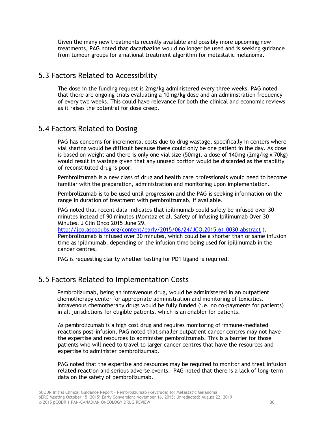Given the many new treatments recently available and possibly more upcoming new treatments, PAG noted that dacarbazine would no longer be used and is seeking guidance from tumour groups for a national treatment algorithm for metastatic melanoma.

# 5.3 Factors Related to Accessibility

The dose in the funding request is 2mg/kg administered every three weeks. PAG noted that there are ongoing trials evaluating a 10mg/kg dose and an administration frequency of every two weeks. This could have relevance for both the clinical and economic reviews as it raises the potential for dose creep.

# 5.4 Factors Related to Dosing

PAG has concerns for incremental costs due to drug wastage, specifically in centers where vial sharing would be difficult because there could only be one patient in the day. As dose is based on weight and there is only one vial size (50mg), a dose of 140mg (2mg/kg x 70kg) would result in wastage given that any unused portion would be discarded as the stability of reconstituted drug is poor.

Pembrolizumab is a new class of drug and health care professionals would need to become familiar with the preparation, administration and monitoring upon implementation.

Pembrolizumab is to be used until progression and the PAG is seeking information on the range in duration of treatment with pembrolizumab, if available.

PAG noted that recent data indicates that ipilimumab could safely be infused over 30 minutes instead of 90 minutes (Momtaz et al. Safety of Infusing Ipilimumab Over 30 Minutes. J Clin Onco 2015 June 29.

<http://jco.ascopubs.org/content/early/2015/06/24/JCO.2015.61.0030.abstract>). Pembrolizumab is infused over 30 minutes, which could be a shorter than or same infusion time as ipilimumab, depending on the infusion time being used for ipilimumab in the cancer centres.

PAG is requesting clarity whether testing for PD1 ligand is required.

# 5.5 Factors Related to Implementation Costs

Pembrolizumab, being an intravenous drug, would be administered in an outpatient chemotherapy center for appropriate administration and monitoring of toxicities. Intravenous chemotherapy drugs would be fully funded (i.e. no co-payments for patients) in all jurisdictions for eligible patients, which is an enabler for patients.

As pembrolizumab is a high cost drug and requires monitoring of immune-mediated reactions post-infusion, PAG noted that smaller outpatient cancer centres may not have the expertise and resources to administer pembrolizumab. This is a barrier for those patients who will need to travel to larger cancer centres that have the resources and expertise to administer pembrolizumab.

PAG noted that the expertise and resources may be required to monitor and treat infusion related reaction and serious adverse events. PAG noted that there is a lack of long-term data on the safety of pembrolizumab.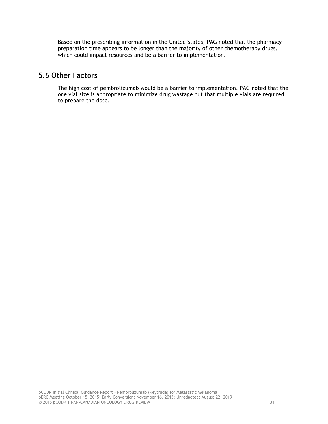Based on the prescribing information in the United States, PAG noted that the pharmacy preparation time appears to be longer than the majority of other chemotherapy drugs, which could impact resources and be a barrier to implementation.

# 5.6 Other Factors

The high cost of pembrolizumab would be a barrier to implementation. PAG noted that the one vial size is appropriate to minimize drug wastage but that multiple vials are required to prepare the dose.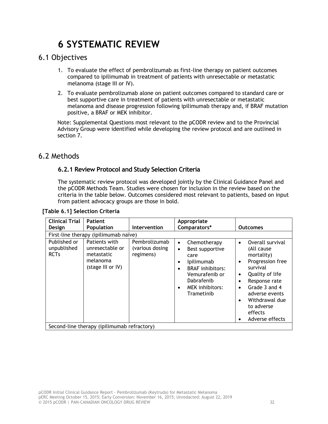# **6 SYSTEMATIC REVIEW**

# <span id="page-35-1"></span><span id="page-35-0"></span>6.1 Objectives

- 1. To evaluate the effect of pembrolizumab as first-line therapy on patient outcomes compared to ipilimumab in treatment of patients with unresectable or metastatic melanoma (stage III or IV).
- 2. To evaluate pembrolizumab alone on patient outcomes compared to standard care or best supportive care in treatment of patients with unresectable or metastatic melanoma and disease progression following ipilimumab therapy and, if BRAF mutation positive, a BRAF or MEK inhibitor.

Note: Supplemental Questions most relevant to the pCODR review and to the Provincial Advisory Group were identified while developing the review protocol and are outlined in section 7.

# <span id="page-35-2"></span>6.2 Methods

# **6.2.1 Review Protocol and Study Selection Criteria**

The systematic review protocol was developed jointly by the Clinical Guidance Panel and the pCODR Methods Team. Studies were chosen for inclusion in the review based on the criteria in the table below. Outcomes considered most relevant to patients, based on input from patient advocacy groups are those in bold.

| <b>Clinical Trial</b>                      | <b>Patient</b>                                                                  |                                               | Appropriate                                                                                                                                                                                                       |                                                                                                                                                                                                                                                                                              |
|--------------------------------------------|---------------------------------------------------------------------------------|-----------------------------------------------|-------------------------------------------------------------------------------------------------------------------------------------------------------------------------------------------------------------------|----------------------------------------------------------------------------------------------------------------------------------------------------------------------------------------------------------------------------------------------------------------------------------------------|
| Design                                     | Population                                                                      | Intervention                                  | Comparators*                                                                                                                                                                                                      | <b>Outcomes</b>                                                                                                                                                                                                                                                                              |
| First-line therapy (ipilimumab naïve)      |                                                                                 |                                               |                                                                                                                                                                                                                   |                                                                                                                                                                                                                                                                                              |
| Published or<br>unpublished<br><b>RCTs</b> | Patients with<br>unresectable or<br>metastatic<br>melanoma<br>(stage III or IV) | Pembrolizumab<br>(various dosing<br>regimens) | Chemotherapy<br>$\bullet$<br>Best supportive<br>$\bullet$<br>care<br>Ipilimumab<br>٠<br><b>BRAF</b> inhibitors:<br>$\bullet$<br>Vemurafenib or<br>Dabrafenib<br><b>MEK</b> inhibitors:<br>$\bullet$<br>Trametinib | Overall survival<br>$\bullet$<br>(All cause<br>mortality)<br>Progression free<br>٠<br>survival<br>Quality of life<br>$\bullet$<br>Response rate<br>$\bullet$<br>Grade 3 and 4<br>$\bullet$<br>adverse events<br>Withdrawal due<br>$\bullet$<br>to adverse<br>effects<br>Adverse effects<br>٠ |
|                                            | Second-line therapy (ipilimumab refractory)                                     |                                               |                                                                                                                                                                                                                   |                                                                                                                                                                                                                                                                                              |

#### **[Table 6.1] Selection Criteria**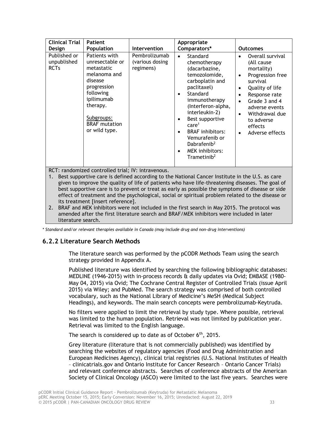| <b>Clinical Trial</b><br>Design                          | <b>Patient</b><br>Population                                                                                                                                                                                                                | Intervention                                  | Appropriate<br>Comparators*                                                                                                                                                                                                                                                                                                                                                             | <b>Outcomes</b>                                                                                                                                                                                                                                                                                      |
|----------------------------------------------------------|---------------------------------------------------------------------------------------------------------------------------------------------------------------------------------------------------------------------------------------------|-----------------------------------------------|-----------------------------------------------------------------------------------------------------------------------------------------------------------------------------------------------------------------------------------------------------------------------------------------------------------------------------------------------------------------------------------------|------------------------------------------------------------------------------------------------------------------------------------------------------------------------------------------------------------------------------------------------------------------------------------------------------|
| Published or<br>unpublished<br><b>RCTs</b><br>$\sim$ $-$ | Patients with<br>unresectable or<br>metastatic<br>melanoma and<br>disease<br>progression<br>following<br>ipilimumab<br>therapy.<br>Subgroups:<br><b>BRAF</b> mutation<br>or wild type.<br>$\mathbf{1}$ . The set of the set of $\mathbf{1}$ | Pembrolizumab<br>(various dosing<br>regimens) | Standard<br>$\bullet$<br>chemotherapy<br>(dacarbazine,<br>temozolomide,<br>carboplatin and<br>paclitaxel)<br>Standard<br>$\bullet$<br>immunotherapy<br>(Interferon-alpha,<br>interleukin-2)<br>Best supportive<br>٠<br>care <sup>1</sup><br><b>BRAF</b> inhibitors:<br>$\bullet$<br>Vemurafenib or<br>Dabrafenib <sup>2</sup><br><b>MEK</b> inhibitors:<br>٠<br>Trametinib <sup>2</sup> | Overall survival<br>$\bullet$<br>(All cause<br>mortality)<br>Progression free<br>$\bullet$<br>survival<br>Quality of life<br>$\bullet$<br>Response rate<br>٠<br>Grade 3 and 4<br>$\bullet$<br>adverse events<br>Withdrawal due<br>$\bullet$<br>to adverse<br>effects<br>Adverse effects<br>$\bullet$ |

RCT: randomized controlled trial; IV: intravenous.

1. Best supportive care is defined according to the National Cancer Institute in the U.S. as care given to improve the quality of life of patients who have life-threatening diseases. The goal of best supportive care is to prevent or treat as early as possible the symptoms of disease or side effect of treatment and the psychological, social or spiritual problem related to the disease or its treatment [insert reference].

2. BRAF and MEK inhibitors were not included in the first search in May 2015. The protocol was amended after the first literature search and BRAF/MEK inhibitors were included in later literature search.

*\* Standard and/or relevant therapies available in Canada (may include drug and non-drug interventions)*

## **6.2.2 Literature Search Methods**

The literature search was performed by the pCODR Methods Team using the search strategy provided in Appendix A.

Published literature was identified by searching the following bibliographic databases: MEDLINE (1946-2015) with in-process records & daily updates via Ovid; EMBASE (1980- May 04, 2015) via Ovid; The Cochrane Central Register of Controlled Trials (issue April 2015) via Wiley; and PubMed. The search strategy was comprised of both controlled vocabulary, such as the National Library of Medicine's MeSH (Medical Subject Headings), and keywords. The main search concepts were pembrolizumab-Keytruda.

No filters were applied to limit the retrieval by study type. Where possible, retrieval was limited to the human population. Retrieval was not limited by publication year. Retrieval was limited to the English language.

The search is considered up to date as of October  $6<sup>th</sup>$ , 2015.

Grey literature (literature that is not commercially published) was identified by searching the websites of regulatory agencies (Food and Drug Administration and European Medicines Agency), clinical trial registries (U.S. National Institutes of Health – clinicatrials.gov and Ontario Institute for Cancer Research – Ontario Cancer Trials) and relevant conference abstracts. Searches of conference abstracts of the American Society of Clinical Oncology (ASCO) were limited to the last five years. Searches were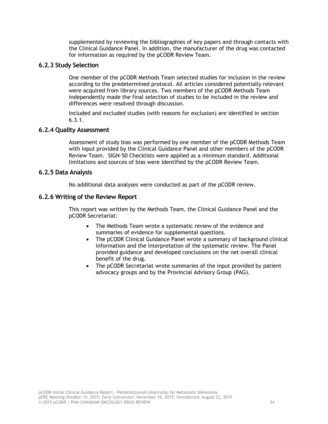supplemented by reviewing the bibliographies of key papers and through contacts with the Clinical Guidance Panel. In addition, the manufacturer of the drug was contacted for information as required by the pCODR Review Team.

## **6.2.3 Study Selection**

One member of the pCODR Methods Team selected studies for inclusion in the review according to the predetermined protocol. All articles considered potentially relevant were acquired from library sources. Two members of the pCODR Methods Team independently made the final selection of studies to be included in the review and differences were resolved through discussion.

Included and excluded studies (with reasons for exclusion) are identified in section 6.3.1.

## **6.2.4 Quality Assessment**

Assessment of study bias was performed by one member of the pCODR Methods Team with input provided by the Clinical Guidance Panel and other members of the pCODR Review Team. SIGN-50 Checklists were applied as a minimum standard. Additional limitations and sources of bias were identified by the pCODR Review Team.

## **6.2.5 Data Analysis**

No additional data analyses were conducted as part of the pCODR review.

## **6.2.6 Writing of the Review Report**

This report was written by the Methods Team, the Clinical Guidance Panel and the pCODR Secretariat:

- The Methods Team wrote a systematic review of the evidence and summaries of evidence for supplemental questions.
- The pCODR Clinical Guidance Panel wrote a summary of background clinical information and the interpretation of the systematic review. The Panel provided guidance and developed conclusions on the net overall clinical benefit of the drug.
- The pCODR Secretariat wrote summaries of the input provided by patient advocacy groups and by the Provincial Advisory Group (PAG).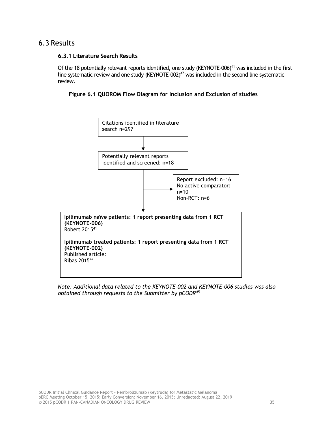# <span id="page-38-0"></span>6.3 Results

#### **6.3.1 Literature Search Results**

Of the 18 potentially relevant reports identified, one study (KEYNOTE-006)<sup>41</sup> was included in the first line systematic review and one study (KEYNOTE-002)<sup>42</sup> was included in the second line systematic review.





*Note: Additional data related to the KEYNOTE-002 and KEYNOTE-006 studies was also obtained through requests to the Submitter by pCODR<sup>45</sup>*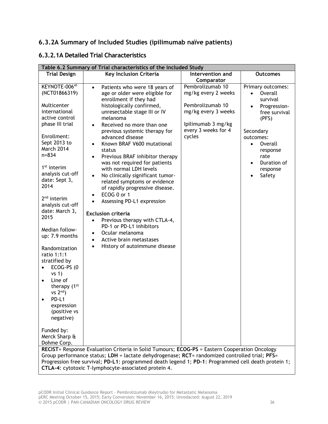# **6.3.2A Summary of Included Studies (ipilimumab naïve patients)**

# **6.3.2.1A Detailed Trial Characteristics**

| Table 6.2 Summary of Trial characteristics of the included Study                                                                                                                                                                                                                                                                                                                                                           |                                                                                                                                                                                                                                                                                                                                                                                                                                                                                                                                                                                                                                                                                                                                                                                                                                                                        |                                                                                                                                                                             |                                                                                                                                                                                                                         |  |
|----------------------------------------------------------------------------------------------------------------------------------------------------------------------------------------------------------------------------------------------------------------------------------------------------------------------------------------------------------------------------------------------------------------------------|------------------------------------------------------------------------------------------------------------------------------------------------------------------------------------------------------------------------------------------------------------------------------------------------------------------------------------------------------------------------------------------------------------------------------------------------------------------------------------------------------------------------------------------------------------------------------------------------------------------------------------------------------------------------------------------------------------------------------------------------------------------------------------------------------------------------------------------------------------------------|-----------------------------------------------------------------------------------------------------------------------------------------------------------------------------|-------------------------------------------------------------------------------------------------------------------------------------------------------------------------------------------------------------------------|--|
| <b>Trial Design</b>                                                                                                                                                                                                                                                                                                                                                                                                        |                                                                                                                                                                                                                                                                                                                                                                                                                                                                                                                                                                                                                                                                                                                                                                                                                                                                        |                                                                                                                                                                             | <b>Outcomes</b>                                                                                                                                                                                                         |  |
|                                                                                                                                                                                                                                                                                                                                                                                                                            |                                                                                                                                                                                                                                                                                                                                                                                                                                                                                                                                                                                                                                                                                                                                                                                                                                                                        |                                                                                                                                                                             |                                                                                                                                                                                                                         |  |
| KEYNOTE-00641<br>(NCT01866319)<br>Multicenter<br>international<br>active control<br>phase III trial<br>Enrollment:<br>Sept 2013 to<br>March 2014<br>$n = 834$<br>1 <sup>st</sup> interim<br>analysis cut-off<br>date: Sept 3,<br>2014<br>$2nd$ interim<br>analysis cut-off<br>date: March 3,<br>2015<br>Median follow-<br>up: 7.9 months<br>Randomization<br>ratio 1:1:1<br>stratified by<br>ECOG-PS (0<br>vs <sub>1</sub> | Key Inclusion Criteria<br>Patients who were 18 years of<br>$\bullet$<br>age or older were eligible for<br>enrollment if they had<br>histologically confirmed,<br>unresectable stage III or IV<br>melanoma<br>Received no more than one<br>$\bullet$<br>previous systemic therapy for<br>advanced disease<br>Known BRAF V600 mutational<br>status<br>Previous BRAF inhibitor therapy<br>was not required for patients<br>with normal LDH levels<br>No clinically significant tumor-<br>$\bullet$<br>related symptoms or evidence<br>of rapidly progressive disease.<br>ECOG 0 or 1<br>$\bullet$<br>Assessing PD-L1 expression<br>$\bullet$<br><b>Exclusion criteria</b><br>Previous therapy with CTLA-4,<br>$\bullet$<br>PD-1 or PD-L1 inhibitors<br>Ocular melanoma<br>$\bullet$<br>Active brain metastases<br>$\bullet$<br>History of autoimmune disease<br>$\bullet$ | Intervention and<br>Comparator<br>Pembrolizumab 10<br>mg/kg every 2 weeks<br>Pembrolizumab 10<br>mg/kg every 3 weeks<br>Ipilimumab 3 mg/kg<br>every 3 weeks for 4<br>cycles | Primary outcomes:<br>Overall<br>survival<br>Progression-<br>free survival<br>(PFS)<br>Secondary<br>outcomes:<br>Overall<br>$\bullet$<br>response<br>rate<br>Duration of<br>$\bullet$<br>response<br>Safety<br>$\bullet$ |  |
| Line of<br>$\bullet$<br>therapy (1 <sup>st</sup><br>$vs 2nd$ )<br>PD-L1<br>$\bullet$<br>expression<br>(positive vs<br>negative)                                                                                                                                                                                                                                                                                            |                                                                                                                                                                                                                                                                                                                                                                                                                                                                                                                                                                                                                                                                                                                                                                                                                                                                        |                                                                                                                                                                             |                                                                                                                                                                                                                         |  |
| Funded by:<br>Merck Sharp &<br>Dohme Corp.                                                                                                                                                                                                                                                                                                                                                                                 |                                                                                                                                                                                                                                                                                                                                                                                                                                                                                                                                                                                                                                                                                                                                                                                                                                                                        |                                                                                                                                                                             |                                                                                                                                                                                                                         |  |
|                                                                                                                                                                                                                                                                                                                                                                                                                            | RECIST= Response Evaluation Criteria in Solid Tumours; ECOG-PS = Eastern Cooperation Oncology<br>Group performance status; LDH = lactate dehydrogenase; RCT= randomized controlled trial; PFS=<br>Progression free survival; PD-L1: programmed death legend 1; PD-1: Programmed cell death protein 1;<br>CTLA-4: cytotoxic T-lymphocyte-associated protein 4.                                                                                                                                                                                                                                                                                                                                                                                                                                                                                                          |                                                                                                                                                                             |                                                                                                                                                                                                                         |  |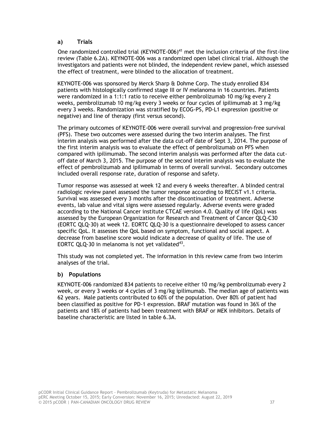## **a) Trials**

One randomized controlled trial (KEYNOTE-006)<sup>41</sup> met the inclusion criteria of the first-line review (Table 6.2A). KEYNOTE-006 was a randomized open label clinical trial. Although the investigators and patients were not blinded, the independent review panel, which assessed the effect of treatment, were blinded to the allocation of treatment.

KEYNOTE-006 was sponsored by Merck Sharp & Dohme Corp. The study enrolled 834 patients with histologically confirmed stage III or IV melanoma in 16 countries. Patients were randomized in a 1:1:1 ratio to receive either pembrolizumab 10 mg/kg every 2 weeks, pembrolizumab 10 mg/kg every 3 weeks or four cycles of ipilimumab at 3 mg/kg every 3 weeks. Randomization was stratified by ECOG-PS, PD-L1 expression (positive or negative) and line of therapy (first versus second).

The primary outcomes of KEYNOTE-006 were overall survival and progression-free survival (PFS). These two outcomes were assessed during the two interim analyses. The first interim analysis was performed after the data cut-off date of Sept 3, 2014. The purpose of the first interim analysis was to evaluate the effect of pembrolizumab on PFS when compared with ipilimumab. The second interim analysis was performed after the data cutoff date of March 3, 2015. The purpose of the second interim analysis was to evaluate the effect of pembrolizumab and ipilimumab in terms of overall survival. Secondary outcomes included overall response rate, duration of response and safety.

Tumor response was assessed at week 12 and every 6 weeks thereafter. A blinded central radiologic review panel assessed the tumor response according to RECIST v1.1 criteria. Survival was assessed every 3 months after the discontinuation of treatment. Adverse events, lab value and vital signs were assessed regularly. Adverse events were graded according to the National Cancer institute CTCAE version 4.0. Quality of life (QoL) was assessed by the European Organization for Research and Treatment of Cancer QLQ-C30 (EORTC QLQ-30) at week 12. EORTC QLQ-30 is a questionnaire developed to assess cancer specific QoL. It assesses the QoL based on symptom, functional and social aspect. A decrease from baseline score would indicate a decrease of quality of life. The use of EORTC QLQ-30 in melanoma is not yet validated $43$ .

This study was not completed yet. The information in this review came from two interim analyses of the trial.

#### **b) Populations**

KEYNOTE-006 randomized 834 patients to receive either 10 mg/kg pembrolizumab every 2 week, or every 3 weeks or 4 cycles of 3 mg/kg ipilimumab. The median age of patients was 62 years. Male patients contributed to 60% of the population. Over 80% of patient had been classified as positive for PD-1 expression. BRAF mutation was found in 36% of the patients and 18% of patients had been treatment with BRAF or MEK inhibitors. Details of baseline characteristic are listed in table 6.3A.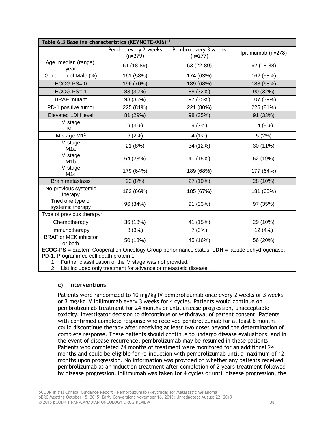| Table 6.3 Baseline characteristics (KEYNOTE-006) <sup>41</sup>                                       |                                   |                                   |                    |  |
|------------------------------------------------------------------------------------------------------|-----------------------------------|-----------------------------------|--------------------|--|
|                                                                                                      | Pembro every 2 weeks<br>$(n=279)$ | Pembro every 3 weeks<br>$(n=277)$ | Ipilimumab (n=278) |  |
| Age, median (range),<br>year                                                                         | 61 (18-89)                        | 63 (22-89)                        | 62 (18-88)         |  |
| Gender, n of Male (%)                                                                                | 161 (58%)                         | 174 (63%)                         | 162 (58%)          |  |
| $ECOG PS = 0$                                                                                        | 196 (70%)                         | 189 (68%)                         | 188 (68%)          |  |
| ECOG PS=1                                                                                            | 83 (30%)                          | 88 (32%)                          | 90 (32%)           |  |
| <b>BRAF</b> mutant                                                                                   | 98 (35%)                          | 97 (35%)                          | 107 (39%)          |  |
| PD-1 positive tumor                                                                                  | 225 (81%)                         | 221 (80%)                         | 225 (81%)          |  |
| <b>Elevated LDH level</b>                                                                            | 81 (29%)                          | 98 (35%)                          | 91 (33%)           |  |
| M stage<br>M <sub>0</sub>                                                                            | 9(3%)                             | 9(3%)                             | 14 (5%)            |  |
| M stage M1 <sup>1</sup>                                                                              | 6(2%)                             | 4(1%)                             | 5(2%)              |  |
| M stage<br>M <sub>1</sub> a                                                                          | 21 (8%)                           | 34 (12%)                          | 30 (11%)           |  |
| M stage<br>M <sub>1</sub> b                                                                          | 64 (23%)                          | 41 (15%)                          | 52 (19%)           |  |
| M stage<br>M <sub>1</sub> c                                                                          | 179 (64%)                         | 189 (68%)                         | 177 (64%)          |  |
| <b>Brain metastasis</b>                                                                              | 23 (8%)                           | 27 (10%)                          | 28 (10%)           |  |
| No previous systemic<br>therapy                                                                      | 183 (66%)                         | 185 (67%)                         | 181 (65%)          |  |
| Tried one type of<br>systemic therapy                                                                | 96 (34%)                          | 91 (33%)                          | 97 (35%)           |  |
| Type of previous therapy <sup>2</sup>                                                                |                                   |                                   |                    |  |
| Chemotherapy                                                                                         | 36 (13%)                          | 41 (15%)                          | 29 (10%)           |  |
| Immunotherapy                                                                                        | 8(3%)                             | 7(3%)                             | 12 (4%)            |  |
| <b>BRAF</b> or MEK inhibitor<br>or both                                                              | 50 (18%)                          | 45 (16%)                          | 56 (20%)           |  |
| <b>ECOG-PS</b> = Eastern Cooperation Oncology Group performance status; LDH = lactate dehydrogenase; |                                   |                                   |                    |  |

**PD-1**: Programmed cell death protein 1.

1. Further classification of the M stage was not provided.

2. List included only treatment for advance or metastatic disease.

## **c) Interventions**

Patients were randomized to 10 mg/kg IV pembrolizumab once every 2 weeks or 3 weeks or 3 mg/kg IV ipilimumab every 3 weeks for 4 cycles. Patients would continue on pembrolizumab treatment for 24 months or until disease progression, unacceptable toxicity, investigator decision to discontinue or withdrawal of patient consent. Patients with confirmed complete response who received pembrolizumab for at least 6 months could discontinue therapy after receiving at least two doses beyond the determination of complete response. These patients should continue to undergo disease evaluations, and in the event of disease recurrence, pembrolizumab may be resumed in these patients. Patients who completed 24 months of treatment were monitored for an additional 24 months and could be eligible for re-induction with pembrolizumab until a maximum of 12 months upon progression. No information was provided on whether any patients received pembrolizumab as an induction treatment after completion of 2 years treatment followed by disease progression. Ipilimumab was taken for 4 cycles or until disease progression, the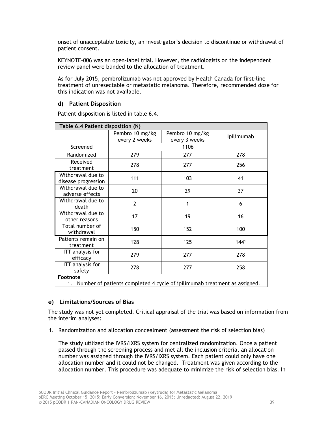onset of unacceptable toxicity, an investigator's decision to discontinue or withdrawal of patient consent.

KEYNOTE-006 was an open-label trial. However, the radiologists on the independent review panel were blinded to the allocation of treatment.

As for July 2015, pembrolizumab was not approved by Health Canada for first-line treatment of unresectable or metastatic melanoma. Therefore, recommended dose for this indication was not available.

#### **d) Patient Disposition**

| Table 6.4 Patient disposition (N)                                               |                                  |                                  |                  |
|---------------------------------------------------------------------------------|----------------------------------|----------------------------------|------------------|
|                                                                                 | Pembro 10 mg/kg<br>every 2 weeks | Pembro 10 mg/kg<br>every 3 weeks | Ipilimumab       |
| Screened                                                                        |                                  | 1106                             |                  |
| Randomized                                                                      | 279                              | 277                              | 278              |
| Received<br>treatment                                                           | 278                              | 277                              | 256              |
| Withdrawal due to<br>disease progression                                        | 111                              | 103                              | 41               |
| Withdrawal due to<br>adverse effects                                            | 20                               | 29                               | 37               |
| Withdrawal due to<br>death                                                      | $\overline{2}$                   | 1                                | 6                |
| Withdrawal due to<br>other reasons                                              | 17                               | 19                               | 16               |
| Total number of<br>withdrawal                                                   | 150                              | 152                              | 100              |
| Patients remain on<br>treatment                                                 | 128                              | 125                              | 144 <sup>1</sup> |
| ITT analysis for<br>efficacy                                                    | 279                              | 277                              | 278              |
| ITT analysis for<br>safety                                                      | 278                              | 277                              | 258              |
| Footnote                                                                        |                                  |                                  |                  |
| Number of patients completed 4 cycle of ipilimumab treatment as assigned.<br>1. |                                  |                                  |                  |

Patient disposition is listed in table 6.4.

## **e) Limitations/Sources of Bias**

The study was not yet completed. Critical appraisal of the trial was based on information from the interim analyses:

1. Randomization and allocation concealment (assessment the risk of selection bias)

The study utilized the IVRS/IXRS system for centralized randomization. Once a patient passed through the screening process and met all the inclusion criteria, an allocation number was assigned through the IVRS/IXRS system. Each patient could only have one allocation number and it could not be changed. Treatment was given according to the allocation number. This procedure was adequate to minimize the risk of selection bias. In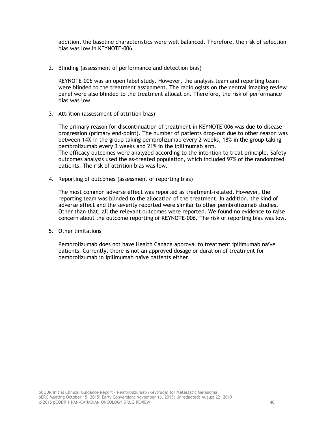addition, the baseline characteristics were well balanced. Therefore, the risk of selection bias was low in KEYNOTE-006

2. Blinding (assessment of performance and detection bias)

KEYNOTE-006 was an open label study. However, the analysis team and reporting team were blinded to the treatment assignment. The radiologists on the central imaging review panel were also blinded to the treatment allocation. Therefore, the risk of performance bias was low.

3. Attrition (assessment of attrition bias)

The primary reason for discontinuation of treatment in KEYNOTE-006 was due to disease progression (primary end-point). The number of patients drop-out due to other reason was between 14% in the group taking pembrolizumab every 2 weeks, 18% in the group taking pembrolizumab every 3 weeks and 21% in the ipilimumab arm. The efficacy outcomes were analyzed according to the intention to treat principle. Safety outcomes analysis used the as-treated population, which included 97% of the randomized

4. Reporting of outcomes (assessment of reporting bias)

patients. The risk of attrition bias was low.

The most common adverse effect was reported as treatment-related. However, the reporting team was blinded to the allocation of the treatment. In addition, the kind of adverse effect and the severity reported were similar to other pembrolizumab studies. Other than that, all the relevant outcomes were reported. We found no evidence to raise concern about the outcome reporting of KEYNOTE-006. The risk of reporting bias was low.

5. Other limitations

Pembrolizumab does not have Health Canada approval to treatment ipilimumab naïve patients. Currently, there is not an approved dosage or duration of treatment for pembrolizumab in ipilimumab naïve patients either.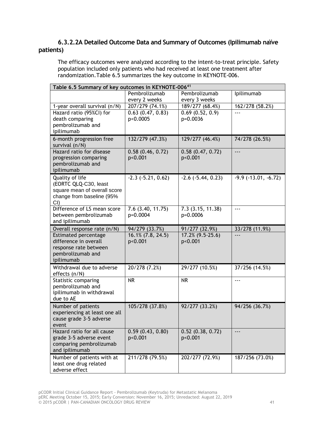# **6.3.2.2A Detailed Outcome Data and Summary of Outcomes (Ipilimumab naïve patients)**

The efficacy outcomes were analyzed according to the intent-to-treat principle. Safety population included only patients who had received at least one treatment after randomization.Table 6.5 summarizes the key outcome in KEYNOTE-006.

|                                                                                                              | Table 6.5 Summary of key outcomes in KEYNOTE-00641 |                                  |                            |  |
|--------------------------------------------------------------------------------------------------------------|----------------------------------------------------|----------------------------------|----------------------------|--|
|                                                                                                              | Pembrolizumab<br>every 2 weeks                     | Pembrolizumab<br>every 3 weeks   | Ipilimumab                 |  |
| 1-year overall survival (n/N)                                                                                | 207/279 (74.1%)                                    | 189/277 (68.4%)                  | 162/278 (58.2%)            |  |
| Hazard ratio (95%Cl) for<br>death comparing<br>pembrolizumab and<br>ipilimumab                               | $0.63$ $(0.47, 0.83)$<br>p<0.0005                  | 0.69(0.52, 0.9)<br>p=0.0036      | $- - -$                    |  |
| 6-month progression free<br>survival (n/N)                                                                   | 132/279 (47.3%)                                    | 129/277 (46.4%)                  | 74/278 (26.5%)             |  |
| Hazard ratio for disease<br>progression comparing<br>pembrolizumab and<br>ipilimumab                         | 0.58(0.46, 0.72)<br>p<0.001                        | 0.58(0.47, 0.72)<br>p<0.001      | $\overline{\phantom{a}}$   |  |
| Quality of life<br>(EORTC QLQ-C30, least<br>square mean of overall score<br>change from baseline (95%<br>CI) | $-2.3$ $(-5.21, 0.62)$                             | $-2.6$ $(-5.44, 0.23)$           | $-9.9$ ( $-13.01, -6.72$ ) |  |
| Difference of LS mean score<br>between pembrolizumab<br>and ipilimumab                                       | $7.6$ $(3.40, 11.75)$<br>p=0.0004                  | 7.3(3.15, 11.38)<br>p=0.0006     |                            |  |
| Overall response rate (n/N)                                                                                  | 94/279 (33.7%)                                     | 91/277 (32.9%)                   | 33/278 (11.9%)             |  |
| Estimated percentage<br>difference in overall<br>response rate between<br>pembrolizumab and<br>ipilimumab    | 16.1% (7.8, 24.5)<br>p<0.001                       | 17.2% (9.5-25.6)<br>p<0.001      |                            |  |
| Withdrawal due to adverse<br>effects (n/N)                                                                   | 20/278 (7.2%)                                      | 29/277 (10.5%)                   | 37/256 (14.5%)             |  |
| Statistic comparing<br>pembrolizumab and<br>ipilimumab in withdrawal<br>due to AE                            | <b>NR</b>                                          | <b>NR</b>                        | $\overline{a}$             |  |
| Number of patients<br>experiencing at least one all<br>cause grade 3-5 adverse<br>event                      | 105/278 (37.8%)                                    | 92/277 (33.2%)                   | 94/256 (36.7%)             |  |
| Hazard ratio for all cause<br>grade 3-5 adverse event<br>comparing pembrolizumab<br>and ipilimumab           | 0.59(0.43, 0.80)<br>p<0.001                        | $0.52$ $(0.38, 0.72)$<br>p<0.001 | $---$                      |  |
| Number of patients with at<br>least one drug related<br>adverse effect                                       | 211/278 (79.5%)                                    | 202/277 (72.9%)                  | 187/256 (73.0%)            |  |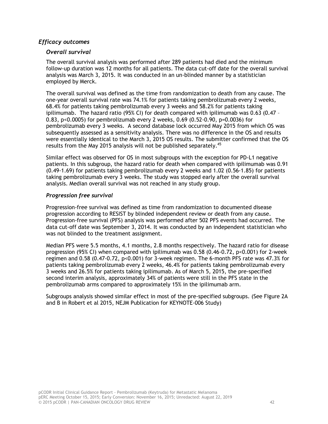## *Efficacy outcomes*

## *Overall survival*

The overall survival analysis was performed after 289 patients had died and the minimum follow-up duration was 12 months for all patients. The data cut-off date for the overall survival analysis was March 3, 2015. It was conducted in an un-blinded manner by a statistician employed by Merck.

The overall survival was defined as the time from randomization to death from any cause. The one-year overall survival rate was 74.1% for patients taking pembrolizumab every 2 weeks, 68.4% for patients taking pembrolizumab every 3 weeks and 58.2% for patients taking ipilimumab. The hazard ratio (95% CI) for death compared with ipilimumab was 0.63 (0.47 – 0.83, p<0.0005) for pembrolizumab every 2 weeks, 0.69 (0.52-0.90, p=0.0036) for pembrolizumab every 3 weeks. A second database lock occurred May 2015 from which OS was subsequently assessed as a sensitivity analysis. There was no difference in the OS and results were essentially identical to the March 3, 2015 OS results. The submitter confirmed that the OS results from the May 2015 analysis will not be published separately.<sup>45</sup>

Similar effect was observed for OS in most subgroups with the exception for PD-L1 negative patients. In this subgroup, the hazard ratio for death when compared with ipilimumab was 0.91 (0.49-1.69) for patients taking pembrolizumab every 2 weeks and 1.02 (0.56-1.85) for patients taking pembrolizumab every 3 weeks. The study was stopped early after the overall survival analysis. Median overall survival was not reached in any study group.

## *Progression free survival*

Progression-free survival was defined as time from randomization to documented disease progression according to RESIST by blinded independent review or death from any cause. Progression-free survival (PFS) analysis was performed after 502 PFS events had occurred. The data cut-off date was September 3, 2014. It was conducted by an independent statistician who was not blinded to the treatment assignment.

Median PFS were 5.5 months, 4.1 months, 2.8 months respectively. The hazard ratio for disease progression (95% CI) when compared with ipilimumab was 0.58 (0.46-0.72, p<0.001) for 2-week regimen and 0.58 (0.47-0.72, p<0.001) for 3-week regimen. The 6-month PFS rate was 47.3% for patients taking pembrolizumab every 2 weeks, 46.4% for patients taking pembrolizumab every 3 weeks and 26.5% for patients taking ipilimumab. As of March 5, 2015, the pre-specified second interim analysis, approximately 34% of patients were still in the PFS state in the pembrolizumab arms compared to approximately 15% in the ipilimumab arm.

Subgroups analysis showed similar effect in most of the pre-specified subgroups. (See Figure 2A and B in Robert et al 2015, NEJM Publication for KEYNOTE-006 Study)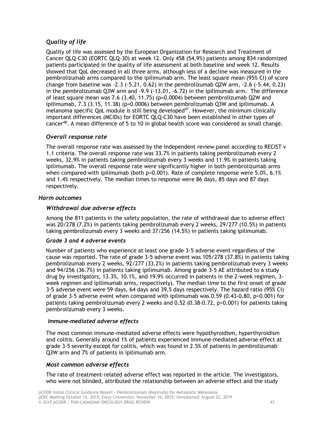# *Quality of life*

Quality of life was assessed by the European Organization for Research and Treatment of Cancer QLQ-C30 (EORTC QLQ-30) at week 12. Only 458 (54.9%) patients among 834 randomized patients participated in the quality of life assessment at both baseline and week 12. Results showed that QoL decreased in all three arms, although less of a decline was measured in the pembrolizumab arms compared to the ipilimumab arm. The least square mean (95% CI) of score change from baseline was -2.3 (-5.21, 0.62) in the pembrolizumab Q2W arm, -2.6 (-5.44, 0.23) in the pembrolizumab Q3W arm and -9.9 (-13.01, -6.72) in the ipilimumab arm. The difference of least square mean was 7.6 (3.40, 11.75) (p=0.0004) between pembrolizumab Q2W and ipilimumab, 7.3 (3.15, 11.38) (p=0.0006) between pembrolizumab Q3W and ipilimumab. A melanoma specific QoL module is still being developed<sup>47</sup>. However, the minimum clinically important differences (MCIDs) for EORTC QLQ-C30 have been established in other types of cancer<sup>48</sup>. A mean difference of 5 to 10 in global health score was considered as small change.

## *Overall response rate*

The overall response rate was assessed by the independent review panel according to RECIST v 1.1 criteria. The overall response rate was 33.7% in patients taking pembrolizumab every 2 weeks, 32.9% in patients taking pembrolizumab every 3 weeks and 11.9% in patients taking ipilimumab. The overall response rate were significantly higher in both pembrolizumab arms when compared with ipilimumab (both  $p<0.001$ ). Rate of complete response were 5.0%, 6.1% and 1.4% respectively. The median times to response were 86 days, 85 days and 87 days respectively.

## *Harm outcomes*

## *Withdrawal due adverse effects*

Among the 811 patients in the safety population, the rate of withdrawal due to adverse effect was 20/278 (7.2%) in patients taking pembrolizumab every 2 weeks, 29/277 (10.5%) in patients taking pembrolizumab every 3 weeks and 37/256 (14.5%) in patients taking ipilimumab.

## *Grade 3 and 4 adverse events*

Number of patients who experience at least one grade 3-5 adverse event regardless of the cause was reported. The rate of grade 3-5 adverse event was 105/278 (37.8%) in patients taking pembrolizumab every 2 weeks, 92/277 (33.2%) in patients taking pembrolizumab every 3 weeks and 94/256 (36.7%) in patients taking ipilimumab. Among grade 3-5 AE attributed to a study drug by investigators, 13.3%, 10.1%, and 19.9% occurred in patients in the 2-week regimen, 3 week regimen and ipilimumab arms, respectively). The median time to the first onset of grade 3-5 adverse event were 59 days, 64 days and 39.5 days respectively. The hazard ratio (95% CI) of grade 3-5 adverse event when compared with ipilimumab was  $0.59$  (0.43-0.80, p<0.001) for patients taking pembrolizumab every 2 weeks and 0.52 (0.38-0.72, p<0.001) for patients taking pembrolizumab every 3 weeks.

## *Immune-mediated adverse effects*

The most common immune-mediated adverse effects were hypothyroidism, hyperthyroidism and colitis. Generally around 1% of patients experienced immune-mediated adverse effect at grade 3-5 severity except for colitis, which was found in 2.5% of patients in pembrolizumab Q3W arm and 7% of patients in ipilimumab arm.

## *Most common adverse effects*

The rate of treatment-related adverse effect was reported in the article. The investigators, who were not blinded, attributed the relationship between an adverse effect and the study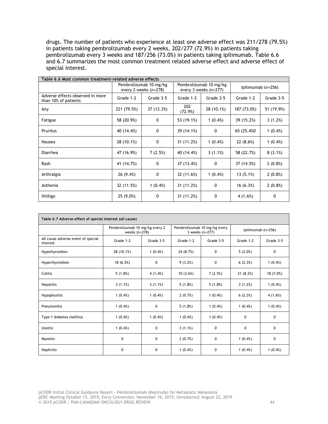drugs. The number of patients who experience at least one adverse effect was 211/278 (79.5%) in patients taking pembrolizumab every 2 weeks, 202/277 (72.9%) in patients taking pembrolizumab every 3 weeks and 187/256 (73.0%) in patients taking ipilimumab. Table 6.6 and 6.7 summarizes the most common treatment related adverse effect and adverse effect of special interest.

| Table 6.6 Most common treatment-related adverse effects  |             |                                                 |                |                                                 |                    |            |  |
|----------------------------------------------------------|-------------|-------------------------------------------------|----------------|-------------------------------------------------|--------------------|------------|--|
|                                                          |             | Pembrolizumab 10 mg/kg<br>every 2 weeks (n=278) |                | Pembrolizumab 10 mg/kg<br>every 3 weeks (n=277) | Ipilimumab (n=256) |            |  |
| Adverse effects observed in more<br>than 10% of patients | Grade 1-2   | Grade 3-5                                       | Grade 1-2      | Grade 3-5                                       | Grade 1-2          | Grade 3-5  |  |
| Any                                                      | 221 (79.5%) | 37 (13.3%)                                      | 202<br>(72.9%) | 28 (10.1%)                                      | 187 (73.0%)        | 51 (19.9%) |  |
| Fatigue                                                  | 58 (20.9%)  | 0                                               | 53 (19.1%)     | $1(0.4\%)$                                      | 39 (15.2%)         | 3(1.2%)    |  |
| Pruritus                                                 | 40 (14.4%)  | 0                                               | 39 (14.1%)     | 0                                               | 65 (25.4%0)        | $1(0.4\%)$ |  |
| Nausea                                                   | 28 (10.1%)  | 0                                               | 31 (11.2%)     | $1(0.4\%)$                                      | 22(8.6%)           | $1(0.4\%)$ |  |
| Diarrhea                                                 | 47 (16.9%)  | 7(2.5%)                                         | 40 (14.4%)     | 3(1.1%)                                         | 58 (22.7%)         | 8(3.1%)    |  |
| Rash                                                     | 41 (14.7%)  | 0                                               | 37 (13.4%)     | 0                                               | 37 (14.5%)         | $2(0.8\%)$ |  |
| Arthralgia                                               | 26 (9.4%)   | 0                                               | 32 (11.6%)     | $1(0.4\%)$                                      | 13(5.1%)           | $2(0.8\%)$ |  |
| Asthenia                                                 | 32 (11.5%)  | $1(0.4\%)$                                      | 31 (11.2%)     | 0                                               | 16(6.3%)           | $2(0.8\%)$ |  |
| Vitiligo                                                 | 25 (9.0%)   | 0                                               | 31 (11.2%)     | 0                                               | 4 (1.6%)           | 0          |  |

| Table 6.7 Adverse effect of special interest (all cause) |                                                   |            |            |                                                 |                    |            |
|----------------------------------------------------------|---------------------------------------------------|------------|------------|-------------------------------------------------|--------------------|------------|
|                                                          | Pembrolizumab 10 mg/kg every 2<br>weeks $(n=278)$ |            |            | Pembrolizumab 10 mg/kg every<br>3 weeks (n=277) | Ipilimumab (n=256) |            |
| All cause adverse event of special<br>interest           | Grade 1-2                                         | Grade 3-5  | Grade 1-2  | Grade 3-5                                       | Grade 1-2          | Grade 3-5  |
| Hypothyroidism                                           | 28 (10.1%)                                        | $1(0.4\%)$ | 24 (8.7%)  | $\mathbf{0}$                                    | 5(2.0%)            | 0          |
| Hyperthyroidism                                          | 18 (6.5%)                                         | 0          | 9(3.2%)    | 0                                               | 6(2.3%)            | $1(0.4\%)$ |
| Colitis                                                  | 5(1.8%)                                           | 4(1.4%)    | 10(3.6%)   | 7(2.5%)                                         | 21(8.2%)           | 18 (7.0%)  |
| <b>Hepatitis</b>                                         | 3(1.1%)                                           | 3(1.1%)    | 5(1.8%)    | 5(1.8%)                                         | 3(1.2%)            | $1(0.4\%)$ |
| Hypophysitis                                             | $1(0.4\%)$                                        | $1(0.4\%)$ | 2(0.7%)    | $1(0.4\%)$                                      | 6(2.3%)            | 4(1.6%)    |
| Pneumonitis                                              | $1(0.4\%)$                                        | 0          | 5(1.8%)    | $1(0.4\%)$                                      | $1(0.4\%)$         | $1(0.4\%)$ |
| Type 1 diabetes mellitus                                 | $1(0.4\%)$                                        | $1(0.4\%)$ | 1(0.4%)    | $1(0.4\%)$                                      | $\mathbf{0}$       | 0          |
| <b>Uveitis</b>                                           | $1(0.4\%)$                                        | 0          | 3(1.1%)    | $\mathbf{0}$                                    | 0                  | 0          |
| <b>Myositis</b>                                          | 0                                                 | 0          | 2(0.7%)    | $\mathbf 0$                                     | $1(0.4\%)$         | 0          |
| Nephritis                                                | 0                                                 | 0          | $1(0.4\%)$ | 0                                               | $1(0.4\%)$         | $1(0.4\%)$ |

pCODR Initial Clinical Guidance Report - Pembrolizumab (Keytruda) for Metastatic Melanoma pERC Meeting October 15, 2015; Early Conversion: November 16, 2015; Unredacted: August 22, 2019 © 2015 pCODR | PAN-CANADIAN ONCOLOGY DRUG REVIEW 44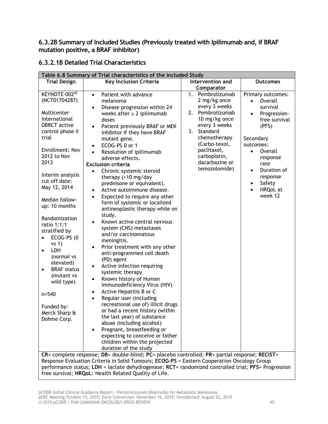**6.3.2B Summary of Included Studies (Previously treated with Ipilimumab and, if BRAF mutation positive, a BRAF inhibitor)**

# **6.3.2.1B Detailed Trial Characteristics**

| Table 6.8 Summary of Trial characteristics of the included Study                                                                                                                                                                                                                                                                                                                                                                                                                                                               |                                                                                                                                                                                                                                                                                                                                                                                                                                                                                                                                                                                                                                                                                                                                                                                                                                                                                                                                                                                                                                                                                                                                                                                                                                                                                                                                              |                                                                                                                                                                                                                                 |                                                                                                                                                                                                                                                                          |  |  |  |
|--------------------------------------------------------------------------------------------------------------------------------------------------------------------------------------------------------------------------------------------------------------------------------------------------------------------------------------------------------------------------------------------------------------------------------------------------------------------------------------------------------------------------------|----------------------------------------------------------------------------------------------------------------------------------------------------------------------------------------------------------------------------------------------------------------------------------------------------------------------------------------------------------------------------------------------------------------------------------------------------------------------------------------------------------------------------------------------------------------------------------------------------------------------------------------------------------------------------------------------------------------------------------------------------------------------------------------------------------------------------------------------------------------------------------------------------------------------------------------------------------------------------------------------------------------------------------------------------------------------------------------------------------------------------------------------------------------------------------------------------------------------------------------------------------------------------------------------------------------------------------------------|---------------------------------------------------------------------------------------------------------------------------------------------------------------------------------------------------------------------------------|--------------------------------------------------------------------------------------------------------------------------------------------------------------------------------------------------------------------------------------------------------------------------|--|--|--|
| <b>Trial Design</b>                                                                                                                                                                                                                                                                                                                                                                                                                                                                                                            | Key Inclusion Criteria                                                                                                                                                                                                                                                                                                                                                                                                                                                                                                                                                                                                                                                                                                                                                                                                                                                                                                                                                                                                                                                                                                                                                                                                                                                                                                                       | Intervention and                                                                                                                                                                                                                | <b>Outcomes</b>                                                                                                                                                                                                                                                          |  |  |  |
|                                                                                                                                                                                                                                                                                                                                                                                                                                                                                                                                |                                                                                                                                                                                                                                                                                                                                                                                                                                                                                                                                                                                                                                                                                                                                                                                                                                                                                                                                                                                                                                                                                                                                                                                                                                                                                                                                              | Comparator                                                                                                                                                                                                                      |                                                                                                                                                                                                                                                                          |  |  |  |
| KEYNOTE-002 <sup>42</sup><br>(NCT01704287)<br>Multicenter<br>international<br><b>DBRCT</b> active<br>control phase II<br>trial<br>Enrollment: Nov<br>2012 to Nov<br>2013<br>Interim analysis<br>cut off date:<br>May 12, 2014<br>Median follow-<br>up: 10 months<br>Randomization<br>ratio 1:1:1<br>stratified by<br>ECOG-PS (0<br>$\bullet$<br>vs 1)<br>LDH<br>$\bullet$<br>(normal vs<br>elevated)<br><b>BRAF</b> status<br>$\bullet$<br>(mutant vs<br>wild type)<br>$n = 540$<br>Funded by:<br>Merck Sharp &<br>Dohme Corp. | Patient with advance<br>$\bullet$<br>melanoma<br>Disease progression within 24<br>$\bullet$<br>weeks after $\geq 2$ ipilimumab<br>doses<br>Patient previously BRAF or MEK<br>$\bullet$<br>inhibitor if they have BRAF<br>mutant gene.<br>ECOG-PS 0 or 1<br>$\bullet$<br>Resolution of ipilimumab<br>adverse effects.<br><b>Exclusion criteria</b><br>Chronic systemic steroid<br>therapy $(>10$ mg/day<br>prednisone or equivalent).<br>Active autoimmune disease.<br>Expected to require any other<br>form of systemic or localized<br>antineoplastic therapy while on<br>study.<br>Known active central nervous<br>system (CNS) metastases<br>and/or carcinomatous<br>meningitis.<br>Prior treatment with any other<br>anti-programmed cell death<br>(PD) agent<br>Active infection requiring<br>systemic therapy<br>Known history of Human<br>$\bullet$<br>Immunodeficiency Virus (HIV)<br>Active Hepatitis B or C<br>$\bullet$<br>Regular user (including<br>$\bullet$<br>recreational use of) illicit drugs<br>or had a recent history (within<br>the last year) of substance<br>abuse (including alcohol)<br>Pregnant, breastfeeding or<br>expecting to conceive or father<br>children within the projected<br>duration of the study<br>CR= complete response; DB= double-blind; PC= placebo controlled; PR= partial response; RECIST= | Pembrolizumab<br>1.<br>2 mg/kg once<br>every 3 weeks<br>Pembrolizumab<br>2.<br>10 mg/kg once<br>every 3 weeks<br>3. Standard<br>chemotherapy<br>(Carbo-texol,<br>paclitaxel,<br>carboplatin,<br>dacarbazine or<br>temozolomide) | Primary outcomes:<br>Overall<br>$\bullet$<br>survival<br>Progression-<br>$\bullet$<br>free survival<br>(PFS)<br>Secondary<br>outcomes:<br>$\bullet$<br>Overall<br>response<br>rate<br>Duration of<br>$\bullet$<br>response<br>Safety<br>$\bullet$<br>HRQoL at<br>week 12 |  |  |  |
|                                                                                                                                                                                                                                                                                                                                                                                                                                                                                                                                | Response Evaluation Criteria in Solid Tumours; ECOG-PS = Eastern Cooperation Oncology Group<br>performance status; LDH = lactate dehydrogenase; RCT= randomized controlled trial; PFS= Progression                                                                                                                                                                                                                                                                                                                                                                                                                                                                                                                                                                                                                                                                                                                                                                                                                                                                                                                                                                                                                                                                                                                                           |                                                                                                                                                                                                                                 |                                                                                                                                                                                                                                                                          |  |  |  |
|                                                                                                                                                                                                                                                                                                                                                                                                                                                                                                                                | free survival; HRQoL: Health Related Quality of Life.                                                                                                                                                                                                                                                                                                                                                                                                                                                                                                                                                                                                                                                                                                                                                                                                                                                                                                                                                                                                                                                                                                                                                                                                                                                                                        |                                                                                                                                                                                                                                 |                                                                                                                                                                                                                                                                          |  |  |  |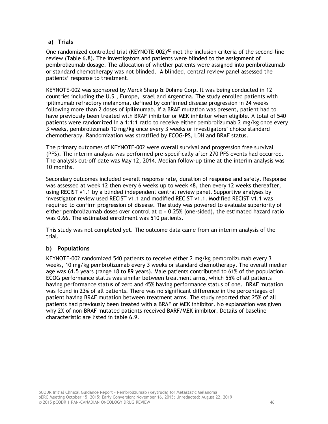## **a) Trials**

One randomized controlled trial (KEYNOTE-002)<sup>42</sup> met the inclusion criteria of the second-line review (Table 6.8). The investigators and patients were blinded to the assignment of pembrolizumab dosage. The allocation of whether patients were assigned into pembrolizumab or standard chemotherapy was not blinded. A blinded, central review panel assessed the patients' response to treatment.

KEYNOTE-002 was sponsored by Merck Sharp & Dohme Corp. It was being conducted in 12 countries including the U.S., Europe, Israel and Argentina. The study enrolled patients with ipilimumab refractory melanoma, defined by confirmed disease progression in 24 weeks following more than 2 doses of ipilimumab. If a BRAF mutation was present, patient had to have previously been treated with BRAF inhibitor or MEK inhibitor when eligible. A total of 540 patients were randomized in a 1:1:1 ratio to receive either pembrolizumab 2 mg/kg once every 3 weeks, pembrolizumab 10 mg/kg once every 3 weeks or investigators' choice standard chemotherapy. Randomization was stratified by ECOG-PS, LDH and BRAF status.

The primary outcomes of KEYNOTE-002 were overall survival and progression free survival (PFS). The interim analysis was performed pre-specifically after 270 PFS events had occurred. The analysis cut-off date was May 12, 2014. Median follow-up time at the interim analysis was 10 months.

Secondary outcomes included overall response rate, duration of response and safety. Response was assessed at week 12 then every 6 weeks up to week 48, then every 12 weeks thereafter, using RECIST v1.1 by a blinded independent central review panel. Supportive analyses by investigator review used RECIST v1.1 and modified RECIST v1.1. Modified RECIST v1.1 was required to confirm progression of disease. The study was powered to evaluate superiority of either pembrolizumab doses over control at  $\alpha$  = 0.25% (one-sided), the estimated hazard ratio was 0.66. The estimated enrollment was 510 patients.

This study was not completed yet. The outcome data came from an interim analysis of the trial.

## **b) Populations**

KEYNOTE-002 randomized 540 patients to receive either 2 mg/kg pembrolizumab every 3 weeks, 10 mg/kg pembrolizumab every 3 weeks or standard chemotherapy. The overall median age was 61.5 years (range 18 to 89 years). Male patients contributed to 61% of the population. ECOG performance status was similar between treatment arms, which 55% of all patients having performance status of zero and 45% having performance status of one. BRAF mutation was found in 23% of all patients. There was no significant difference in the percentages of patient having BRAF mutation between treatment arms. The study reported that 25% of all patients had previously been treated with a BRAF or MEK inhibitor. No explanation was given why 2% of non-BRAF mutated patients received BARF/MEK inhibitor. Details of baseline characteristic are listed in table 6.9.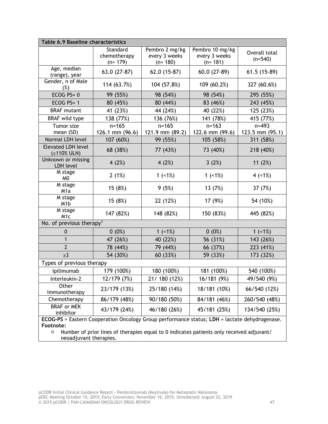|                                                                                                                      | <b>Table 6.9 Baseline characteristics</b>                                                |                                              |                                               |                              |  |  |
|----------------------------------------------------------------------------------------------------------------------|------------------------------------------------------------------------------------------|----------------------------------------------|-----------------------------------------------|------------------------------|--|--|
|                                                                                                                      | Standard<br>chemotherapy<br>$(n=179)$                                                    | Pembro 2 mg/kg<br>every 3 weeks<br>$(n=180)$ | Pembro 10 mg/kg<br>every 3 weeks<br>$(n=181)$ | Overall total<br>$(n=540)$   |  |  |
| Age, median<br>(range), year                                                                                         | 63.0 (27-87)                                                                             | 62.0 (15-87)                                 | $60.0(27-89)$                                 | $61.5(15-89)$                |  |  |
| Gender, n of Male<br>(%)                                                                                             | 114 (63.7%)                                                                              | 104 (57.8%)                                  | 109 (60.2%)                                   | 327 (60.6%)                  |  |  |
| ECOG $PS=0$                                                                                                          | 99 (55%)                                                                                 | 98 (54%)                                     | 98 (54%)                                      | 295 (55%)                    |  |  |
| ECOG PS= 1                                                                                                           | 80 (45%)                                                                                 | 80 (44%)                                     | 83 (46%)                                      | 243 (45%)                    |  |  |
| <b>BRAF</b> mutant                                                                                                   | 41 (23%)                                                                                 | 44 (24%)                                     | 40 (22%)                                      | 125 (23%)                    |  |  |
| <b>BRAF</b> wild type                                                                                                | 138 (77%)                                                                                | 136 (76%)                                    | 141 (78%)                                     | 415 (77%)                    |  |  |
| Tumor size<br>mean (SD)                                                                                              | $n = 165$<br>126.1 mm $(96.6)$                                                           | $n = 165$<br>121.9 mm (89.2)                 | $n = 163$<br>122.6 mm (99.6)                  | $n = 493$<br>123.5 mm (95.1) |  |  |
| Normal LDH level                                                                                                     | 107 (60%)                                                                                | 99 (55%)                                     | 105 (58%)                                     | 311 (58%)                    |  |  |
| <b>Elevated LDH level</b><br>$(2110\%$ ULN)                                                                          | 68 (38%)                                                                                 | 77 (43%)                                     | 73 (40%)                                      | 218 (40%)                    |  |  |
| Unknown or missing<br>LDH level                                                                                      | 4 $(2%)$                                                                                 | 4 $(2%)$                                     | 3(2%)                                         | 11 $(2%)$                    |  |  |
| M stage<br>M <sub>0</sub>                                                                                            | 2(1%)                                                                                    | 1 $(< 1\%)$                                  | 1 $(< 1\%)$                                   | $4$ (<1%)                    |  |  |
| M stage<br>M <sub>1</sub> a                                                                                          | 15 (8%)                                                                                  | 9(5%)                                        | 13 (7%)                                       | 37 (7%)                      |  |  |
| M stage<br>M <sub>1</sub> b                                                                                          | 15 (8%)                                                                                  | 22 (12%)                                     | 17 (9%)                                       | 54 (10%)                     |  |  |
| M stage<br>M <sub>1c</sub>                                                                                           | 147 (82%)                                                                                | 148 (82%)                                    | 150 (83%)                                     | 445 (82%)                    |  |  |
| No. of previous therapy <sup>1</sup>                                                                                 |                                                                                          |                                              |                                               |                              |  |  |
| $\mathbf 0$                                                                                                          | $0(0\%)$                                                                                 | $1$ (<1%)                                    | $0(0\%)$                                      | $1$ (<1%)                    |  |  |
| $\mathbf{1}$                                                                                                         | 47 (26%)                                                                                 | 40 (22%)                                     | 56 (31%)                                      | 143 (26%)                    |  |  |
| $\overline{2}$                                                                                                       | 78 (44%)                                                                                 | 79 (44%)                                     | 66 (37%)                                      | 223 (41%)                    |  |  |
| $\geq$ 3                                                                                                             | 54 (30%)                                                                                 | 60 (33%)                                     | 59 (33%)                                      | 173 (32%)                    |  |  |
| Types of previous therapy                                                                                            |                                                                                          |                                              |                                               |                              |  |  |
| Ipilimumab                                                                                                           | 179 (100%)                                                                               | 180 (100%)                                   | 181 (100%)                                    | 540 (100%)                   |  |  |
| Interleukin-2                                                                                                        | 12/179 (7%)                                                                              | 21/ 180 (12%)                                | 16/181 (9%)                                   | 49/540 (9%)                  |  |  |
| Other<br>immunotherapy                                                                                               | 23/179 (13%)                                                                             | 25/180 (14%)                                 | 18/181 (10%)                                  | 66/540 (12%)                 |  |  |
| Chemotherapy                                                                                                         | 86/179 (48%)                                                                             | 90/180 (50%)                                 | 84/181 (46%)                                  | 260/540 (48%)                |  |  |
| <b>BRAF</b> or MEK<br>inhibitor                                                                                      | 43/179 (24%)                                                                             | 46/180 (26%)                                 | 45/181 (25%)                                  | 134/540 (25%)                |  |  |
| ECOG-PS = Eastern Cooperation Oncology Group performance status; LDH = lactate dehydrogenase.<br>Footnote:<br>$\Box$ | Number of prior lines of therapies equal to 0 indicates patients only received adjuvant/ |                                              |                                               |                              |  |  |

neoadjuvant therapies.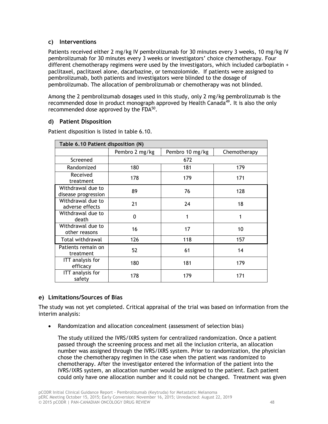## **c) Interventions**

Patients received either 2 mg/kg IV pembrolizumab for 30 minutes every 3 weeks, 10 mg/kg IV pembrolizumab for 30 minutes every 3 weeks or investigators' choice chemotherapy. Four different chemotherapy regimens were used by the investigators, which included carboplatin + paclitaxel, paclitaxel alone, dacarbazine, or temozolomide. If patients were assigned to pembrolizumab, both patients and investigators were blinded to the dosage of pembrolizumab. The allocation of pembrolizumab or chemotherapy was not blinded.

Among the 2 pembrolizumab dosages used in this study, only 2 mg/kg pembrolizumab is the recommended dose in product monograph approved by Health Canada<sup>49</sup>. It is also the only recommended dose approved by the  $FDA^{50}$ .

## **d) Patient Disposition**

| Table 6.10 Patient disposition (N)       |                |                 |              |  |  |  |
|------------------------------------------|----------------|-----------------|--------------|--|--|--|
|                                          | Pembro 2 mg/kg | Pembro 10 mg/kg | Chemotherapy |  |  |  |
| Screened                                 |                | 672             |              |  |  |  |
| Randomized                               | 180            | 181             | 179          |  |  |  |
| Received<br>treatment                    | 178            | 179             | 171          |  |  |  |
| Withdrawal due to<br>disease progression | 89             | 76              | 128          |  |  |  |
| Withdrawal due to<br>adverse effects     | 21             | 24              | 18           |  |  |  |
| Withdrawal due to<br>death               | $\Omega$       | 1               | 1            |  |  |  |
| Withdrawal due to<br>other reasons       | 16             | 17              | 10           |  |  |  |
| Total withdrawal                         | 126            | 118             | 157          |  |  |  |
| Patients remain on<br>treatment          | 52             | 61              | 14           |  |  |  |
| <b>ITT</b> analysis for<br>efficacy      | 180            | 181             | 179          |  |  |  |
| ITT analysis for<br>safety               | 178            | 179             | 171          |  |  |  |

Patient disposition is listed in table 6.10.

# **e) Limitations/Sources of Bias**

The study was not yet completed. Critical appraisal of the trial was based on information from the interim analysis:

• Randomization and allocation concealment (assessment of selection bias)

The study utilized the IVRS/IXRS system for centralized randomization. Once a patient passed through the screening process and met all the inclusion criteria, an allocation number was assigned through the IVRS/IXRS system. Prior to randomization, the physician chose the chemotherapy regimen in the case when the patient was randomized to chemotherapy. After the investigator entered the information of the patient into the IVRS/IXRS system, an allocation number would be assigned to the patient. Each patient could only have one allocation number and it could not be changed. Treatment was given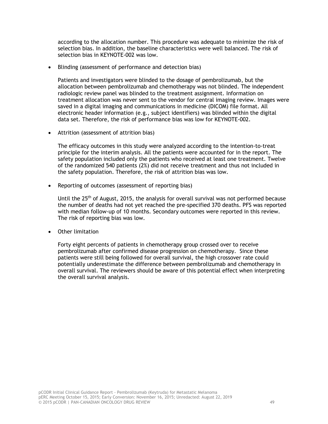according to the allocation number. This procedure was adequate to minimize the risk of selection bias. In addition, the baseline characteristics were well balanced. The risk of selection bias in KEYNOTE-002 was low.

• Blinding (assessment of performance and detection bias)

Patients and investigators were blinded to the dosage of pembrolizumab, but the allocation between pembrolizumab and chemotherapy was not blinded. The independent radiologic review panel was blinded to the treatment assignment. Information on treatment allocation was never sent to the vendor for central imaging review. Images were saved in a digital imaging and communications in medicine (DICOM) file format. All electronic header information (e.g., subject identifiers) was blinded within the digital data set. Therefore, the risk of performance bias was low for KEYNOTE-002.

• Attrition (assessment of attrition bias)

The efficacy outcomes in this study were analyzed according to the intention-to-treat principle for the interim analysis. All the patients were accounted for in the report. The safety population included only the patients who received at least one treatment. Twelve of the randomized 540 patients (2%) did not receive treatment and thus not included in the safety population. Therefore, the risk of attrition bias was low.

• Reporting of outcomes (assessment of reporting bias)

Until the  $25<sup>th</sup>$  of August, 2015, the analysis for overall survival was not performed because the number of deaths had not yet reached the pre-specified 370 deaths. PFS was reported with median follow-up of 10 months. Secondary outcomes were reported in this review. The risk of reporting bias was low.

• Other limitation

Forty eight percents of patients in chemotherapy group crossed over to receive pembrolizumab after confirmed disease progression on chemotherapy. Since these patients were still being followed for overall survival, the high crossover rate could potentially underestimate the difference between pembrolizumab and chemotherapy in overall survival. The reviewers should be aware of this potential effect when interpreting the overall survival analysis.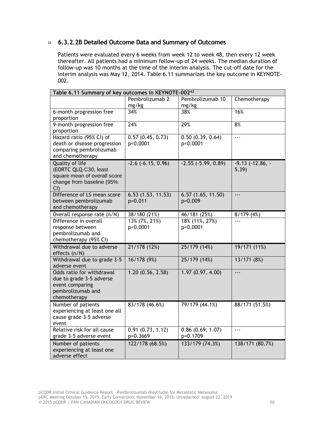# **6.3.2.2B Detailed Outcome Data and Summary of Outcomes**

Patients were evaluated every 6 weeks from week 12 to week 48, then every 12 week thereafter. All patients had a minimum follow-up of 24 weeks. The median duration of follow-up was 10 months at the time of the interim analysis. The cut-off date for the interim analysis was May 12, 2014. Table 6.11 summarizes the key outcome in KEYNOTE-002.

| Table 6.11 Summary of key outcomes in KEYNOTE-002 <sup>42</sup>                                               |                              |                              |                               |  |  |  |
|---------------------------------------------------------------------------------------------------------------|------------------------------|------------------------------|-------------------------------|--|--|--|
|                                                                                                               | Pembrolizumab 2<br>mg/kg     | Pembrolizumab 10<br>mg/kg    | Chemotherapy                  |  |  |  |
| 6-month progression free<br>proportion                                                                        | 34%                          | 38%                          | 16%                           |  |  |  |
| 9-month progression free<br>proportion                                                                        | 24%                          | 29%                          | 8%                            |  |  |  |
| Hazard ratio (95% CI) of<br>death or disease progression<br>comparing pembrolizumab<br>and chemotherapy       | 0.57(0.45, 0.73)<br>p<0.0001 | 0.50(0.39, 0.64)<br>p<0.0001 | $\overline{a}$                |  |  |  |
| Quality of life<br>(EORTC QLQ-C30, least<br>square mean of overall score<br>change from baseline (95%<br>CI() | $-2.6$ ( $-6.15$ , 0.96)     | $-2.55$ $(-5.99, 0.89)$      | $-9.13$ $(-12.86, -$<br>5.39) |  |  |  |
| Difference of LS mean score<br>between pembrolizumab<br>and chemotherapy                                      | 6.53(1.53, 11.53)<br>p=0.011 | 6.57(1.65, 11.50)<br>p=0.009 | $\overline{\phantom{a}}$      |  |  |  |
| Overall response rate (n/N)                                                                                   | 38/180 (21%)                 | 46/181 (25%)                 | 8/179(4%)                     |  |  |  |
| Difference in overall<br>response between<br>pembrolizumab and<br>chemotherapy (95% CI)                       | 13% (7%, 21%)<br>p<0.0001    | 18% (11%, 27%)<br>p<0.0001   |                               |  |  |  |
| Withdrawal due to adverse<br>effects (n/N)                                                                    | 21/178 (12%)                 | 25/179 (14%)                 | 19/171 (11%)                  |  |  |  |
| Withdrawal due to grade 3-5<br>adverse event                                                                  | 16/178 (9%)                  | 25/179 (14%)                 | 13/171 (8%)                   |  |  |  |
| Odds ratio for withdrawal<br>due to grade 3-5 adverse<br>event comparing<br>pembrolizumab and<br>chemotherapy | 1.20(0.56, 2.58)             | 1.97(0.97, 4.00)             | $\overline{\phantom{a}}$      |  |  |  |
| Number of patients<br>experiencing at least one all<br>cause grade 3-5 adverse<br>event                       | 83/178 (46.6%)               | 79/179 (44.1%)               | 88/171 (51.5%)                |  |  |  |
| Relative risk for all cause<br>grade 3-5 adverse event                                                        | 0.91(0.73, 1.12)<br>p=0.3669 | 0.86(0.69, 1.07)<br>p=0.1709 | $- - -$                       |  |  |  |
| Number of patients<br>experiencing at least one<br>adverse effect                                             | 122/178 (68.5%)              | 133/179 (74.3%)              | 138/171 (80.7%)               |  |  |  |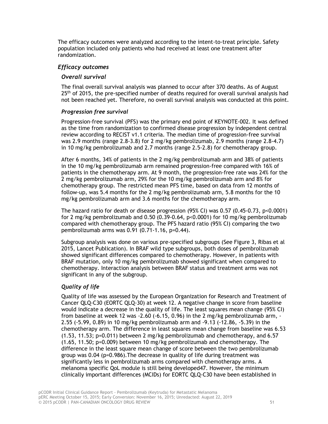The efficacy outcomes were analyzed according to the intent-to-treat principle. Safety population included only patients who had received at least one treatment after randomization.

#### *Efficacy outcomes*

#### *Overall survival*

The final overall survival analysis was planned to occur after 370 deaths. As of August 25<sup>th</sup> of 2015, the pre-specified number of deaths required for overall survival analysis had not been reached yet. Therefore, no overall survival analysis was conducted at this point.

#### *Progression free survival*

Progression-free survival (PFS) was the primary end point of KEYNOTE-002. It was defined as the time from randomization to confirmed disease progression by independent central review according to RECIST v1.1 criteria. The median time of progression-free survival was 2.9 months (range 2.8-3.8) for 2 mg/kg pembrolizumab, 2.9 months (range 2.8-4.7) in 10 mg/kg pembrolizumab and 2.7 months (range 2.5-2.8) for chemotherapy group.

After 6 months, 34% of patients in the 2 mg/kg pembrolizumab arm and 38% of patients in the 10 mg/kg pembrolizumab arm remained progression-free compared with 16% of patients in the chemotherapy arm. At 9 month, the progression-free rate was 24% for the 2 mg/kg pembrolizumab arm, 29% for the 10 mg/kg pembrolizumab arm and 8% for chemotherapy group. The restricted mean PFS time, based on data from 12 months of follow-up, was 5.4 months for the 2 mg/kg pembrolizumab arm, 5.8 months for the 10 mg/kg pembrolizumab arm and 3.6 months for the chemotherapy arm.

The hazard ratio for death or disease progression (95% CI) was 0.57 (0.45-0.73, p<0.0001) for 2 mg/kg pembrolizumab and 0.50 (0.39-0.64, p<0.0001) for 10 mg/kg pembrolizumab compared with chemotherapy group. The PFS hazard ratio (95% CI) comparing the two pembrolizumab arms was 0.91 (0.71-1.16, p=0.44).

Subgroup analysis was done on various pre-specified subgroups (See Figure 3, Ribas et al 2015, Lancet Publication). In BRAF wild type subgroups, both doses of pembrolizumab showed significant differences compared to chemotherapy. However, in patients with BRAF mutation, only 10 mg/kg pembrolizumab showed significant when compared to chemotherapy. Interaction analysis between BRAF status and treatment arms was not significant in any of the subgroup.

## *Quality of life*

Quality of life was assessed by the European Organization for Research and Treatment of Cancer QLQ-C30 (EORTC QLQ-30) at week 12. A negative change in score from baseline would indicate a decrease in the quality of life. The least squares mean change (95% CI) from baseline at week 12 was -2.60 (-6.15, 0.96) in the 2 mg/kg pembrolizumab arm,  $\cdot$ 2.55 (-5.99, 0.89) in 10 mg/kg pembrolizumab arm and -9.13 (-12.86, -5.39) in the chemotherapy arm. The difference in least squares mean change from baseline was 6.53 (1.53, 11.53; p=0.011) between 2 mg/kg pembrolizumab and chemotherapy, and 6.57 (1.65, 11.50; p=0.009) between 10 mg/kg pembrolizumab and chemotherapy. The difference in the least square mean change of score between the two pembrolizumab group was 0.04 (p=0.986).The decrease in quality of life during treatment was significantly less in pembrolizumab arms compared with chemotherapy arms. A melanoma specific QoL module is still being developed47. However, the minimum clinically important differences (MCIDs) for EORTC QLQ-C30 have been established in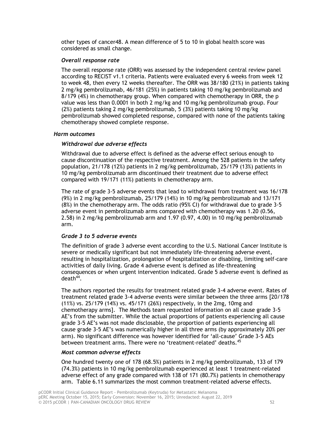other types of cancer48. A mean difference of 5 to 10 in global health score was considered as small change.

#### *Overall response rate*

The overall response rate (ORR) was assessed by the independent central review panel according to RECIST v1.1 criteria. Patients were evaluated every 6 weeks from week 12 to week 48, then every 12 weeks thereafter. The ORR was 38/180 (21%) in patients taking 2 mg/kg pembrolizumab, 46/181 (25%) in patients taking 10 mg/kg pembrolizumab and 8/179 (4%) in chemotherapy group. When compared with chemotherapy in ORR, the p value was less than 0.0001 in both 2 mg/kg and 10 mg/kg pembrolizumab group. Four (2%) patients taking 2 mg/kg pembrolizumab, 5 (3%) patients taking 10 mg/kg pembrolizumab showed completed response, compared with none of the patients taking chemotherapy showed complete response.

#### *Harm outcomes*

#### *Withdrawal due adverse effects*

Withdrawal due to adverse effect is defined as the adverse effect serious enough to cause discontinuation of the respective treatment. Among the 528 patients in the safety population, 21/178 (12%) patients in 2 mg/kg pembrolizumab, 25/179 (13%) patients in 10 mg/kg pembrolizumab arm discontinued their treatment due to adverse effect compared with 19/171 (11%) patients in chemotherapy arm.

The rate of grade 3-5 adverse events that lead to withdrawal from treatment was 16/178 (9%) in 2 mg/kg pembrolizumab, 25/179 (14%) in 10 mg/kg pembrolizumab and 13/171 (8%) in the chemotherapy arm. The odds ratio (95% CI) for withdrawal due to grade 3-5 adverse event in pembrolizumab arms compared with chemotherapy was 1.20 (0.56, 2.58) in 2 mg/kg pembrolizumab arm and 1.97 (0.97, 4.00) in 10 mg/kg pembrolizumab arm.

#### *Grade 3 to 5 adverse events*

The definition of grade 3 adverse event according to the U.S. National Cancer Institute is severe or medically significant but not immediately life-threatening adverse event, resulting in hospitalization, prolongation of hospitalization or disabling, limiting self-care activities of daily living. Grade 4 adverse event is defined as life-threatening consequences or when urgent intervention indicated. Grade 5 adverse event is defined as death<sup>44</sup>.

The authors reported the results for treatment related grade 3-4 adverse event. Rates of treatment related grade 3-4 adverse events were similar between the three arms [20/178 (11%) vs. 25/179 (14%) vs. 45/171 (26%) respectively, in the 2mg, 10mg and chemotherapy arms]. The Methods team requested information on all cause grade 3-5 AE's from the submitter. While the actual proportions of patients experiencing all cause grade 3-5 AE's was not made disclosable, the proportion of patients experiencing all cause grade 3-5 AE's was numerically higher in all three arms (by approximately 20% per arm). No significant difference was however identified for 'all-cause' Grade 3-5 AEs between treatment arms. There were no 'treatment-related' deaths.<sup>45</sup>

#### *Most common adverse effects*

One hundred twenty one of 178 (68.5%) patients in 2 mg/kg pembrolizumab, 133 of 179 (74.3%) patients in 10 mg/kg pembrolizumab experienced at least 1 treatment-related adverse effect of any grade compared with 138 of 171 (80.7%) patients in chemotherapy arm. Table 6.11 summarizes the most common treatment-related adverse effects.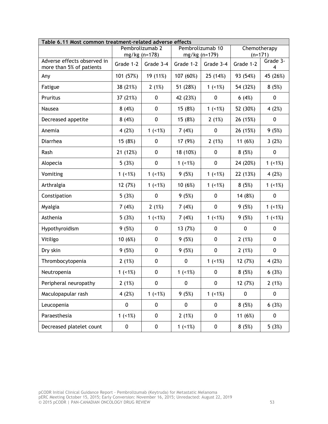| Table 6.11 Most common treatment-related adverse effects |           |                 |           |                  |              |               |  |
|----------------------------------------------------------|-----------|-----------------|-----------|------------------|--------------|---------------|--|
|                                                          |           | Pembrolizumab 2 |           | Pembrolizumab 10 | Chemotherapy |               |  |
|                                                          |           | mg/kg (n=178)   |           | mg/kg (n=179)    | $(n=171)$    |               |  |
| Adverse effects observed in<br>more than 5% of patients  | Grade 1-2 | Grade 3-4       | Grade 1-2 | Grade 3-4        | Grade 1-2    | Grade 3-<br>4 |  |
| Any                                                      | 101 (57%) | 19 (11%)        | 107 (60%) | 25 (14%)         | 93 (54%)     | 45 (26%)      |  |
| Fatigue                                                  | 38 (21%)  | 2(1%)           | 51 (28%)  | 1 $(+1%)$        | 54 (32%)     | 8(5%)         |  |
| Pruritus                                                 | 37 (21%)  | $\mathbf 0$     | 42 (23%)  | 0                | 6(4%)        | 0             |  |
| Nausea                                                   | 8(4%)     | $\mathbf 0$     | 15 (8%)   | 1 $(+1%)$        | 52 (30%)     | 4(2%)         |  |
| Decreased appetite                                       | 8(4%)     | $\pmb{0}$       | 15 (8%)   | 2(1%)            | 26 (15%)     | 0             |  |
| Anemia                                                   | 4 $(2%)$  | 1 $(+1%)$       | 7(4%)     | 0                | 26 (15%)     | 9(5%)         |  |
| Diarrhea                                                 | 15 (8%)   | 0               | 17 (9%)   | 2(1%)            | 11 (6%)      | 3(2%)         |  |
| Rash                                                     | 21 (12%)  | $\pmb{0}$       | 18 (10%)  | 0                | 8(5%)        | 0             |  |
| Alopecia                                                 | 5(3%)     | $\mathbf 0$     | 1 $(+1%)$ | 0                | 24 (20%)     | 1 $(+1%)$     |  |
| Vomiting                                                 | $1$ (<1%) | $1$ (<1%)       | 9(5%)     | 1 $(+1%)$        | 22 (13%)     | 4 $(2%)$      |  |
| Arthralgia                                               | 12 (7%)   | $1$ (<1%)       | 10 (6%)   | $1$ (<1%)        | 8(5%)        | $1$ (<1%)     |  |
| Constipation                                             | 5(3%)     | $\mathbf 0$     | 9(5%)     | 0                | 14 (8%)      | 0             |  |
| Myalgia                                                  | 7(4%)     | 2(1%)           | 7(4%)     | 0                | 9(5%)        | 1 $(+1%)$     |  |
| Asthenia                                                 | 5(3%)     | 1 $(+1%)$       | 7(4%)     | 1 $(+1%)$        | 9(5%)        | $1$ (<1%)     |  |
| Hypothyroidism                                           | 9(5%)     | $\pmb{0}$       | 13 (7%)   | 0                | 0            | 0             |  |
| Vitiligo                                                 | 10 (6%)   | $\mathbf 0$     | 9(5%)     | 0                | 2(1%)        | 0             |  |
| Dry skin                                                 | 9(5%)     | $\mathbf 0$     | 9(5%)     | 0                | 2(1%)        | 0             |  |
| Thrombocytopenia                                         | 2(1%)     | $\pmb{0}$       | $\pmb{0}$ | 1 $(+1%)$        | 12 (7%)      | 4(2%)         |  |
| Neutropenia                                              | $1$ (<1%) | $\pmb{0}$       | $1$ (<1%) | $\pmb{0}$        | 8(5%)        | 6(3%)         |  |
| Peripheral neuropathy                                    | 2(1%)     | 0               | 0         | $\pmb{0}$        | 12 (7%)      | 2(1%)         |  |
| Maculopapular rash                                       | 4(2%)     | 1 $(+1%)$       | 9(5%)     | 1 $(-1%)$        | 0            | $\pmb{0}$     |  |
| Leucopenia                                               | $\pmb{0}$ | $\pmb{0}$       | 0         | 0                | 8(5%)        | 6(3%)         |  |
| Paraesthesia                                             | 1 $(+1%)$ | 0               | 2(1%)     | 0                | 11 $(6%)$    | 0             |  |
| Decreased platelet count                                 | $\pmb{0}$ | $\pmb{0}$       | 1 $(+1%)$ | 0                | 8(5%)        | 5(3%)         |  |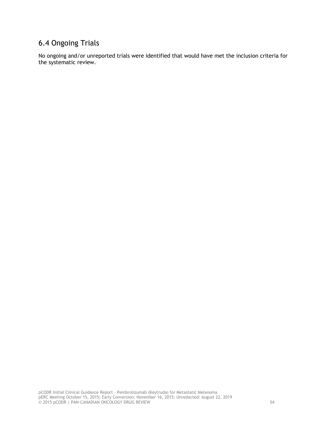# <span id="page-57-0"></span>6.4 Ongoing Trials

No ongoing and/or unreported trials were identified that would have met the inclusion criteria for the systematic review.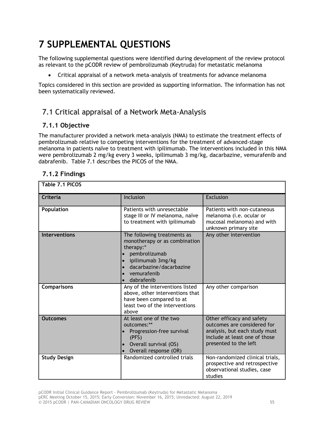# <span id="page-58-0"></span>**7 SUPPLEMENTAL QUESTIONS**

The following supplemental questions were identified during development of the review protocol as relevant to the pCODR review of pembrolizumab (Keytruda) for metastatic melanoma

• Critical appraisal of a network meta-analysis of treatments for advance melanoma

Topics considered in this section are provided as supporting information. The information has not been systematically reviewed.

# <span id="page-58-1"></span>7.1 Critical appraisal of a Network Meta-Analysis

# **7.1.1 Objective**

The manufacturer provided a network meta-analysis (NMA) to estimate the treatment effects of pembrolizumab relative to competing interventions for the treatment of advanced-stage melanoma in patients naïve to treatment with ipilimumab. The interventions included in this NMA were pembrolizumab 2 mg/kg every 3 weeks, ipilimumab 3 mg/kg, dacarbazine, vemurafenib and dabrafenib. Table 7.1 describes the PICOS of the NMA.

| Table 7.1 PICOS      |                                                                                                                                                                         |                                                                                                                                                     |
|----------------------|-------------------------------------------------------------------------------------------------------------------------------------------------------------------------|-----------------------------------------------------------------------------------------------------------------------------------------------------|
| Criteria             | Inclusion                                                                                                                                                               | <b>Exclusion</b>                                                                                                                                    |
| Population           | Patients with unresectable<br>stage III or IV melanoma, naïve<br>to treatment with ipilimumab                                                                           | Patients with non-cutaneous<br>melanoma ( <i>i.e.</i> ocular or<br>mucosal melanoma) and with<br>unknown primary site                               |
| <b>Interventions</b> | The following treatments as<br>monotherapy or as combination<br>therapy:*<br>pembrolizumab<br>ipilimumab 3mg/kg<br>dacarbazine/dacarbazine<br>vemurafenib<br>dabrafenib | Any other intervention                                                                                                                              |
| <b>Comparisons</b>   | Any of the interventions listed<br>above, other interventions that<br>have been compared to at<br>least two of the interventions<br>above                               | Any other comparison                                                                                                                                |
| <b>Outcomes</b>      | At least one of the two<br>outcomes:**<br>Progression-free survival<br>(PFS)<br>• Overall survival (OS)<br>Overall response (OR)                                        | Other efficacy and safety<br>outcomes are considered for<br>analysis, but each study must<br>include at least one of those<br>presented to the left |
| <b>Study Design</b>  | Randomized controlled trials                                                                                                                                            | Non-randomized clinical trials,<br>prospective and retrospective<br>observational studies, case<br>studies                                          |

# **7.1.2 Findings**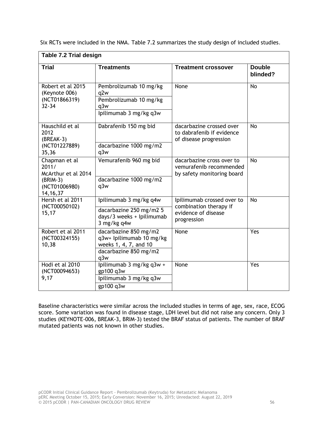|                                                                                            | Table 7.2 Trial design                                                                                     |                                                                                            |                           |  |  |  |  |
|--------------------------------------------------------------------------------------------|------------------------------------------------------------------------------------------------------------|--------------------------------------------------------------------------------------------|---------------------------|--|--|--|--|
| <b>Trial</b>                                                                               | <b>Treatments</b>                                                                                          | <b>Treatment crossover</b>                                                                 | <b>Double</b><br>blinded? |  |  |  |  |
| Robert et al 2015<br>(Keynote 006)<br>(NCT01866319)<br>$32 - 34$                           | Pembrolizumab 10 mg/kg<br>q2w<br>Pembrolizumab 10 mg/kg<br>q3w<br>Ipilimumab 3 mg/kg q3w                   | None                                                                                       | <b>No</b>                 |  |  |  |  |
| Hauschild et al<br>2012<br>(BREAK-3)<br>(NCT01227889)<br>35,36                             | Dabrafenib 150 mg bid<br>dacarbazine 1000 mg/m2<br>q3w                                                     | dacarbazine crossed over<br>to dabrafenib if evidence<br>of disease progression            | <b>No</b>                 |  |  |  |  |
| Chapman et al<br>2011/<br>McArthur et al 2014<br>$(BRIM-3)$<br>(NCT01006980)<br>14, 16, 37 | Vemurafenib 960 mg bid<br>dacarbazine 1000 mg/m2<br>q3w                                                    | dacarbazine cross over to<br>vemurafenib recommended<br>by safety monitoring board         | <b>No</b>                 |  |  |  |  |
| Hersh et al 2011<br>(NCT00050102)<br>15,17                                                 | Ipilimumab 3 mg/kg q4w<br>dacarbazine 250 mg/m2 5<br>days/3 weeks + Ipilimumab<br>3 mg/kg q4w              | Ipilimumab crossed over to<br>combination therapy if<br>evidence of disease<br>progression | <b>No</b>                 |  |  |  |  |
| Robert et al 2011<br>(NCT00324155)<br>10,38                                                | dacarbazine 850 mg/m2<br>q3w+ Ipilimumab 10 mg/kg<br>weeks 1, 4, 7, and 10<br>dacarbazine 850 mg/m2<br>q3w | None                                                                                       | Yes                       |  |  |  |  |
| Hodi et al 2010<br>(NCT00094653)<br>9,17                                                   | lpilimumab 3 mg/kg q3w +<br>gp100 q3w<br>Ipilimumab 3 mg/kg q3w<br>gp100 q3w                               | None                                                                                       | Yes                       |  |  |  |  |

Six RCTs were included in the NMA. Table 7.2 summarizes the study design of included studies.

Baseline characteristics were similar across the included studies in terms of age, sex, race, ECOG score. Some variation was found in disease stage, LDH level but did not raise any concern. Only 3 studies (KEYNOTE-006, BREAK-3, BRIM-3) tested the BRAF status of patients. The number of BRAF mutated patients was not known in other studies.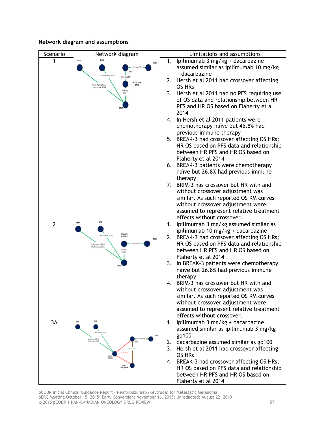#### **Network diagram and assumptions**



pCODR Initial Clinical Guidance Report - Pembrolizumab (Keytruda) for Metastatic Melanoma pERC Meeting October 15, 2015; Early Conversion: November 16, 2015; Unredacted: August 22, 2019 © 2015 pCODR | PAN-CANADIAN ONCOLOGY DRUG REVIEW 57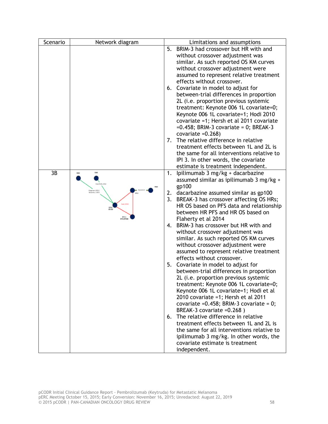| Scenario | Network diagram                    |    | Limitations and assumptions                                                  |
|----------|------------------------------------|----|------------------------------------------------------------------------------|
|          |                                    |    | 5. BRIM-3 had crossover but HR with and                                      |
|          |                                    |    | without crossover adjustment was                                             |
|          |                                    |    | similar. As such reported OS KM curves                                       |
|          |                                    |    | without crossover adjustment were                                            |
|          |                                    |    | assumed to represent relative treatment                                      |
|          |                                    |    | effects without crossover.                                                   |
|          |                                    |    | 6. Covariate in model to adjust for                                          |
|          |                                    |    | between-trial differences in proportion                                      |
|          |                                    |    | 2L (i.e. proportion previous systemic                                        |
|          |                                    |    | treatment: Keynote 006 1L covariate=0;                                       |
|          |                                    |    | Keynote 006 1L covariate=1; Hodi 2010                                        |
|          |                                    |    | covariate =1; Hersh et al 2011 covariate                                     |
|          |                                    |    | $=0.458$ ; BRIM-3 covariate = 0; BREAK-3                                     |
|          |                                    |    | covariate $=0.268$ )                                                         |
|          |                                    |    | 7. The relative difference in relative                                       |
|          |                                    |    | treatment effects between 1L and 2L is                                       |
|          |                                    |    | the same for all interventions relative to                                   |
|          |                                    |    | IPI 3. In other words, the covariate                                         |
|          |                                    |    | estimate is treatment independent.                                           |
| 3B       |                                    | 1. | Ipilimumab 3 mg/kg + dacarbazine                                             |
|          |                                    |    | assumed similar as ipilimumab 3 mg/kg +<br>gp100                             |
|          | Зищинан, 2001.)<br>Мойг болс, 2008 | 2. | dacarbazine assumed similar as gp100                                         |
|          |                                    | 3. | BREAK-3 has crossover affecting OS HRs;                                      |
|          | Fash, 2010                         |    | HR OS based on PFS data and relationship                                     |
|          |                                    |    | between HR PFS and HR OS based on                                            |
|          | Will a                             |    | Flaherty et al 2014                                                          |
|          |                                    | 4. | BRIM-3 has crossover but HR with and                                         |
|          |                                    |    | without crossover adjustment was                                             |
|          |                                    |    | similar. As such reported OS KM curves                                       |
|          |                                    |    | without crossover adjustment were                                            |
|          |                                    |    | assumed to represent relative treatment                                      |
|          |                                    |    | effects without crossover.                                                   |
|          |                                    |    | 5. Covariate in model to adjust for                                          |
|          |                                    |    | between-trial differences in proportion                                      |
|          |                                    |    | 2L (i.e. proportion previous systemic                                        |
|          |                                    |    | treatment: Keynote 006 1L covariate=0;                                       |
|          |                                    |    | Keynote 006 1L covariate=1; Hodi et al                                       |
|          |                                    |    | 2010 covariate =1; Hersh et al 2011                                          |
|          |                                    |    | covariate = $0.458$ ; BRIM-3 covariate = $0$ ;<br>BREAK-3 covariate = 0.268) |
|          |                                    | 6. | The relative difference in relative                                          |
|          |                                    |    | treatment effects between 1L and 2L is                                       |
|          |                                    |    | the same for all interventions relative to                                   |
|          |                                    |    | ipilimumab 3 mg/kg. In other words, the                                      |
|          |                                    |    | covariate estimate is treatment                                              |
|          |                                    |    | independent.                                                                 |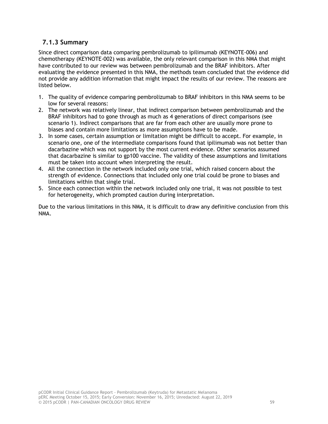# **7.1.3 Summary**

Since direct comparison data comparing pembrolizumab to ipilimumab (KEYNOTE-006) and chemotherapy (KEYNOTE-002) was available, the only relevant comparison in this NMA that might have contributed to our review was between pembrolizumab and the BRAF inhibitors. After evaluating the evidence presented in this NMA, the methods team concluded that the evidence did not provide any addition information that might impact the results of our review. The reasons are listed below.

- 1. The quality of evidence comparing pembrolizumab to BRAF inhibitors in this NMA seems to be low for several reasons:
- 2. The network was relatively linear, that indirect comparison between pembrolizumab and the BRAF inhibitors had to gone through as much as 4 generations of direct comparisons (see scenario 1). Indirect comparisons that are far from each other are usually more prone to biases and contain more limitations as more assumptions have to be made.
- 3. In some cases, certain assumption or limitation might be difficult to accept. For example, in scenario one, one of the intermediate comparisons found that ipilimumab was not better than dacarbazine which was not support by the most current evidence. Other scenarios assumed that dacarbazine is similar to gp100 vaccine. The validity of these assumptions and limitations must be taken into account when interpreting the result.
- 4. All the connection in the network included only one trial, which raised concern about the strength of evidence. Connections that included only one trial could be prone to biases and limitations within that single trial.
- 5. Since each connection within the network included only one trial, it was not possible to test for heterogeneity, which prompted caution during interpretation.

Due to the various limitations in this NMA, it is difficult to draw any definitive conclusion from this NMA.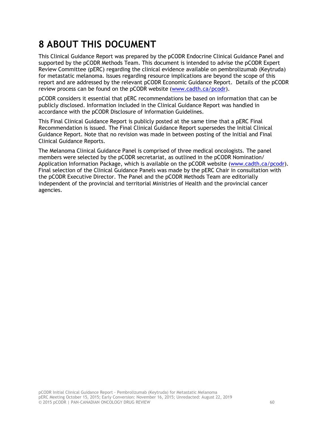# <span id="page-63-0"></span>**8 ABOUT THIS DOCUMENT**

This Clinical Guidance Report was prepared by the pCODR Endocrine Clinical Guidance Panel and supported by the pCODR Methods Team. This document is intended to advise the pCODR Expert Review Committee (pERC) regarding the clinical evidence available on pembrolizumab (Keytruda) for metastatic melanoma. Issues regarding resource implications are beyond the scope of this report and are addressed by the relevant pCODR Economic Guidance Report. Details of the pCODR review process can be found on the pCODR website [\(www.cadth.ca/pcodr\)](http://www.cadth.ca/pcodr).

pCODR considers it essential that pERC recommendations be based on information that can be publicly disclosed. Information included in the Clinical Guidance Report was handled in accordance with the pCODR Disclosure of Information Guidelines.

This Final Clinical Guidance Report is publicly posted at the same time that a pERC Final Recommendation is issued. The Final Clinical Guidance Report supersedes the Initial Clinical Guidance Report. Note that no revision was made in between posting of the Initial and Final Clinical Guidance Reports.

The Melanoma Clinical Guidance Panel is comprised of three medical oncologists. The panel members were selected by the pCODR secretariat, as outlined in the pCODR Nomination/ Application Information Package, which is available on the pCODR website [\(www.cadth.ca/pcodr\)](http://www.cadth.ca/pcodr). Final selection of the Clinical Guidance Panels was made by the pERC Chair in consultation with the pCODR Executive Director. The Panel and the pCODR Methods Team are editorially independent of the provincial and territorial Ministries of Health and the provincial cancer agencies.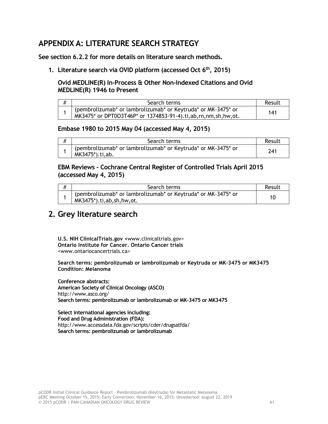# <span id="page-64-0"></span>**APPENDIX A: LITERATURE SEARCH STRATEGY**

**See section 6.2.2 for more details on literature search methods.**

**1. Literature search via OVID platform (accessed Oct 6th, 2015)**

# **Ovid MEDLINE(R) In-Process & Other Non-Indexed Citations and Ovid MEDLINE(R) 1946 to Present**

| Search terms                                                                                                                   | Result |
|--------------------------------------------------------------------------------------------------------------------------------|--------|
| (pembrolizumab* or lambrolizumab* or Keytruda* or MK-3475* or<br>MK3475* or DPT003T46P* or 1374853-91-4).ti,ab,rn,nm,sh,hw,ot. | 141    |

## **Embase 1980 to 2015 May 04 (accessed May 4, 2015)**

| Search terms                                                                      | Result |
|-----------------------------------------------------------------------------------|--------|
| (pembrolizumab* or lambrolizumab* or Keytruda* or MK-3475* or<br>MK3475*).ti, ab. | 241    |

# **EBM Reviews - Cochrane Central Register of Controlled Trials April 2015 (accessed May 4, 2015)**

| Search terms                                                                                                 | Result |
|--------------------------------------------------------------------------------------------------------------|--------|
| (pembrolizumab* or lambrolizumab* or Keytruda* or MK-3475* or<br>$MK3475$ <sup>*</sup> ).ti, ab, sh, hw, ot. |        |

# **2. Grey literature search**

**U.S. NIH ClinicalTrials.gov <**www.clinicaltrials.gov> **Ontario Institute for Cancer. Ontario Cancer trials** <www.ontariocancertrials.ca>

**Search terms: pembrolizumab or lambrolizumab or Keytruda or MK-3475 or MK3475 Condition: Melanoma**

**Conference abstracts: American Society of Clinical Oncology (ASCO)** http://www.asco.org/ **Search terms: pembrolizumab or lambrolizumab or MK-3475 or MK3475**

**Select international agencies including: Food and Drug Administration (FDA):**  http://www.accessdata.fda.gov/scripts/cder/drugsatfda/ **Search terms: pembrolizumab or lambrolizumab**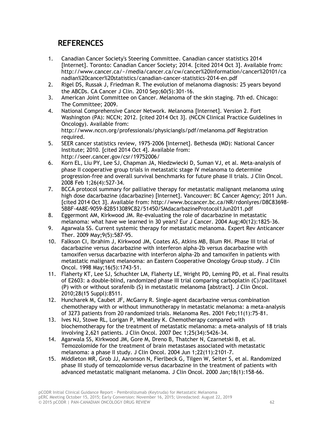# **REFERENCES**

- <span id="page-65-0"></span>1. Canadian Cancer Society's Steering Committee. Canadian cancer statistics 2014 [Internet]. Toronto: Canadian Cancer Society; 2014. [cited 2014 Oct 3]. Available from: http://www.cancer.ca/~/media/cancer.ca/cw/cancer%20information/cancer%20101/ca nadian%20cancer%20statistics/canadian-cancer-statistics-2014-en.pdf
- 2. Rigel DS, Russak J, Friedman R. The evolution of melanoma diagnosis: 25 years beyond the ABCDs. CA Cancer J Clin. 2010 Sep;60(5):301-16.
- 3. American Joint Committee on Cancer. Melanoma of the skin staging. 7th ed. Chicago: The Committee; 2009.
- 4. National Comprehensive Cancer Network. Melanoma [Internet]. Version 2. Fort Washington (PA): NCCN; 2012. [cited 2014 Oct 3]. (NCCN Clinical Practice Guidelines in Oncology). Available from: http://www.nccn.org/professionals/physiciangls/pdf/melanoma.pdf Registration required.
- 5. SEER cancer statistics review, 1975-2006 [Internet]. Bethesda (MD): National Cancer Institute; 2010. [cited 2014 Oct 4]. Available from: http://seer.cancer.gov/csr/19752006/
- 6. Korn EL, Liu PY, Lee SJ, Chapman JA, Niedzwiecki D, Suman VJ, et al. Meta-analysis of phase II cooperative group trials in metastatic stage IV melanoma to determine progression-free and overall survival benchmarks for future phase II trials. J Clin Oncol. 2008 Feb 1;26(4):527-34.
- 7. BCCA protocol summary for palliative therapy for metastatic malignant melanoma using high dose dacarbazine (dacarbazine) [Internet]. Vancouver: BC Cancer Agency; 2011 Jun. [cited 2014 Oct 3]. Available from: http://www.bccancer.bc.ca/NR/rdonlyres/D8C83698- 5BBF-4A8E-9059-82B513089CB2/51450/SMdacarbazineProtocol1Jun2011.pdf
- 8. Eggermont AM, Kirkwood JM. Re-evaluating the role of dacarbazine in metastatic melanoma: what have we learned in 30 years? Eur J Cancer. 2004 Aug;40(12):1825-36.
- 9. Agarwala SS. Current systemic therapy for metastatic melanoma. Expert Rev Anticancer Ther. 2009 May;9(5):587-95.
- 10. Falkson CI, Ibrahim J, Kirkwood JM, Coates AS, Atkins MB, Blum RH. Phase III trial of dacarbazine versus dacarbazine with interferon alpha-2b versus dacarbazine with tamoxifen versus dacarbazine with interferon alpha-2b and tamoxifen in patients with metastatic malignant melanoma: an Eastern Cooperative Oncology Group study. J Clin Oncol. 1998 May;16(5):1743-51.
- 11. Flaherty KT, Lee SJ, Schuchter LM, Flaherty LE, Wright PD, Leming PD, et al. Final results of E2603: a double-blind, randomized phase III trial comparing carboplatin (C)/paclitaxel (P) with or without sorafenib (S) in metastatic melanoma [abstract]. J Clin Oncol. 2010;28(15 Suppl):8511.
- 12. Huncharek M, Caubet JF, McGarry R. Single-agent dacarbazine versus combination chemotherapy with or without immunotherapy in metastatic melanoma: a meta-analysis of 3273 patients from 20 randomized trials. Melanoma Res. 2001 Feb;11(1):75-81.
- 13. Ives NJ, Stowe RL, Lorigan P, Wheatley K. Chemotherapy compared with biochemotherapy for the treatment of metastatic melanoma: a meta-analysis of 18 trials involving 2,621 patients. J Clin Oncol. 2007 Dec 1;25(34):5426-34.
- 14. Agarwala SS, Kirkwood JM, Gore M, Dreno B, Thatcher N, Czarnetski B, et al. Temozolomide for the treatment of brain metastases associated with metastatic melanoma: a phase II study. J Clin Oncol. 2004 Jun 1;22(11):2101-7.
- 15. Middleton MR, Grob JJ, Aaronson N, Fierlbeck G, Tilgen W, Seiter S, et al. Randomized phase III study of temozolomide versus dacarbazine in the treatment of patients with advanced metastatic malignant melanoma. J Clin Oncol. 2000 Jan;18(1):158-66.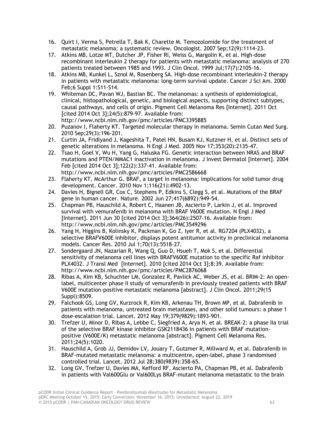- 16. Quirt I, Verma S, Petrella T, Bak K, Charette M. Temozolomide for the treatment of metastatic melanoma: a systematic review. Oncologist. 2007 Sep;12(9):1114-23.
- 17. Atkins MB, Lotze MT, Dutcher JP, Fisher RI, Weiss G, Margolin K, et al. High-dose recombinant interleukin 2 therapy for patients with metastatic melanoma: analysis of 270 patients treated between 1985 and 1993. J Clin Oncol. 1999 Jul;17(7):2105-16.
- 18. Atkins MB, Kunkel L, Sznol M, Rosenberg SA. High-dose recombinant interleukin-2 therapy in patients with metastatic melanoma: long-term survival update. Cancer J Sci Am. 2000 Feb;6 Suppl 1:S11-S14.
- 19. Whiteman DC, Pavan WJ, Bastian BC. The melanomas: a synthesis of epidemiological, clinical, histopathological, genetic, and biological aspects, supporting distinct subtypes, causal pathways, and cells of origin. Pigment Cell Melanoma Res [Internet]. 2011 Oct [cited 2014 Oct 3];24(5):879-97. Available from: http://www.ncbi.nlm.nih.gov/pmc/articles/PMC3395885
- 20. Puzanov I, Flaherty KT. Targeted molecular therapy in melanoma. Semin Cutan Med Surg. 2010 Sep;29(3):196-201.
- 21. Curtin JA, Fridlyand J, Kageshita T, Patel HN, Busam KJ, Kutzner H, et al. Distinct sets of genetic alterations in melanoma. N Engl J Med. 2005 Nov 17;353(20):2135-47.
- 22. Tsao H, Goel V, Wu H, Yang G, Haluska FG. Genetic interaction between NRAS and BRAF mutations and PTEN/MMAC1 inactivation in melanoma. J Invest Dermatol [Internet]. 2004 Feb [cited 2014 Oct 3];122(2):337-41. Available from: http://www.ncbi.nlm.nih.gov/pmc/articles/PMC2586668
- 23. Flaherty KT, McArthur G. BRAF, a target in melanoma: implications for solid tumor drug development. Cancer. 2010 Nov 1;116(21):4902-13.
- 24. Davies H, Bignell GR, Cox C, Stephens P, Edkins S, Clegg S, et al. Mutations of the BRAF gene in human cancer. Nature. 2002 Jun 27;417(6892):949-54.
- 25. Chapman PB, Hauschild A, Robert C, Haanen JB, Ascierto P, Larkin J, et al. Improved survival with vemurafenib in melanoma with BRAF V600E mutation. N Engl J Med [Internet]. 2011 Jun 30 [cited 2014 Oct 3];364(26):2507-16. Available from: http://www.ncbi.nlm.nih.gov/pmc/articles/PMC3549296
- 26. Yang H, Higgins B, Kolinsky K, Packman K, Go Z, Iyer R, et al. RG7204 (PLX4032), a selective BRAFV600E inhibitor, displays potent antitumor activity in preclinical melanoma models. Cancer Res. 2010 Jul 1;70(13):5518-27.
- 27. Sondergaard JN, Nazarian R, Wang Q, Guo D, Hsueh T, Mok S, et al. Differential sensitivity of melanoma cell lines with BRAFV600E mutation to the specific Raf inhibitor PLX4032. J Transl Med [Internet]. 2010 [cited 2014 Oct 3];8:39. Available from: http://www.ncbi.nlm.nih.gov/pmc/articles/PMC2876068
- 28. Ribas A, Kim KB, Schuchter LM, Gonzalez R, Pavlick AC, Weber JS, et al. BRIM-2: An openlabel, multicenter phase II study of vemurafenib in previously treated patients with BRAF V600E mutation-positive metastatic melanoma [abstract]. J Clin Oncol. 2011;29(15 Suppl):8509.
- 29. Falchook GS, Long GV, Kurzrock R, Kim KB, Arkenau TH, Brown MP, et al. Dabrafenib in patients with melanoma, untreated brain metastases, and other solid tumours: a phase 1 dose-escalation trial. Lancet. 2012 May 19;379(9829):1893-901.
- 30. Trefzer U, Minor D, Ribas A, Lebbe C, Siegfried A, Arya N, et al. BREAK-2: a phase IIa trial of the selective BRAF kinase inhibitor GSK2118436 in patients with BRAF mutationpositive (V600E/K) metastatic melanoma [abstract]. Pigment Cell Melanoma Res. 2011;24(5):1020.
- 31. Hauschild A, Grob JJ, Demidov LV, Jouary T, Gutzmer R, Millward M, et al. Dabrafenib in BRAF-mutated metastatic melanoma: a multicentre, open-label, phase 3 randomised controlled trial. Lancet. 2012 Jul 28;380(9839):358-65.
- 32. Long GV, Trefzer U, Davies MA, Kefford RF, Ascierto PA, Chapman PB, et al. Dabrafenib in patients with Val600Glu or Val600Lys BRAF-mutant melanoma metastatic to the brain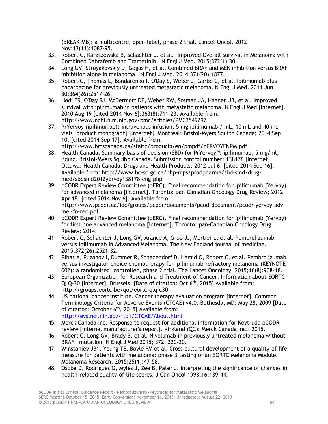(BREAK-MB): a multicentre, open-label, phase 2 trial. Lancet Oncol. 2012 Nov;13(11):1087-95.

- 33. Robert C, Karaszewska B, Schachter J, et al. Improved Overall Survival in Melanoma with Combined Dabrafenib and Trametinib. N Engl J Med. 2015;372(1):30.
- 34. Long GV, Stroyakovskiy D, Gogas H, et al. Combined BRAF and MEK inhibition versus BRAF inhibition alone in melanoma. N Engl J Med. 2014;371(20):1877.
- 35. Robert C, Thomas L, Bondarenko I, O'Day S, Weber J, Garbe C, et al. Ipilimumab plus dacarbazine for previously untreated metastatic melanoma. N Engl J Med. 2011 Jun 30;364(26):2517-26.
- 36. Hodi FS, O'Day SJ, McDermott DF, Weber RW, Sosman JA, Haanen JB, et al. Improved survival with ipilimumab in patients with metastatic melanoma. N Engl J Med [Internet]. 2010 Aug 19 [cited 2014 Nov 6];363(8):711-23. Available from: http://www.ncbi.nlm.nih.gov/pmc/articles/PMC3549297
- 37. PrYervoy (ipilimumab): intravenous infusion, 5 mg ipilimumab / mL, 10 mL and 40 mL vials [product monograph] [Internet]. Montreal: Bristol-Myers Squibb Canada; 2014 Sep 10. [cited 2014 Sep 17]. Available from: http://www.bmscanada.ca/static/products/en/pmpdf/YERVOYENPM.pdf
- 38. Health Canada. Summary basis of decision (SBD) for PrYervoy™: ipilimumab, 5 mg/ml, liquid. Bristol-Myers Squibb Canada. Submission control number: 138178 [Internet]. Ottawa: Health Canada, Drugs and Health Products; 2012 Jul 6. [cited 2014 Sep 16]. Available from: http://www.hc-sc.gc.ca/dhp-mps/prodpharma/sbd-smd/drugmed/sbdsmd2012yervoy138178-eng.php
- 39. pCODR Expert Review Committee (pERC). Final recommendation for ipilimumab (Yervoy) for advanced melanoma [Internet]. Toronto: pan-Canadian Oncology Drug Review; 2012 Apr 18. [cited 2014 Nov 6]. Available from: http://www.pcodr.ca/idc/groups/pcodr/documents/pcodrdocument/pcodr-yervoy-advmel-fn-rec.pdf
- 40. pCODR Expert Review Committee (pERC). Final recommendation for ipilimumab (Yervoy) for first line advanced melanoma [Internet]. Toronto: pan-Canadian Oncology Drug Review; 2014.
- 41. Robert C, Schachter J, Long GV, Arance A, Grob JJ, Mortier L, et al. Pembrolizumab versus Ipilimumab in Advanced Melanoma. The New England journal of medicine. 2015;372(26):2521-32.
- 42. Ribas A, Puzanov I, Dummer R, Schadendorf D, Hamid O, Robert C, et al. Pembrolizumab versus investigator-choice chemotherapy for ipilimumab-refractory melanoma (KEYNOTE-002): a randomised, controlled, phase 2 trial. The Lancet Oncology. 2015;16(8):908-18.
- 43. European Organization for Research and Treatment of Cancer. Information about EORTC QLQ-30 [internet]. Brussels. [Date of citation: Oct 6<sup>th</sup>, 2015] Available from: http://groups.eortc.be/qol/eortc-qlq-c30.
- 44. US national cancer institute. Cancer therapy evaluation program [internet]. Common Terminology Criteria for Adverse Events (CTCAE) v4.0. Bethesda, MD: May 28, 2009 [Date of citation: October  $6<sup>th</sup>$ , 2015] Available from: <http://evs.nci.nih.gov/ftp1/CTCAE/About.html>
- 45. Merck Canada Inc. Response to request for additional information for Keytruda pCODR review [internal manufacturer's report]. Kirkland (QC): Merck Canada Inc.; 2015.
- 46. Robert C, Long GV, Brady B, et al. Nivolumab in previously untreated melanoma without BRAF mutation. N Engl J Med 2015; 372: 320-30.
- 47. Winstanley JB1, Young TE, Boyle FM et al. Cross-cultural development of a quality-of-life measure for patients with melanoma: phase 3 testing of an EORTC Melanoma Module. Melanoma Research. 2015;25(1):47-58.
- 48. Osoba D, Rodrigues G, Myles J, Zee B, Pater J. Interpreting the significance of changes in health-related quality-of-life scores. J Clin Oncol 1998;16:139–44.